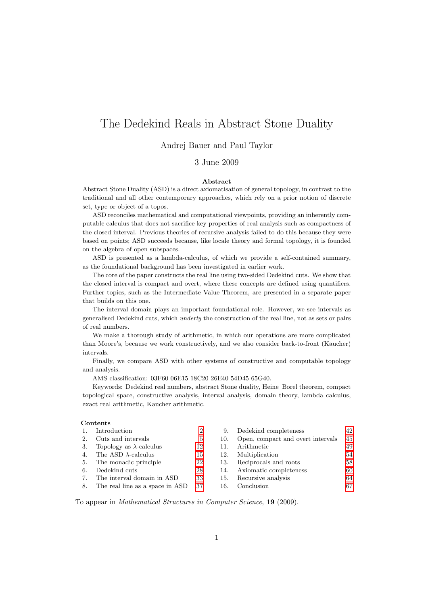# The Dedekind Reals in Abstract Stone Duality

#### Andrej Bauer and Paul Taylor

#### 3 June 2009

#### Abstract

Abstract Stone Duality (ASD) is a direct axiomatisation of general topology, in contrast to the traditional and all other contemporary approaches, which rely on a prior notion of discrete set, type or object of a topos.

ASD reconciles mathematical and computational viewpoints, providing an inherently computable calculus that does not sacrifice key properties of real analysis such as compactness of the closed interval. Previous theories of recursive analysis failed to do this because they were based on points; ASD succeeds because, like locale theory and formal topology, it is founded on the algebra of open subspaces.

ASD is presented as a lambda-calculus, of which we provide a self-contained summary, as the foundational background has been investigated in earlier work.

The core of the paper constructs the real line using two-sided Dedekind cuts. We show that the closed interval is compact and overt, where these concepts are defined using quantifiers. Further topics, such as the Intermediate Value Theorem, are presented in a separate paper that builds on this one.

The interval domain plays an important foundational role. However, we see intervals as generalised Dedekind cuts, which underly the construction of the real line, not as sets or pairs of real numbers.

We make a thorough study of arithmetic, in which our operations are more complicated than Moore's, because we work constructively, and we also consider back-to-front (Kaucher) intervals.

Finally, we compare ASD with other systems of constructive and computable topology and analysis.

AMS classification: 03F60 06E15 18C20 26E40 54D45 65G40.

Keywords: Dedekind real numbers, abstract Stone duality, Heine–Borel theorem, compact topological space, constructive analysis, interval analysis, domain theory, lambda calculus, exact real arithmetic, Kaucher arithmetic.

#### **Contents**

| 1. | Introduction                       |     | 9.  | Dedekind completeness             | 42 |
|----|------------------------------------|-----|-----|-----------------------------------|----|
| 2. | Cuts and intervals                 | 5   | 10. | Open, compact and overt intervals | 45 |
| 3. | Topology as $\lambda$ -calculus    | 12  | 11. | Arithmetic                        | 49 |
|    | 4. The ASD $\lambda$ -calculus     | 15  | 12. | Multiplication                    | 54 |
|    | 5. The monadic principle           | 22  | 13. | Reciprocals and roots             | 58 |
| 6. | Dedekind cuts                      | 28  | 14. | Axiomatic completeness            | 60 |
| 7. | The interval domain in ASD         | 33  |     | 15. Recursive analysis            | 64 |
|    | 8. The real line as a space in ASD | -37 | 16. | Conclusion                        | 67 |
|    |                                    |     |     |                                   |    |

To appear in Mathematical Structures in Computer Science, 19 (2009).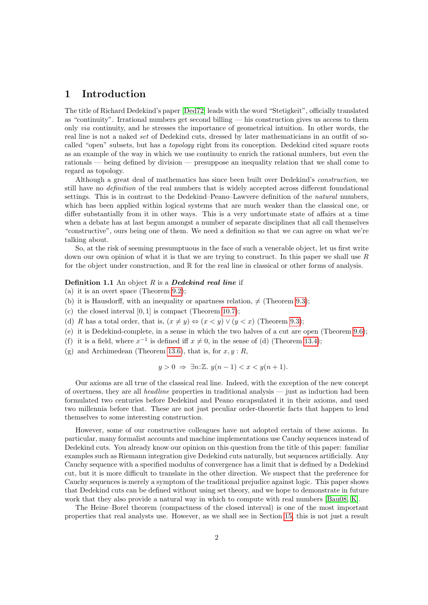# <span id="page-1-0"></span>1 Introduction

The title of Richard Dedekind's paper [\[Ded72\]](#page-69-0) leads with the word "Stetigkeit", officially translated as "continuity". Irrational numbers get second billing — his construction gives us access to them only via continuity, and he stresses the importance of geometrical intuition. In other words, the real line is not a naked set of Dedekind cuts, dressed by later mathematicians in an outfit of socalled "open" subsets, but has a topology right from its conception. Dedekind cited square roots as an example of the way in which we use continuity to enrich the rational numbers, but even the rationals — being defined by division — presuppose an inequality relation that we shall come to regard as topology.

Although a great deal of mathematics has since been built over Dedekind's construction, we still have no definition of the real numbers that is widely accepted across different foundational settings. This is in contrast to the Dedekind–Peano–Lawvere definition of the *natural* numbers, which has been applied within logical systems that are much weaker than the classical one, or differ substantially from it in other ways. This is a very unfortunate state of affairs at a time when a debate has at last begun amongst a number of separate disciplines that all call themselves "constructive", ours being one of them. We need a definition so that we can agree on what we're talking about.

So, at the risk of seeming presumptuous in the face of such a venerable object, let us first write down our own opinion of what it is that we are trying to construct. In this paper we shall use  $R$ for the object under construction, and  $\mathbb R$  for the real line in classical or other forms of analysis.

#### <span id="page-1-1"></span>**Definition 1.1** An object  $R$  is a **Dedekind real line** if

- (a) it is an overt space (Theorem [9.2\)](#page-41-1);
- (b) it is Hausdorff, with an inequality or apartness relation,  $\neq$  (Theorem [9.3\)](#page-41-2);
- (c) the closed interval  $[0, 1]$  is compact (Theorem [10.7\)](#page-46-0);
- (d) R has a total order, that is,  $(x \neq y) \Leftrightarrow (x < y) \vee (y < x)$  (Theorem [9.3\)](#page-41-2);
- (e) it is Dedekind-complete, in a sense in which the two halves of a cut are open (Theorem [9.6\)](#page-43-0);
- (f) it is a field, where  $x^{-1}$  is defined iff  $x \neq 0$ , in the sense of (d) (Theorem [13.4\)](#page-57-1);
- $(g)$  and Archimedean (Theorem [13.6\)](#page-58-0), that is, for  $x, y$  : R,

$$
y > 0 \implies \exists n: \mathbb{Z}. \ y(n-1) < x < y(n+1).
$$

Our axioms are all true of the classical real line. Indeed, with the exception of the new concept of overtness, they are all *headline* properties in traditional analysis — just as induction had been formulated two centuries before Dedekind and Peano encapsulated it in their axioms, and used two millennia before that. These are not just peculiar order-theoretic facts that happen to lend themselves to some interesting construction.

However, some of our constructive colleagues have not adopted certain of these axioms. In particular, many formalist accounts and machine implementations use Cauchy sequences instead of Dedekind cuts. You already know our opinion on this question from the title of this paper: familiar examples such as Riemann integration give Dedekind cuts naturally, but sequences artificially. Any Cauchy sequence with a specified modulus of convergence has a limit that is defined by a Dedekind cut, but it is more difficult to translate in the other direction. We suspect that the preference for Cauchy sequences is merely a symptom of the traditional prejudice against logic. This paper shows that Dedekind cuts can be defined without using set theory, and we hope to demonstrate in future work that they also provide a natural way in which to compute with real numbers [\[Bau08,](#page-68-0) [K\]](#page-72-0).

The Heine–Borel theorem (compactness of the closed interval) is one of the most important properties that real analysts use. However, as we shall see in Section [15,](#page-63-0) this is not just a result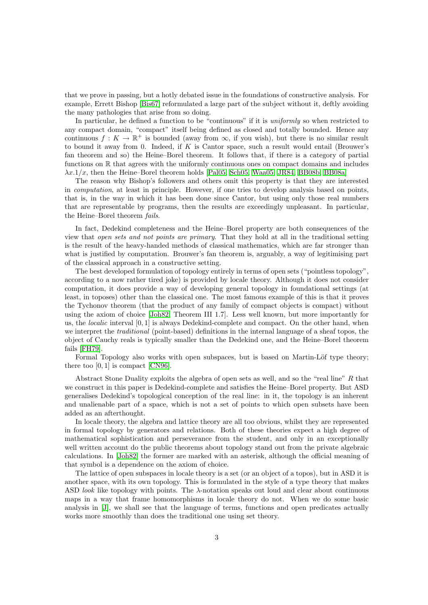that we prove in passing, but a hotly debated issue in the foundations of constructive analysis. For example, Errett Bishop [\[Bis67\]](#page-68-1) reformulated a large part of the subject without it, deftly avoiding the many pathologies that arise from so doing.

In particular, he defined a function to be "continuous" if it is *uniformly* so when restricted to any compact domain, "compact" itself being defined as closed and totally bounded. Hence any continuous  $f: K \to \mathbb{R}^+$  is bounded (away from  $\infty$ , if you wish), but there is no similar result to bound it away from 0. Indeed, if K is Cantor space, such a result would entail (Brouwer's fan theorem and so) the Heine–Borel theorem. It follows that, if there is a category of partial functions on  $\mathbb R$  that agrees with the uniformly continuous ones on compact domains and includes  $\lambda x.1/x$ , then the Heine–Borel theorem holds [\[Pal05,](#page-70-0) [Sch05,](#page-71-0) [Waa05,](#page-71-1) [JR84,](#page-70-1) [BB08b,](#page-68-2) [BB08a\]](#page-68-3)

The reason why Bishop's followers and others omit this property is that they are interested in computation, at least in principle. However, if one tries to develop analysis based on points, that is, in the way in which it has been done since Cantor, but using only those real numbers that are representable by programs, then the results are exceedingly unpleasant. In particular, the Heine–Borel theorem fails.

In fact, Dedekind completeness and the Heine–Borel property are both consequences of the view that open sets and not points are primary. That they hold at all in the traditional setting is the result of the heavy-handed methods of classical mathematics, which are far stronger than what is justified by computation. Brouwer's fan theorem is, arguably, a way of legitimising part of the classical approach in a constructive setting.

The best developed formulation of topology entirely in terms of open sets ("pointless topology", according to a now rather tired joke) is provided by locale theory. Although it does not consider computation, it does provide a way of developing general topology in foundational settings (at least, in toposes) other than the classical one. The most famous example of this is that it proves the Tychonov theorem (that the product of any family of compact objects is compact) without using the axiom of choice [\[Joh82,](#page-70-2) Theorem III 1.7]. Less well known, but more importantly for us, the *localic* interval  $[0, 1]$  is always Dedekind-complete and compact. On the other hand, when we interpret the *traditional* (point-based) definitions in the internal language of a sheaf topos, the object of Cauchy reals is typically smaller than the Dedekind one, and the Heine–Borel theorem fails [\[FH79\]](#page-69-1).

Formal Topology also works with open subspaces, but is based on Martin-Löf type theory; there too  $[0, 1]$  is compact  $[CN96]$ .

Abstract Stone Duality exploits the algebra of open sets as well, and so the "real line" R that we construct in this paper is Dedekind-complete and satisfies the Heine–Borel property. But ASD generalises Dedekind's topological conception of the real line: in it, the topology is an inherent and unalienable part of a space, which is not a set of points to which open subsets have been added as an afterthought.

In locale theory, the algebra and lattice theory are all too obvious, whilst they are represented in formal topology by generators and relations. Both of these theories expect a high degree of mathematical sophistication and perseverance from the student, and only in an exceptionally well written account do the public theorems about topology stand out from the private algebraic calculations. In [\[Joh82\]](#page-70-2) the former are marked with an asterisk, although the official meaning of that symbol is a dependence on the axiom of choice.

The lattice of open subspaces in locale theory is a set (or an object of a topos), but in ASD it is another space, with its own topology. This is formulated in the style of a type theory that makes ASD look like topology with points. The λ-notation speaks out loud and clear about continuous maps in a way that frame homomorphisms in locale theory do not. When we do some basic analysis in [\[J\]](#page-72-1), we shall see that the language of terms, functions and open predicates actually works more smoothly than does the traditional one using set theory.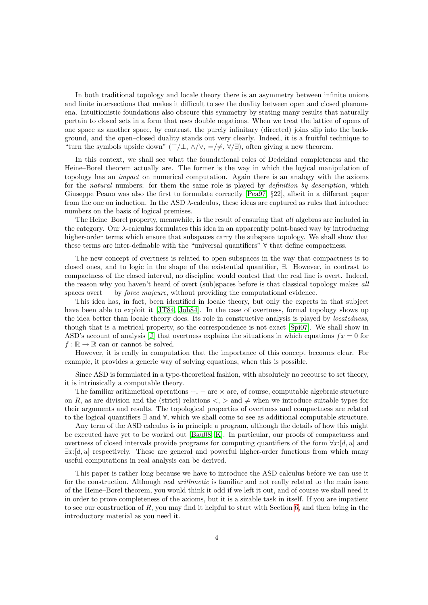In both traditional topology and locale theory there is an asymmetry between infinite unions and finite intersections that makes it difficult to see the duality between open and closed phenomena. Intuitionistic foundations also obscure this symmetry by stating many results that naturally pertain to closed sets in a form that uses double negations. When we treat the lattice of opens of one space as another space, by contrast, the purely infinitary (directed) joins slip into the background, and the open–closed duality stands out very clearly. Indeed, it is a fruitful technique to "turn the symbols upside down"  $(\top/\bot, \wedge/\vee, =/\neq, \forall/\exists)$ , often giving a new theorem.

In this context, we shall see what the foundational roles of Dedekind completeness and the Heine–Borel theorem actually are. The former is the way in which the logical manipulation of topology has an impact on numerical computation. Again there is an analogy with the axioms for the natural numbers: for them the same role is played by *definition by description*, which Giuseppe Peano was also the first to formulate correctly [\[Pea97,](#page-70-3) §22], albeit in a different paper from the one on induction. In the ASD  $\lambda$ -calculus, these ideas are captured as rules that introduce numbers on the basis of logical premises.

The Heine–Borel property, meanwhile, is the result of ensuring that all algebras are included in the category. Our λ-calculus formulates this idea in an apparently point-based way by introducing higher-order terms which ensure that subspaces carry the subspace topology. We shall show that these terms are inter-definable with the "universal quantifiers" ∀ that define compactness.

The new concept of overtness is related to open subspaces in the way that compactness is to closed ones, and to logic in the shape of the existential quantifier, ∃. However, in contrast to compactness of the closed interval, no discipline would contest that the real line is overt. Indeed, the reason why you haven't heard of overt (sub)spaces before is that classical topology makes all spaces overt  $-$  by *force majeure*, without providing the computational evidence.

This idea has, in fact, been identified in locale theory, but only the experts in that subject have been able to exploit it [\[JT84,](#page-70-4) [Joh84\]](#page-70-5). In the case of overtness, formal topology shows up the idea better than locale theory does. Its role in constructive analysis is played by locatedness, though that is a metrical property, so the correspondence is not exact [\[Spi07\]](#page-71-2). We shall show in ASD's account of analysis [\[J\]](#page-72-1) that overtness explains the situations in which equations  $fx = 0$  for  $f : \mathbb{R} \to \mathbb{R}$  can or cannot be solved.

However, it is really in computation that the importance of this concept becomes clear. For example, it provides a generic way of solving equations, when this is possible.

Since ASD is formulated in a type-theoretical fashion, with absolutely no recourse to set theory, it is intrinsically a computable theory.

The familiar arithmetical operations  $+$ ,  $-$  are  $\times$  are, of course, computable algebraic structure on R, as are division and the (strict) relations  $\langle \cdot, \cdot \rangle$  and  $\neq$  when we introduce suitable types for their arguments and results. The topological properties of overtness and compactness are related to the logical quantifiers ∃ and ∀, which we shall come to see as additional computable structure.

Any term of the ASD calculus is in principle a program, although the details of how this might be executed have yet to be worked out [\[Bau08,](#page-68-0) [K\]](#page-72-0). In particular, our proofs of compactness and overtness of closed intervals provide programs for computing quantifiers of the form  $\forall x: [d, u]$  and  $\exists x:[d, u]$  respectively. These are general and powerful higher-order functions from which many useful computations in real analysis can be derived.

This paper is rather long because we have to introduce the ASD calculus before we can use it for the construction. Although real *arithmetic* is familiar and not really related to the main issue of the Heine–Borel theorem, you would think it odd if we left it out, and of course we shall need it in order to prove completeness of the axioms, but it is a sizable task in itself. If you are impatient to see our construction of  $R$ , you may find it helpful to start with Section [6,](#page-27-0) and then bring in the introductory material as you need it.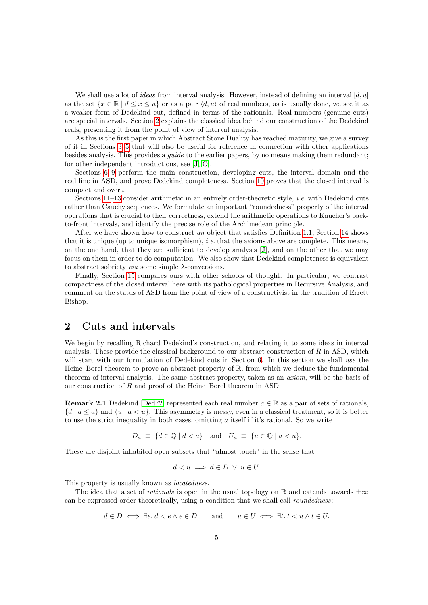We shall use a lot of *ideas* from interval analysis. However, instead of defining an interval  $[d, u]$ as the set  $\{x \in \mathbb{R} \mid d \leq x \leq u\}$  or as a pair  $\langle d, u \rangle$  of real numbers, as is usually done, we see it as a weaker form of Dedekind cut, defined in terms of the rationals. Real numbers (genuine cuts) are special intervals. Section [2](#page-4-0) explains the classical idea behind our construction of the Dedekind reals, presenting it from the point of view of interval analysis.

As this is the first paper in which Abstract Stone Duality has reached maturity, we give a survey of it in Sections [3](#page-11-0)[–5](#page-21-0) that will also be useful for reference in connection with other applications besides analysis. This provides a guide to the earlier papers, by no means making them redundant; for other independent introductions, see [\[J,](#page-72-1) [O\]](#page-72-2).

Sections [6](#page-27-0)[–9](#page-41-0) perform the main construction, developing cuts, the interval domain and the real line in ASD, and prove Dedekind completeness. Section [10](#page-44-0) proves that the closed interval is compact and overt.

Sections [11](#page-48-0)[–13](#page-57-0) consider arithmetic in an entirely order-theoretic style, i.e. with Dedekind cuts rather than Cauchy sequences. We formulate an important "roundedness" property of the interval operations that is crucial to their correctness, extend the arithmetic operations to Kaucher's backto-front intervals, and identify the precise role of the Archimedean principle.

After we have shown how to construct an object that satisfies Definition [1.1,](#page-1-1) Section [14](#page-59-0) shows that it is unique (up to unique isomorphism), *i.e.* that the axioms above are complete. This means, on the one hand, that they are sufficient to develop analysis [\[J\]](#page-72-1), and on the other that we may focus on them in order to do computation. We also show that Dedekind completeness is equivalent to abstract sobriety via some simple λ-conversions.

Finally, Section [15](#page-63-0) compares ours with other schools of thought. In particular, we contrast compactness of the closed interval here with its pathological properties in Recursive Analysis, and comment on the status of ASD from the point of view of a constructivist in the tradition of Errett Bishop.

# <span id="page-4-0"></span>2 Cuts and intervals

We begin by recalling Richard Dedekind's construction, and relating it to some ideas in interval analysis. These provide the classical background to our abstract construction of  $R$  in ASD, which will start with our formulation of Dedekind cuts in Section [6.](#page-27-0) In this section we shall use the Heine–Borel theorem to prove an abstract property of R, from which we deduce the fundamental theorem of interval analysis. The same abstract property, taken as an axiom, will be the basis of our construction of R and proof of the Heine–Borel theorem in ASD.

<span id="page-4-1"></span>**Remark 2.1** Dedekind [\[Ded72\]](#page-69-0) represented each real number  $a \in \mathbb{R}$  as a pair of sets of rationals,  ${d | d \lt a}$  and  ${u | a \lt u}$ . This asymmetry is messy, even in a classical treatment, so it is better to use the strict inequality in both cases, omitting a itself if it's rational. So we write

$$
D_a \equiv \{d \in \mathbb{Q} \mid d < a\} \quad \text{and} \quad U_a \equiv \{u \in \mathbb{Q} \mid a < u\}.
$$

These are disjoint inhabited open subsets that "almost touch" in the sense that

$$
d < u \implies d \in D \ \lor \ u \in U.
$$

This property is usually known as locatedness.

The idea that a set of *rationals* is open in the usual topology on R and extends towards  $\pm \infty$ can be expressed order-theoretically, using a condition that we shall call roundedness:

$$
d \in D \iff \exists e. \ d < e \land e \in D \qquad \text{and} \qquad u \in U \iff \exists t. \ t < u \land t \in U.
$$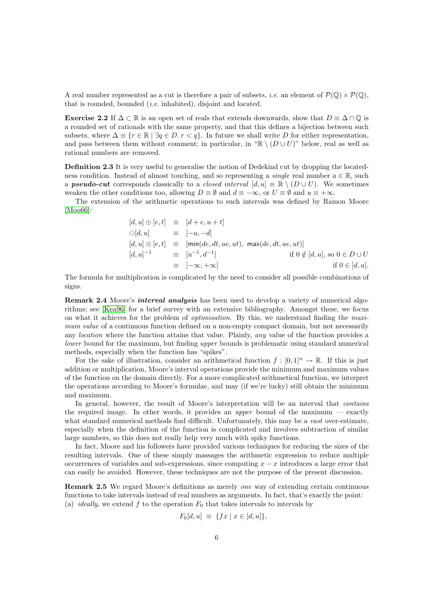A real number represented as a cut is therefore a pair of subsets, *i.e.* an element of  $\mathcal{P}(\mathbb{Q}) \times \mathcal{P}(\mathbb{Q})$ , that is rounded, bounded (i.e. inhabited), disjoint and located.

<span id="page-5-0"></span>**Exercise 2.2** If  $\Delta \subset \mathbb{R}$  is an open set of reals that extends downwards, show that  $D \equiv \Delta \cap \mathbb{Q}$  is a rounded set of rationals with the same property, and that this defines a bijection between such subsets, where  $\Delta \equiv \{r \in \mathbb{R} \mid \exists q \in D. r < q\}.$  In future we shall write D for either representation, and pass between them without comment; in particular, in " $\mathbb{R} \setminus (D \cup U)$ " below, real as well as rational numbers are removed.

<span id="page-5-2"></span>Definition 2.3 It is very useful to generalise the notion of Dedekind cut by dropping the locatedness condition. Instead of almost touching, and so representing a *single* real number  $a \in \mathbb{R}$ , such a **pseudo-cut** corresponds classically to a *closed interval*  $[d, u] \equiv \mathbb{R} \setminus (D \cup U)$ . We sometimes weaken the other conditions too, allowing  $D \equiv \emptyset$  and  $d \equiv -\infty$ , or  $U \equiv \emptyset$  and  $u \equiv +\infty$ .

The extension of the arithmetic operations to such intervals was defined by Ramon Moore [\[Moo66\]](#page-70-6):

$$
[d, u] \oplus [e, t] \equiv [d + e, u + t]
$$
  
\n
$$
\ominus [d, u] \equiv [-u, -d]
$$
  
\n
$$
[d, u] \otimes [e, t] \equiv [\min(de, dt, ue, ut), \max(de, dt, ue, ut)]
$$
  
\n
$$
[d, u]^{-1} \equiv [u^{-1}, d^{-1}] \qquad \text{if } 0 \notin [d, u], \text{ so } 0 \in D \cup U
$$
  
\n
$$
\equiv [-\infty, +\infty] \qquad \text{if } 0 \in [d, u].
$$

The formula for multiplication is complicated by the need to consider all possible combinations of signs.

Remark 2.4 Moore's *interval analysis* has been used to develop a variety of numerical algorithms; see [\[Kea96\]](#page-70-7) for a brief survey with an extensive bibliography. Amongst these, we focus on what it achieves for the problem of optimisation. By this, we understand finding the maximum value of a continuous function defined on a non-empty compact domain, but not necessarily any location where the function attains that value. Plainly, any value of the function provides a lower bound for the maximum, but finding upper bounds is problematic using standard numerical methods, especially when the function has "spikes".

For the sake of illustration, consider an arithmetical function  $f : [0,1]^n \to \mathbb{R}$ . If this is just addition or multiplication, Moore's interval operations provide the minimum and maximum values of the function on the domain directly. For a more complicated arithmetical function, we interpret the operations according to Moore's formulae, and may (if we're lucky) still obtain the minimum and maximum.

In general, however, the result of Moore's interpretation will be an interval that *contains* the required image. In other words, it provides an upper bound of the maximum  $-$  exactly what standard numerical methods find difficult. Unfortunately, this may be a vast over-estimate, especially when the definition of the function is complicated and involves subtraction of similar large numbers, so this does not really help very much with spiky functions.

In fact, Moore and his followers have provided various techniques for reducing the sizes of the resulting intervals. One of these simply massages the arithmetic expression to reduce multiple occurrences of variables and sub-expressions, since computing  $x - x$  introduces a large error that can easily be avoided. However, these techniques are not the purpose of the present discussion.

<span id="page-5-1"></span>Remark 2.5 We regard Moore's definitions as merely one way of extending certain continuous functions to take intervals instead of real numbers as arguments. In fact, that's exactly the point: (a) *ideally*, we extend f to the operation  $F_0$  that takes intervals to intervals by

$$
F_0[d, u] \equiv \{ fx \mid x \in [d, u] \},
$$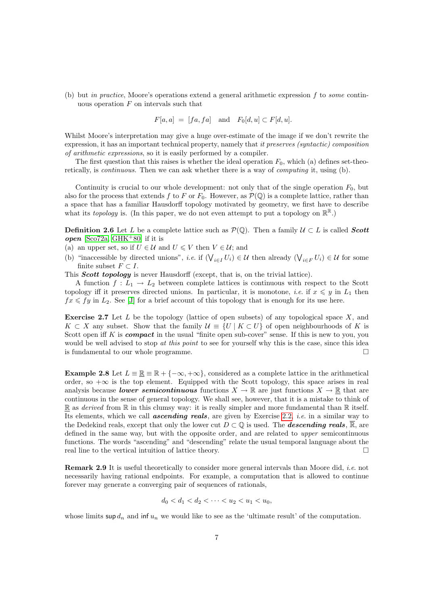(b) but in practice, Moore's operations extend a general arithmetic expression f to some continuous operation  $F$  on intervals such that

$$
F[a, a] = [fa, fa] \text{ and } F_0[a, u] \subset F[d, u].
$$

Whilst Moore's interpretation may give a huge over-estimate of the image if we don't rewrite the expression, it has an important technical property, namely that it preserves (syntactic) composition of arithmetic expressions, so it is easily performed by a compiler.

The first question that this raises is whether the ideal operation  $F_0$ , which (a) defines set-theoretically, is *continuous*. Then we can ask whether there is a way of *computing* it, using (b).

Continuity is crucial to our whole development: not only that of the single operation  $F_0$ , but also for the process that extends f to F or  $F_0$ . However, as  $\mathcal{P}(\mathbb{Q})$  is a complete lattice, rather than a space that has a familiar Hausdorff topology motivated by geometry, we first have to describe what its *topology* is. (In this paper, we do not even attempt to put a topology on  $\mathbb{R}^{\mathbb{R}}$ .)

<span id="page-6-2"></span>**Definition 2.6** Let L be a complete lattice such as  $\mathcal{P}(\mathbb{Q})$ . Then a family  $\mathcal{U} \subset L$  is called **Scott open** [\[Sco72a,](#page-71-3) [GHK](#page-69-3)+80] if it is

- (a) an upper set, so if  $U \in \mathcal{U}$  and  $U \leq V$  then  $V \in \mathcal{U}$ ; and
- (b) "inaccessible by directed unions", *i.e.* if  $(\bigvee_{i\in I} U_i) \in \mathcal{U}$  then already  $(\bigvee_{i\in F} U_i) \in \mathcal{U}$  for some finite subset  $F \subset I$ .

This **Scott topology** is never Hausdorff (except, that is, on the trivial lattice).

A function  $f: L_1 \to L_2$  between complete lattices is continuous with respect to the Scott topology iff it preserves directed unions. In particular, it is monotone, *i.e.* if  $x \leq y$  in  $L_1$  then  $fx \leq f y$  in  $L_2$ . See [\[J\]](#page-72-1) for a brief account of this topology that is enough for its use here.

<span id="page-6-0"></span>**Exercise 2.7** Let L be the topology (lattice of open subsets) of any topological space  $X$ , and  $K \subset X$  any subset. Show that the family  $\mathcal{U} \equiv \{U \mid K \subset U\}$  of open neighbourhoods of K is Scott open iff  $K$  is *compact* in the usual "finite open sub-cover" sense. If this is new to you, you would be well advised to stop at this point to see for yourself why this is the case, since this idea is fundamental to our whole programme.

<span id="page-6-3"></span>Example 2.8 Let  $L \equiv \mathbb{R} \equiv \mathbb{R} + \{-\infty, +\infty\}$ , considered as a complete lattice in the arithmetical order, so  $+\infty$  is the top element. Equipped with the Scott topology, this space arises in real analysis because lower semicontinuous functions  $X \to \mathbb{R}$  are just functions  $X \to \mathbb{R}$  that are continuous in the sense of general topology. We shall see, however, that it is a mistake to think of  $\mathbb R$  as derived from  $\mathbb R$  in this clumsy way: it is really simpler and more fundamental than  $\mathbb R$  itself. Its elements, which we call **ascending reals**, are given by Exercise [2.2,](#page-5-0) *i.e.* in a similar way to the Dedekind reals, except that only the lower cut  $D \subset \mathbb{Q}$  is used. The **descending reals**,  $\mathbb{R}$ , are defined in the same way, but with the opposite order, and are related to *upper* semicontinuous functions. The words "ascending" and "descending" relate the usual temporal language about the real line to the vertical intuition of lattice theory.

<span id="page-6-1"></span>**Remark 2.9** It is useful theoretically to consider more general intervals than Moore did, *i.e.* not necessarily having rational endpoints. For example, a computation that is allowed to continue forever may generate a converging pair of sequences of rationals,

$$
d_0 < d_1 < d_2 < \cdots < u_2 < u_1 < u_0,
$$

whose limits sup  $d_n$  and inf  $u_n$  we would like to see as the 'ultimate result' of the computation.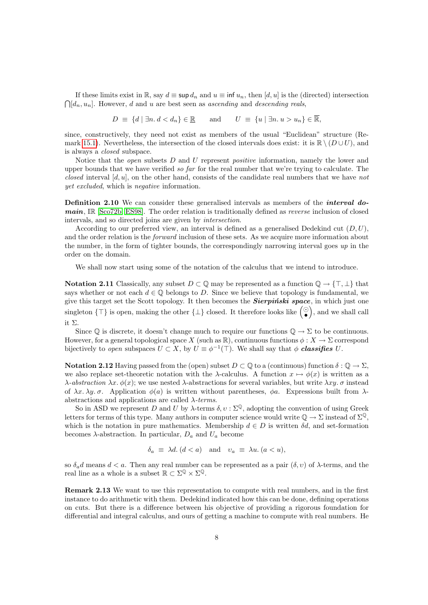If these limits exist in  $\mathbb{R}$ , say  $d \equiv \sup d_n$  and  $u \equiv \inf u_n$ , then  $[d, u]$  is the (directed) intersection  $\bigcap [d_n, u_n]$ . However, d and u are best seen as ascending and descending reals,

 $D \equiv \{d \mid \exists n. d < d_n\} \in \mathbb{R}$  and  $U \equiv \{u \mid \exists n. u > u_n\} \in \mathbb{R}$ ,

since, constructively, they need not exist as members of the usual "Euclidean" structure (Re-mark [15.1\)](#page-63-1). Nevertheless, the intersection of the closed intervals does exist: it is  $\mathbb{R} \setminus (D \cup U)$ , and is always a closed subspace.

Notice that the *open* subsets  $D$  and  $U$  represent *positive* information, namely the lower and upper bounds that we have verified so far for the real number that we're trying to calculate. The closed interval  $[d, u]$ , on the other hand, consists of the candidate real numbers that we have not yet excluded, which is negative information.

**Definition 2.10** We can consider these generalised intervals as members of the *interval do-*main, IR [\[Sco72b,](#page-71-4) [ES98\]](#page-69-4). The order relation is traditionally defined as *reverse* inclusion of closed intervals, and so directed joins are given by intersection.

According to our preferred view, an interval is defined as a generalised Dedekind cut  $(D, U)$ , and the order relation is the *forward* inclusion of these sets. As we acquire more information about the number, in the form of tighter bounds, the correspondingly narrowing interval goes  $up$  in the order on the domain.

We shall now start using some of the notation of the calculus that we intend to introduce.

<span id="page-7-0"></span>Notation 2.11 Classically, any subset  $D \subset \mathbb{Q}$  may be represented as a function  $\mathbb{Q} \to \{\top, \bot\}$  that says whether or not each  $d \in \mathbb{Q}$  belongs to D. Since we believe that topology is fundamental, we give this target set the Scott topology. It then becomes the **Sierpinski space**, in which just one singleton  $\{\top\}$  is open, making the other  $\{\bot\}$  closed. It therefore looks like  $\begin{pmatrix} \odot \\ \bullet \end{pmatrix}$ , and we shall call it Σ.

Since  $\mathbb Q$  is discrete, it doesn't change much to require our functions  $\mathbb Q \to \Sigma$  to be continuous. However, for a general topological space X (such as  $\mathbb{R}$ ), continuous functions  $\phi: X \to \Sigma$  correspond bijectively to open subspaces  $U \subset X$ , by  $U \equiv \phi^{-1}(\top)$ . We shall say that  $\phi$  **classifies** U.

<span id="page-7-1"></span>**Notation 2.12** Having passed from the (open) subset  $D \subset \mathbb{Q}$  to a (continuous) function  $\delta : \mathbb{Q} \to \Sigma$ , we also replace set-theoretic notation with the  $\lambda$ -calculus. A function  $x \mapsto \phi(x)$  is written as a λ-abstraction  $\lambda x$ .  $\phi(x)$ ; we use nested λ-abstractions for several variables, but write  $\lambda xy$ . σ instead of  $\lambda x.\lambda y.\sigma$ . Application  $\phi(a)$  is written without parentheses,  $\phi a$ . Expressions built from  $\lambda$ abstractions and applications are called  $\lambda$ -terms.

So in ASD we represent D and U by  $\lambda$ -terms  $\delta, v : \Sigma^{\mathbb{Q}}$ , adopting the convention of using Greek letters for terms of this type. Many authors in computer science would write  $\mathbb{Q} \to \Sigma$  instead of  $\Sigma^{\mathbb{Q}}$ , which is the notation in pure mathematics. Membership  $d \in D$  is written  $\delta d$ , and set-formation becomes  $\lambda$ -abstraction. In particular,  $D_a$  and  $U_a$  become

$$
\delta_a \equiv \lambda d. (d < a) \quad \text{and} \quad v_a \equiv \lambda u. (a < u),
$$

so  $\delta_a d$  means  $d < a$ . Then any real number can be represented as a pair  $(\delta, v)$  of  $\lambda$ -terms, and the real line as a whole is a subset  $\mathbb{R} \subset \Sigma^{\mathbb{Q}} \times \Sigma^{\mathbb{Q}}$ .

<span id="page-7-2"></span>Remark 2.13 We want to use this representation to compute with real numbers, and in the first instance to do arithmetic with them. Dedekind indicated how this can be done, defining operations on cuts. But there is a difference between his objective of providing a rigorous foundation for differential and integral calculus, and ours of getting a machine to compute with real numbers. He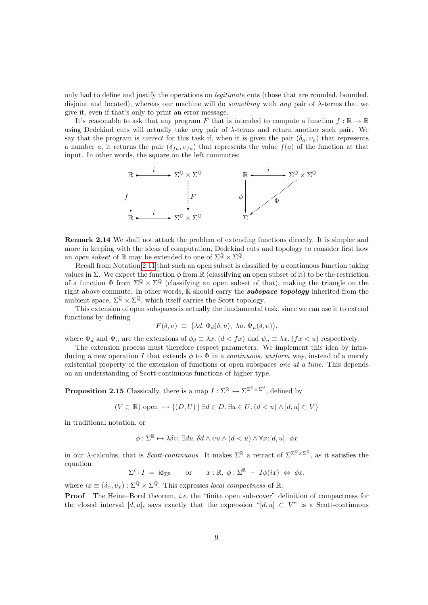only had to define and justify the operations on legitimate cuts (those that are rounded, bounded, disjoint and located), whereas our machine will do *something* with any pair of  $\lambda$ -terms that we give it, even if that's only to print an error message.

It's reasonable to ask that any program F that is intended to compute a function  $f : \mathbb{R} \to \mathbb{R}$ using Dedekind cuts will actually take any pair of  $\lambda$ -terms and return another such pair. We say that the program is *correct* for this task if, when it is given the pair  $(\delta_a, v_a)$  that represents a number a, it returns the pair  $(\delta_{fa}, v_{fa})$  that represents the value  $f(a)$  of the function at that input. In other words, the square on the left commutes:



<span id="page-8-1"></span>Remark 2.14 We shall not attack the problem of extending functions directly. It is simpler and more in keeping with the ideas of computation, Dedekind cuts and topology to consider first how an open subset of R may be extended to one of  $\Sigma^{\mathbb{Q}} \times \Sigma^{\mathbb{Q}}$ .

Recall from Notation [2.11](#page-7-0) that such an open subset is classified by a continuous function taking values in Σ. We expect the function  $\phi$  from R (classifying an open subset of it) to be the restriction of a function  $\Phi$  from  $\Sigma^{\mathbb{Q}} \times \Sigma^{\mathbb{Q}}$  (classifying an open subset of that), making the triangle on the right above commute. In other words, R should carry the **subspace topology** inherited from the ambient space,  $\Sigma^{\mathbb{Q}} \times \Sigma^{\mathbb{Q}}$ , which itself carries the Scott topology.

This extension of open subspaces is actually the fundamental task, since we can use it to extend functions by defining

$$
F(\delta, v) \equiv (\lambda d. \Phi_d(\delta, v), \lambda u. \Psi_u(\delta, v)),
$$

where  $\Phi_d$  and  $\Psi_u$  are the extensions of  $\phi_d \equiv \lambda x$ .  $(d < fx)$  and  $\psi_u \equiv \lambda x$ .  $(fx < u)$  respectively.

The extension process must therefore respect parameters. We implement this idea by introducing a new operation I that extends  $\phi$  to  $\Phi$  in a *continuous, uniform* way, instead of a merely existential property of the extension of functions or open subspaces one at a time. This depends on an understanding of Scott-continuous functions of higher type.

<span id="page-8-0"></span>**Proposition 2.15** Classically, there is a map  $I : \Sigma^{\mathbb{R}} \to \Sigma^{\Sigma^{\mathbb{Q}} \times \Sigma^{\mathbb{Q}}},$  defined by

$$
(V \subset \mathbb{R}) \text{ open } \mapsto \{ (D, U) \mid \exists d \in D. \exists u \in U. \ (d < u) \land [d, u] \subset V \}
$$

in traditional notation, or

 $\phi : \Sigma^{\mathbb{R}} \mapsto \lambda \delta \upsilon$ .  $\exists du \, \delta d \wedge vu \wedge (d \langle u \rangle \wedge \forall x : [d, u] \cdot \phi x$ 

in our  $\lambda$ -calculus, that is *Scott-continuous*. It makes  $\Sigma^{\mathbb{R}}$  a retract of  $\Sigma^{\Sigma^{\mathbb{Q}}\times\Sigma^{\mathbb{Q}}}$ , as it satisfies the equation

$$
\Sigma^i \cdot I \ = \ \text{id}_{\Sigma^\mathbb{R}} \qquad \text{or} \qquad x : \mathbb{R}, \ \phi : \Sigma^\mathbb{R} \ \vdash \ I \phi(ix) \ \Leftrightarrow \ \phi x,
$$

where  $ix \equiv (\delta_x, v_x) : \Sigma^{\mathbb{Q}} \times \Sigma^{\mathbb{Q}}$ . This expresses *local compactness* of  $\mathbb{R}$ .

**Proof** The Heine–Borel theorem, *i.e.* the "finite open sub-cover" definition of compactness for the closed interval  $[d, u]$ , says exactly that the expression " $[d, u] \subset V$ " is a Scott-continuous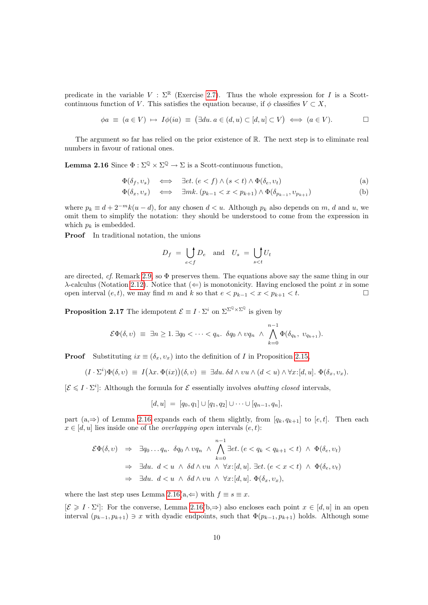predicate in the variable  $V : \Sigma^{\mathbb{R}}$  (Exercise [2.7\)](#page-6-0). Thus the whole expression for I is a Scottcontinuous function of V. This satisfies the equation because, if  $\phi$  classifies  $V \subset X$ ,

$$
\phi a \equiv (a \in V) \ \mapsto \ I\phi(ia) \equiv (\exists du. \ a \in (d, u) \subset [d, u] \subset V) \ \Longleftrightarrow \ (a \in V).
$$

The argument so far has relied on the prior existence of R. The next step is to eliminate real numbers in favour of rational ones.

<span id="page-9-0"></span>**Lemma 2.16** Since  $\Phi : \Sigma^{\mathbb{Q}} \times \Sigma^{\mathbb{Q}} \to \Sigma$  is a Scott-continuous function,

$$
\Phi(\delta_f, v_s) \iff \exists et. (e < f) \land (s < t) \land \Phi(\delta_e, v_t)
$$
\n
$$
\tag{a}
$$

$$
\Phi(\delta_x, \nu_x) \quad \Longleftrightarrow \quad \exists mk. \left( p_{k-1} < x < p_{k+1} \right) \land \Phi(\delta_{p_{k-1}}, \nu_{p_{k+1}}) \tag{b}
$$

where  $p_k \equiv d + 2^{-m}k(u - d)$ , for any chosen  $d < u$ . Although  $p_k$  also depends on m, d and u, we omit them to simplify the notation: they should be understood to come from the expression in which  $p_k$  is embedded.

Proof In traditional notation, the unions

$$
D_f = \bigcup_{e < f} D_e \quad \text{and} \quad U_s = \bigcup_{s < t} U_t
$$

are directed, cf. Remark [2.9,](#page-6-1) so  $\Phi$  preserves them. The equations above say the same thing in our  $\lambda$ -calculus (Notation [2.12\)](#page-7-1). Notice that  $(\Leftarrow)$  is monotonicity. Having enclosed the point x in some open interval  $(e, t)$ , we may find m and k so that  $e < p_{k-1} < x < p_{k+1} < t$ .

<span id="page-9-1"></span>**Proposition 2.17** The idempotent  $\mathcal{E} \equiv I \cdot \Sigma^i$  on  $\Sigma^{\Sigma^{\mathbb{Q}} \times \Sigma^{\mathbb{Q}}}$  is given by

$$
\mathcal{E}\Phi(\delta,\nu) \equiv \exists n \geq 1. \ \exists q_0 < \cdots < q_n. \ \delta q_0 \wedge \nu q_n \wedge \bigwedge_{k=0}^{n-1} \Phi(\delta_{q_k}, \ \nu_{q_{k+1}}).
$$

**Proof** Substituting  $ix \equiv (\delta_x, v_x)$  into the definition of I in Proposition [2.15,](#page-8-0)

$$
(I \cdot \Sigma^{i})\Phi(\delta, v) \equiv I(\lambda x. \Phi(ix))(\delta, v) \equiv \exists du. \delta d \wedge vu \wedge (d < u) \wedge \forall x. [d, u]. \Phi(\delta_x, v_x).
$$

 $[\mathcal{E} \leq I \cdot \Sigma^{i}].$  Although the formula for  $\mathcal{E}$  essentially involves *abutting closed* intervals,

$$
[d, u] = [q_0, q_1] \cup [q_1, q_2] \cup \cdots \cup [q_{n-1}, q_n],
$$

part  $(a, \Rightarrow)$  of Lemma [2.16](#page-9-0) expands each of them slightly, from  $[q_k, q_{k+1}]$  to  $[e, t]$ . Then each  $x \in [d, u]$  lies inside one of the *overlapping open* intervals  $(e, t)$ :

$$
\mathcal{E}\Phi(\delta, v) \Rightarrow \exists q_0 \dots q_n. \ \delta q_0 \wedge v q_n \wedge \bigwedge_{k=0}^{n-1} \exists \epsilon t. \ (e < q_k < q_{k+1} < t) \wedge \Phi(\delta_{\epsilon}, v_t)
$$
\n
$$
\Rightarrow \exists du. \ d < u \wedge \delta d \wedge vu \wedge \forall x: [d, u]. \ \exists \epsilon t. \ (e < x < t) \wedge \Phi(\delta_{\epsilon}, v_t)
$$
\n
$$
\Rightarrow \exists du. \ d < u \wedge \delta d \wedge vu \wedge \forall x: [d, u]. \ \Phi(\delta_x, v_x),
$$

where the last step uses Lemma [2.16\(](#page-9-0)a,  $\Leftarrow$ ) with  $f \equiv s \equiv x$ .

 $[\mathcal{E} \geq I \cdot \Sigma^{i}].$  For the converse, Lemma [2.16\(](#page-9-0)b,  $\Rightarrow$ ) also encloses each point  $x \in [d, u]$  in an open interval  $(p_{k-1}, p_{k+1}) \ni x$  with dyadic endpoints, such that  $\Phi(p_{k-1}, p_{k+1})$  holds. Although some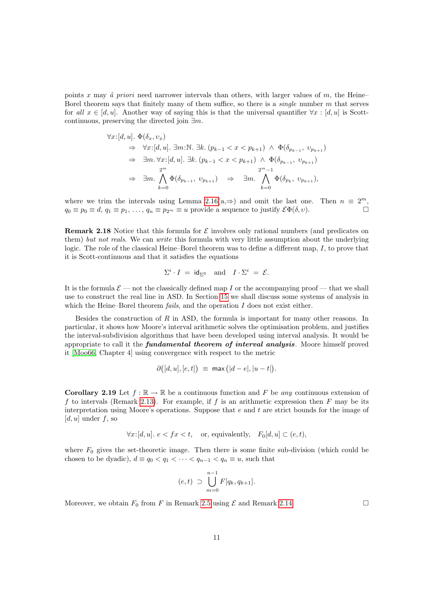points x may  $\hat{a}$  priori need narrower intervals than others, with larger values of m, the Heine– Borel theorem says that finitely many of them suffice, so there is a *single* number  $m$  that serves for all  $x \in [d, u]$ . Another way of saying this is that the universal quantifier  $\forall x : [d, u]$  is Scottcontinuous, preserving the directed join  $\exists m$ .

$$
\forall x: [d, u]. \Phi(\delta_x, v_x)
$$
  
\n
$$
\Rightarrow \forall x: [d, u]. \exists m: \mathbb{N}. \exists k. (p_{k-1} < x < p_{k+1}) \land \Phi(\delta_{p_{k-1}}, v_{p_{k+1}})
$$
  
\n
$$
\Rightarrow \exists m. \forall x: [d, u]. \exists k. (p_{k-1} < x < p_{k+1}) \land \Phi(\delta_{p_{k-1}}, v_{p_{k+1}})
$$
  
\n
$$
\Rightarrow \exists m. \bigwedge_{k=0}^{2^m} \Phi(\delta_{p_{k-1}}, v_{p_{k+1}}) \Rightarrow \exists m. \bigwedge_{k=0}^{2^m-1} \Phi(\delta_{p_k}, v_{p_{k+1}}),
$$

where we trim the intervals using Lemma [2.16\(](#page-9-0)a,  $\Rightarrow$ ) and omit the last one. Then  $n \equiv 2^m$ ,  $q_0 \equiv p_0 \equiv d, q_1 \equiv p_1, \ldots, q_n \equiv p_{2^m} \equiv u$  provide a sequence to justify  $\mathcal{E}\Phi(\delta, v)$ .

<span id="page-10-0"></span>**Remark 2.18** Notice that this formula for  $\mathcal{E}$  involves only rational numbers (and predicates on them) but not reals. We can write this formula with very little assumption about the underlying logic. The role of the classical Heine–Borel theorem was to define a different map, I, to prove that it is Scott-continuous and that it satisfies the equations

$$
\Sigma^i \cdot I = \mathrm{id}_{\Sigma^{\mathbb{R}}} \quad \text{and} \quad I \cdot \Sigma^i = \mathcal{E}.
$$

It is the formula  $\mathcal{E}$  — not the classically defined map I or the accompanying proof — that we shall use to construct the real line in ASD. In Section [15](#page-63-0) we shall discuss some systems of analysis in which the Heine–Borel theorem *fails*, and the operation  $I$  does not exist either.

Besides the construction of  $R$  in ASD, the formula is important for many other reasons. In particular, it shows how Moore's interval arithmetic solves the optimisation problem, and justifies the interval-subdivision algorithms that have been developed using interval analysis. It would be appropriate to call it the *fundamental theorem of interval analysis*. Moore himself proved it [\[Moo66,](#page-70-6) Chapter 4] using convergence with respect to the metric

$$
\partial([d, u], [e, t]) \equiv \max(|d - e|, |u - t|).
$$

**Corollary 2.19** Let  $f : \mathbb{R} \to \mathbb{R}$  be a continuous function and F be any continuous extension of f to intervals (Remark [2.13\)](#page-7-2). For example, if f is an arithmetic expression then F may be its interpretation using Moore's operations. Suppose that  $e$  and  $t$  are strict bounds for the image of  $[d, u]$  under f, so

$$
\forall x: [d, u]. \ e < fx < t, \quad \text{or, equivalently,} \quad F_0[d, u] \subset (e, t),
$$

where  $F_0$  gives the set-theoretic image. Then there is some finite sub-division (which could be chosen to be dyadic),  $d \equiv q_0 < q_1 < \cdots < q_{n-1} < q_n \equiv u$ , such that

$$
(e,t) \supset \bigcup_{m=0}^{n-1} F[q_k, q_{k+1}].
$$

Moreover, we obtain  $F_0$  from F in Remark [2.5](#page-5-1) using  $\mathcal E$  and Remark [2.14.](#page-8-1)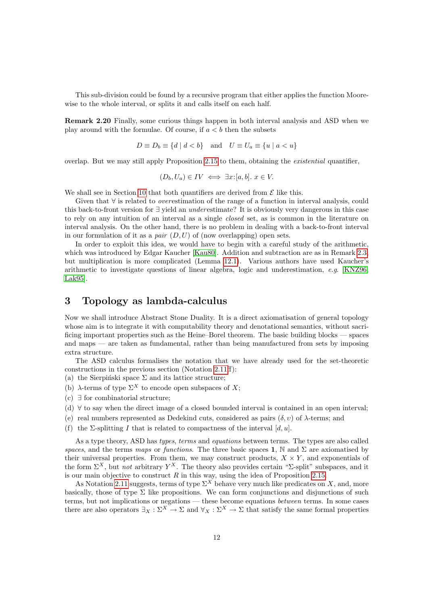This sub-division could be found by a recursive program that either applies the function Moorewise to the whole interval, or splits it and calls itself on each half.

<span id="page-11-1"></span>Remark 2.20 Finally, some curious things happen in both interval analysis and ASD when we play around with the formulae. Of course, if  $a < b$  then the subsets

$$
D \equiv D_b \equiv \{d \mid d < b\} \quad \text{and} \quad U \equiv U_a \equiv \{u \mid a < u\}
$$

overlap. But we may still apply Proposition [2.15](#page-8-0) to them, obtaining the existential quantifier,

$$
(D_b, U_a) \in IV \iff \exists x : [a, b]. \ x \in V.
$$

We shall see in Section [10](#page-44-0) that both quantifiers are derived from  $\mathcal E$  like this.

Given that ∀ is related to overestimation of the range of a function in interval analysis, could this back-to-front version for ∃ yield an underestimate? It is obviously very dangerous in this case to rely on any intuition of an interval as a single closed set, as is common in the literature on interval analysis. On the other hand, there is no problem in dealing with a back-to-front interval in our formulation of it as a *pair*  $(D, U)$  of (now overlapping) open sets.

In order to exploit this idea, we would have to begin with a careful study of the arithmetic, which was introduced by Edgar Kaucher [\[Kau80\]](#page-70-8). Addition and subtraction are as in Remark [2.3,](#page-5-2) but multiplication is more complicated (Lemma [12.1\)](#page-53-1). Various authors have used Kaucher's arithmetic to investigate questions of linear algebra, logic and underestimation, e.g. [\[KNZ96,](#page-70-9) [Lak95\]](#page-70-10).

### <span id="page-11-0"></span>3 Topology as lambda-calculus

Now we shall introduce Abstract Stone Duality. It is a direct axiomatisation of general topology whose aim is to integrate it with computability theory and denotational semantics, without sacrificing important properties such as the Heine–Borel theorem. The basic building blocks — spaces and maps — are taken as fundamental, rather than being manufactured from sets by imposing extra structure.

The ASD calculus formalises the notation that we have already used for the set-theoretic constructions in the previous section (Notation [2.11ff](#page-7-0)):

- (a) the Sierpinski space  $\Sigma$  and its lattice structure;
- (b)  $\lambda$ -terms of type  $\Sigma^X$  to encode open subspaces of X;
- (c) ∃ for combinatorial structure;
- (d) ∀ to say when the direct image of a closed bounded interval is contained in an open interval;
- (e) real numbers represented as Dedekind cuts, considered as pairs  $(\delta, v)$  of  $\lambda$ -terms; and
- (f) the Σ-splitting I that is related to compactness of the interval  $[d, u]$ .

As a type theory, ASD has types, terms and equations between terms. The types are also called spaces, and the terms maps or functions. The three basic spaces 1, N and  $\Sigma$  are axiomatised by their universal properties. From them, we may construct products,  $X \times Y$ , and exponentials of the form  $\Sigma^X$ , but *not* arbitrary  $Y^X$ . The theory also provides certain "Σ-split" subspaces, and it is our main objective to construct  $R$  in this way, using the idea of Proposition [2.15.](#page-8-0)

As Notation [2.11](#page-7-0) suggests, terms of type  $\Sigma^X$  behave very much like predicates on X, and, more basically, those of type  $\Sigma$  like propositions. We can form conjunctions and disjunctions of such terms, but not implications or negations — these become equations between terms. In some cases there are also operators  $\exists_X : \Sigma^X \to \Sigma$  and  $\forall_X : \Sigma^X \to \Sigma$  that satisfy the same formal properties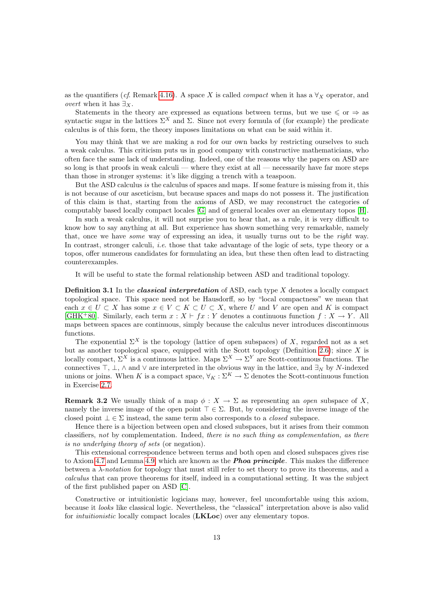as the quantifiers (cf. Remark [4.16\)](#page-18-0). A space X is called *compact* when it has a  $\forall$ <sub>X</sub> operator, and *overt* when it has  $\exists x$ .

Statements in the theory are expressed as equations between terms, but we use  $\leq$  or  $\Rightarrow$  as syntactic sugar in the lattices  $\Sigma^X$  and  $\Sigma$ . Since not every formula of (for example) the predicate calculus is of this form, the theory imposes limitations on what can be said within it.

You may think that we are making a rod for our own backs by restricting ourselves to such a weak calculus. This criticism puts us in good company with constructive mathematicians, who often face the same lack of understanding. Indeed, one of the reasons why the papers on ASD are so long is that proofs in weak calculi — where they exist at all — necessarily have far more steps than those in stronger systems: it's like digging a trench with a teaspoon.

But the ASD calculus is the calculus of spaces and maps. If some feature is missing from it, this is not because of our asceticism, but because spaces and maps do not possess it. The justification of this claim is that, starting from the axioms of ASD, we may reconstruct the categories of computably based locally compact locales [\[G\]](#page-72-3) and of general locales over an elementary topos [\[H\]](#page-72-4).

In such a weak calculus, it will not surprise you to hear that, as a rule, it is very difficult to know how to say anything at all. But experience has shown something very remarkable, namely that, once we have some way of expressing an idea, it usually turns out to be the right way. In contrast, stronger calculi, *i.e.* those that take advantage of the logic of sets, type theory or a topos, offer numerous candidates for formulating an idea, but these then often lead to distracting counterexamples.

It will be useful to state the formal relationship between ASD and traditional topology.

<span id="page-12-0"></span>**Definition 3.1** In the *classical interpretation* of ASD, each type  $X$  denotes a locally compact topological space. This space need not be Hausdorff, so by "local compactness" we mean that each  $x \in U \subset X$  has some  $x \in V \subset K \subset U \subset X$ , where U and V are open and K is compact [\[GHK](#page-69-3)+80]. Similarly, each term  $x : X \vdash fx : Y$  denotes a continuous function  $f : X \to Y$ . All maps between spaces are continuous, simply because the calculus never introduces discontinuous functions.

The exponential  $\Sigma^X$  is the topology (lattice of open subspaces) of X, regarded not as a set but as another topological space, equipped with the Scott topology (Definition [2.6\)](#page-6-2); since  $X$  is locally compact,  $\Sigma^X$  is a continuous lattice. Maps  $\Sigma^X \to \Sigma^Y$  are Scott-continuous functions. The connectives  $\top$ ,  $\bot$ ,  $\wedge$  and  $\vee$  are interpreted in the obvious way in the lattice, and  $\exists_N$  by N-indexed unions or joins. When K is a compact space,  $\forall_K : \Sigma^K \to \Sigma$  denotes the Scott-continuous function in Exercise [2.7.](#page-6-0)

<span id="page-12-1"></span>**Remark 3.2** We usually think of a map  $\phi: X \to \Sigma$  as representing an open subspace of X, namely the inverse image of the open point  $\top \in \Sigma$ . But, by considering the inverse image of the closed point  $\bot \in \Sigma$  instead, the same term also corresponds to a *closed* subspace.

Hence there is a bijection between open and closed subspaces, but it arises from their common classifiers, not by complementation. Indeed, there is no such thing as complementation, as there is no underlying theory of sets (or negation).

This extensional correspondence between terms and both open and closed subspaces gives rise to Axiom [4.7](#page-17-0) and Lemma [4.9,](#page-17-1) which are known as the **Phoa principle**. This makes the difference between a λ-notation for topology that must still refer to set theory to prove its theorems, and a calculus that can prove theorems for itself, indeed in a computational setting. It was the subject of the first published paper on ASD [\[C\]](#page-72-5).

Constructive or intuitionistic logicians may, however, feel uncomfortable using this axiom, because it looks like classical logic. Nevertheless, the "classical" interpretation above is also valid for intuitionistic locally compact locales (LKLoc) over any elementary topos.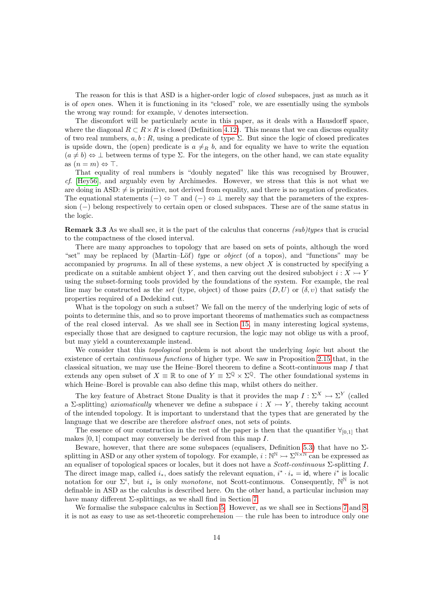The reason for this is that ASD is a higher-order logic of closed subspaces, just as much as it is of open ones. When it is functioning in its "closed" role, we are essentially using the symbols the wrong way round: for example, ∨ denotes intersection.

The discomfort will be particularly acute in this paper, as it deals with a Hausdorff space, where the diagonal  $R \subset R \times R$  is closed (Definition [4.12\)](#page-18-1). This means that we can discuss equality of two real numbers,  $a, b : R$ , using a predicate of type  $\Sigma$ . But since the logic of closed predicates is upside down, the (open) predicate is  $a \neq_R b$ , and for equality we have to write the equation  $(a \neq b) \Leftrightarrow \bot$  between terms of type  $\Sigma$ . For the integers, on the other hand, we can state equality as  $(n = m) \Leftrightarrow \top$ .

That equality of real numbers is "doubly negated" like this was recognised by Brouwer, cf. [\[Hey56\]](#page-69-5), and arguably even by Archimedes. However, we stress that this is not what we are doing in ASD:  $\neq$  is primitive, not derived from equality, and there is no negation of predicates. The equational statements  $(-) \Leftrightarrow \top$  and  $(-) \Leftrightarrow \bot$  merely say that the parameters of the expression (−) belong respectively to certain open or closed subspaces. These are of the same status in the logic.

Remark 3.3 As we shall see, it is the part of the calculus that concerns (sub)types that is crucial to the compactness of the closed interval.

There are many approaches to topology that are based on sets of points, although the word "set" may be replaced by (Martin–Löf) type or object (of a topos), and "functions" may be accompanied by *programs*. In all of these systems, a new object  $X$  is constructed by specifying a predicate on a suitable ambient object Y, and then carving out the desired subobject  $i : X \rightarrow Y$ using the subset-forming tools provided by the foundations of the system. For example, the real line may be constructed as the set (type, object) of those pairs  $(D, U)$  or  $(\delta, v)$  that satisfy the properties required of a Dedekind cut.

What is the topology on such a subset? We fall on the mercy of the underlying logic of sets of points to determine this, and so to prove important theorems of mathematics such as compactness of the real closed interval. As we shall see in Section [15,](#page-63-0) in many interesting logical systems, especially those that are designed to capture recursion, the logic may not oblige us with a proof, but may yield a counterexample instead.

We consider that this *topological* problem is not about the underlying *logic* but about the existence of certain continuous functions of higher type. We saw in Proposition [2.15](#page-8-0) that, in the classical situation, we may use the Heine–Borel theorem to define a Scott-continuous map I that extends any open subset of  $X \equiv \mathbb{R}$  to one of  $Y \equiv \Sigma^{\mathbb{Q}} \times \Sigma^{\mathbb{Q}}$ . The other foundational systems in which Heine–Borel is provable can also define this map, whilst others do neither.

The key feature of Abstract Stone Duality is that it provides the map  $I : \Sigma^X \rightarrow \Sigma^Y$  (called a Σ-splitting) axiomatically whenever we define a subspace  $i : X \rightarrow Y$ , thereby taking account of the intended topology. It is important to understand that the types that are generated by the language that we describe are therefore *abstract* ones, not sets of points.

The essence of our construction in the rest of the paper is then that the quantifier  $\forall_{[0,1]}$  that makes  $[0, 1]$  compact may conversely be derived from this map I.

Beware, however, that there are some subspaces (equalisers, Definition [5.3\)](#page-22-0) that have no  $\Sigma$ splitting in ASD or any other system of topology. For example,  $i : \mathbb{N}^{\mathbb{N}} \to \Sigma^{\mathbb{N} \times \mathbb{N}}$  can be expressed as an equaliser of topological spaces or locales, but it does not have a *Scott-continuous*  $\Sigma$ -splitting I. The direct image map, called  $i_*$ , does satisfy the relevant equation,  $i^* \cdot i_* = id$ , where  $i^*$  is localic notation for our  $\Sigma^i$ , but  $i_*$  is only *monotone*, not Scott-continuous. Consequently,  $\mathbb{N}^{\mathbb{N}}$  is not definable in ASD as the calculus is described here. On the other hand, a particular inclusion may have many different  $\Sigma$ -splittings, as we shall find in Section [7.](#page-32-0)

We formalise the subspace calculus in Section [5.](#page-21-0) However, as we shall see in Sections [7](#page-32-0) and [8,](#page-36-0) it is not as easy to use as set-theoretic comprehension — the rule has been to introduce only one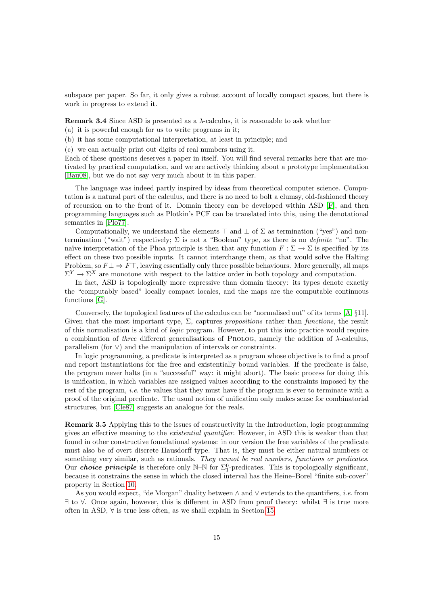subspace per paper. So far, it only gives a robust account of locally compact spaces, but there is work in progress to extend it.

<span id="page-14-1"></span>**Remark 3.4** Since ASD is presented as a  $\lambda$ -calculus, it is reasonable to ask whether

(a) it is powerful enough for us to write programs in it;

(b) it has some computational interpretation, at least in principle; and

(c) we can actually print out digits of real numbers using it.

Each of these questions deserves a paper in itself. You will find several remarks here that are motivated by practical computation, and we are actively thinking about a prototype implementation [\[Bau08\]](#page-68-0), but we do not say very much about it in this paper.

The language was indeed partly inspired by ideas from theoretical computer science. Computation is a natural part of the calculus, and there is no need to bolt a clumsy, old-fashioned theory of recursion on to the front of it. Domain theory can be developed within ASD [\[F\]](#page-72-6), and then programming languages such as Plotkin's PCF can be translated into this, using the denotational semantics in [\[Plo77\]](#page-70-11).

Computationally, we understand the elements  $\top$  and  $\bot$  of  $\Sigma$  as termination ("yes") and nontermination ("wait") respectively;  $\Sigma$  is not a "Boolean" type, as there is no *definite* "no". The naïve interpretation of the Phoa principle is then that any function  $F : \Sigma \to \Sigma$  is specified by its effect on these two possible inputs. It cannot interchange them, as that would solve the Halting Problem, so  $F \perp \Rightarrow F \top$ , leaving essentially only three possible behaviours. More generally, all maps  $\Sigma^Y \to \Sigma^X$  are monotone with respect to the lattice order in both topology and computation.

In fact, ASD is topologically more expressive than domain theory: its types denote exactly the "computably based" locally compact locales, and the maps are the computable continuous functions [\[G\]](#page-72-3).

Conversely, the topological features of the calculus can be "normalised out" of its terms [\[A,](#page-72-7) §11]. Given that the most important type,  $\Sigma$ , captures propositions rather than functions, the result of this normalisation is a kind of logic program. However, to put this into practice would require a combination of three different generalisations of PROLOG, namely the addition of  $\lambda$ -calculus, parallelism (for ∨) and the manipulation of intervals or constraints.

In logic programming, a predicate is interpreted as a program whose objective is to find a proof and report instantiations for the free and existentially bound variables. If the predicate is false, the program never halts (in a "successful" way: it might abort). The basic process for doing this is unification, in which variables are assigned values according to the constraints imposed by the rest of the program, *i.e.* the values that they must have if the program is ever to terminate with a proof of the original predicate. The usual notion of unification only makes sense for combinatorial structures, but [\[Cle87\]](#page-69-6) suggests an analogue for the reals.

<span id="page-14-0"></span>Remark 3.5 Applying this to the issues of constructivity in the Introduction, logic programming gives an effective meaning to the existential quantifier. However, in ASD this is weaker than that found in other constructive foundational systems: in our version the free variables of the predicate must also be of overt discrete Hausdorff type. That is, they must be either natural numbers or something very similar, such as rationals. They cannot be real numbers, functions or predicates. Our **choice principle** is therefore only  $\mathbb{N}-\mathbb{N}$  for  $\Sigma_1^0$ -predicates. This is topologically significant, because it constrains the sense in which the closed interval has the Heine–Borel "finite sub-cover" property in Section [10.](#page-44-0)

As you would expect, "de Morgan" duality between  $\wedge$  and  $\vee$  extends to the quantifiers, *i.e.* from ∃ to ∀. Once again, however, this is different in ASD from proof theory: whilst ∃ is true more often in ASD, ∀ is true less often, as we shall explain in Section [15.](#page-63-0)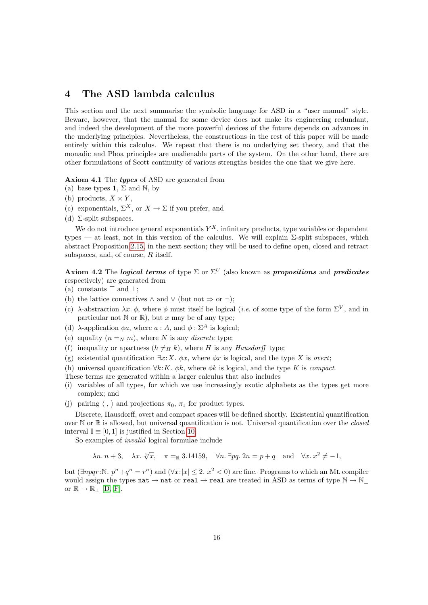# <span id="page-15-0"></span>4 The ASD lambda calculus

This section and the next summarise the symbolic language for ASD in a "user manual" style. Beware, however, that the manual for some device does not make its engineering redundant, and indeed the development of the more powerful devices of the future depends on advances in the underlying principles. Nevertheless, the constructions in the rest of this paper will be made entirely within this calculus. We repeat that there is no underlying set theory, and that the monadic and Phoa principles are unalienable parts of the system. On the other hand, there are other formulations of Scott continuity of various strengths besides the one that we give here.

Axiom 4.1 The types of ASD are generated from

- (a) base types 1,  $\Sigma$  and  $\mathbb{N}$ , by
- (b) products,  $X \times Y$ ,
- (c) exponentials,  $\Sigma^X$ , or  $X \to \Sigma$  if you prefer, and
- (d)  $\Sigma$ -split subspaces.

We do not introduce general exponentials  $Y^X$ , infinitary products, type variables or dependent types — at least, not in this version of the calculus. We will explain Σ-split subspaces, which abstract Proposition [2.15,](#page-8-0) in the next section; they will be used to define open, closed and retract subspaces, and, of course, R itself.

Axiom 4.2 The logical terms of type  $\Sigma$  or  $\Sigma^U$  (also known as propositions and predicates respectively) are generated from

- (a) constants  $\top$  and  $\bot$ ;
- (b) the lattice connectives  $\land$  and  $\lor$  (but not  $\Rightarrow$  or  $\neg$ );
- (c)  $\lambda$ -abstraction  $\lambda x$ .  $\phi$ , where  $\phi$  must itself be logical (*i.e.* of some type of the form  $\Sigma^V$ , and in particular not  $\mathbb N$  or  $\mathbb R$ ), but x may be of any type;
- (d)  $\lambda$ -application  $\phi a$ , where  $a : A$ , and  $\phi : \Sigma^A$  is logical;
- (e) equality  $(n =_N m)$ , where N is any *discrete* type;
- (f) inequality or apartness  $(h \neq_H k)$ , where H is any Hausdorff type;
- (g) existential quantification  $\exists x:X.\ \phi x$ , where  $\phi x$  is logical, and the type X is *overt*;
- (h) universal quantification  $\forall k: K. \phi k$ , where  $\phi k$  is logical, and the type K is compact.
- These terms are generated within a larger calculus that also includes
- (i) variables of all types, for which we use increasingly exotic alphabets as the types get more complex; and
- (j) pairing  $\langle , \rangle$  and projections  $\pi_0, \pi_1$  for product types.

Discrete, Hausdorff, overt and compact spaces will be defined shortly. Existential quantification over  $\mathbb N$  or  $\mathbb R$  is allowed, but universal quantification is not. Universal quantification over the *closed* interval  $\mathbb{I} \equiv [0, 1]$  is justified in Section [10.](#page-44-0)

So examples of invalid logical formulae include

$$
\lambda n.\, n+3, \quad \lambda x.\, \sqrt[3]{x}, \quad \pi =_{\mathbb{R}} 3.14159, \quad \forall n.\, \exists pq.\, 2n = p+q \quad \text{and} \quad \forall x.\, x^2 \neq -1,
$$

but  $(\exists npqr:\mathbb{N}. p^n + q^n = r^n)$  and  $(\forall x: |x| \leq 2. x^2 < 0)$  are fine. Programs to which an ML compiler would assign the types nat  $\rightarrow$  nat or real  $\rightarrow$  real are treated in ASD as terms of type  $\mathbb{N} \rightarrow \mathbb{N}_\perp$ or  $\mathbb{R} \to \mathbb{R}_{\perp}$  [\[D,](#page-72-8) [F\]](#page-72-6).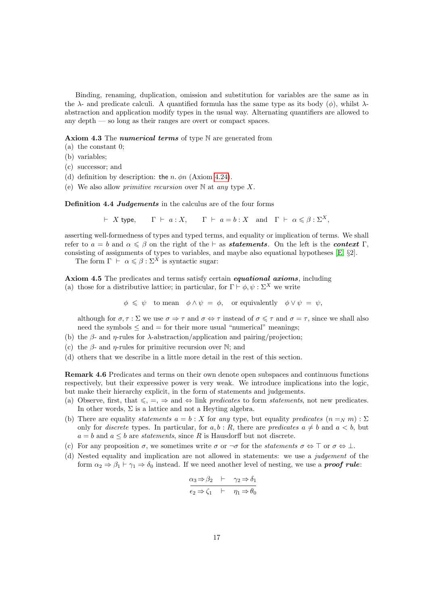Binding, renaming, duplication, omission and substitution for variables are the same as in the  $\lambda$ - and predicate calculi. A quantified formula has the same type as its body ( $\phi$ ), whilst  $\lambda$ abstraction and application modify types in the usual way. Alternating quantifiers are allowed to any depth — so long as their ranges are overt or compact spaces.

Axiom 4.3 The numerical terms of type N are generated from

- (a) the constant 0;
- (b) variables;
- (c) successor; and
- (d) definition by description: the *n*.  $\phi n$  (Axiom [4.24\)](#page-20-0).
- (e) We also allow *primitive recursion* over  $\mathbb N$  at *any* type X.

Definition 4.4 Judgements in the calculus are of the four forms

 $\vdash X$  type,  $\Gamma \vdash a : X, \quad \Gamma \vdash a = b : X$  and  $\Gamma \vdash \alpha \leqslant \beta : \Sigma^X,$ 

asserting well-formedness of types and typed terms, and equality or implication of terms. We shall refer to  $a = b$  and  $\alpha \leq \beta$  on the right of the  $\vdash$  as **statements**. On the left is the **context** Γ, consisting of assignments of types to variables, and maybe also equational hypotheses [\[E,](#page-72-9) §2].

The form  $\Gamma \vdash \alpha \leq \beta : \Sigma^{\hat{X}}$  is syntactic sugar:

<span id="page-16-1"></span>Axiom 4.5 The predicates and terms satisfy certain *equational axioms*, including (a) those for a distributive lattice; in particular, for  $\Gamma \vdash \phi, \psi : \Sigma^X$  we write

 $\phi \leq \psi$  to mean  $\phi \wedge \psi = \phi$ , or equivalently  $\phi \vee \psi = \psi$ ,

although for  $\sigma, \tau : \Sigma$  we use  $\sigma \Rightarrow \tau$  and  $\sigma \Leftrightarrow \tau$  instead of  $\sigma \leq \tau$  and  $\sigma = \tau$ , since we shall also need the symbols  $\leq$  and  $=$  for their more usual "numerical" meanings;

- (b) the  $\beta$  and  $\eta$ -rules for  $\lambda$ -abstraction/application and pairing/projection;
- (c) the  $\beta$  and  $\eta$ -rules for primitive recursion over N; and
- <span id="page-16-0"></span>(d) others that we describe in a little more detail in the rest of this section.

Remark 4.6 Predicates and terms on their own denote open subspaces and continuous functions respectively, but their expressive power is very weak. We introduce implications into the logic, but make their hierarchy explicit, in the form of statements and judgements.

- (a) Observe, first, that  $\leqslant, =, \Rightarrow$  and  $\Leftrightarrow$  link predicates to form statements, not new predicates. In other words,  $\Sigma$  is a lattice and not a Heyting algebra.
- (b) There are equality statements  $a = b : X$  for any type, but equality predicates  $(n = N m) : \Sigma$ only for *discrete* types. In particular, for  $a, b : R$ , there are *predicates*  $a \neq b$  and  $a < b$ , but  $a = b$  and  $a \leq b$  are *statements*, since R is Hausdorff but not discrete.
- (c) For any proposition  $\sigma$ , we sometimes write  $\sigma$  or  $\neg \sigma$  for the *statements*  $\sigma \Leftrightarrow \top$  or  $\sigma \Leftrightarrow \bot$ .
- (d) Nested equality and implication are not allowed in statements: we use a judgement of the form  $\alpha_2 \Rightarrow \beta_1 \vdash \gamma_1 \Rightarrow \delta_0$  instead. If we need another level of nesting, we use a **proof rule**:

$$
\begin{array}{ccc}\n\alpha_3 \Rightarrow \beta_2 & \vdash & \gamma_2 \Rightarrow \delta_1 \\
\hline\n\epsilon_2 \Rightarrow \zeta_1 & \vdash & \eta_1 \Rightarrow \theta_0\n\end{array}
$$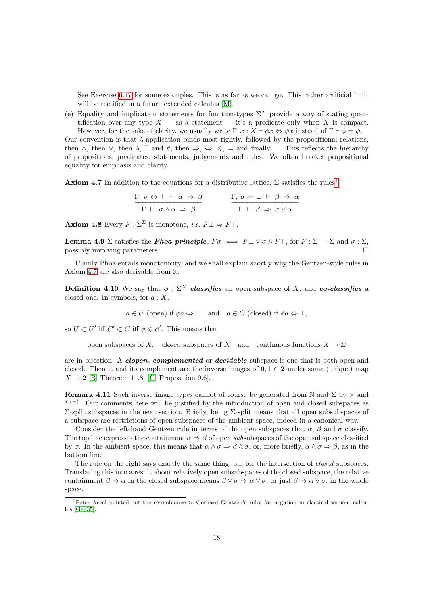See Exercise [6.17](#page-31-0) for some examples. This is as far as we can go. This rather artificial limit will be rectified in a future extended calculus [\[M\]](#page-72-10).

(e) Equality and implication statements for function-types  $\Sigma^X$  provide a way of stating quantification over any type  $X$  — as a statement — it's a predicate only when X is compact. However, for the sake of clarity, we usually write  $\Gamma$ ,  $x : X \vdash \phi x \Leftrightarrow \psi x$  instead of  $\Gamma \vdash \phi = \psi$ .

Our convention is that λ-application binds most tightly, followed by the propositional relations, then  $\wedge$ , then  $\vee$ , then  $\lambda$ ,  $\exists$  and  $\forall$ , then  $\Rightarrow$ ,  $\Leftrightarrow$ ,  $\leq$ ,  $=$  and finally  $\vdash$ . This reflects the hierarchy of propositions, predicates, statements, judgements and rules. We often bracket propositional equality for emphasis and clarity.

<span id="page-17-0"></span>**Axiom 4.7** In addition to the equations for a distributive lattice,  $\Sigma$  satisfies the rules<sup>[1](#page-17-2)</sup>

$$
\frac{\Gamma, \sigma \Leftrightarrow \top \vdash \alpha \Rightarrow \beta}{\Gamma \vdash \sigma \wedge \alpha \Rightarrow \beta} \qquad \qquad \frac{\Gamma, \sigma \Leftrightarrow \bot \vdash \beta \Rightarrow \alpha}{\Gamma \vdash \beta \Rightarrow \sigma \vee \alpha}
$$

<span id="page-17-4"></span>**Axiom 4.8** Every  $F : \Sigma^{\Sigma}$  is monotone, *i.e.*  $F \bot \Rightarrow F \top$ .

<span id="page-17-1"></span>**Lemma 4.9** Σ satisfies the **Phoa principle**,  $F \sigma \iff F \perp \vee \sigma \wedge F \top$ , for  $F : \Sigma \to \Sigma$  and  $\sigma : \Sigma$ . possibly involving parameters.

Plainly Phoa entails monotonicity, and we shall explain shortly why the Gentzen-style rules in Axiom [4.7](#page-17-0) are also derivable from it.

**Definition 4.10** We say that  $\phi : \Sigma^X$  classifies an open subspace of X, and co-classifies a closed one. In symbols, for  $a: X$ ,

$$
a \in U
$$
 (open) if  $\phi a \Leftrightarrow \top$  and  $a \in C$  (closed) if  $\phi a \Leftrightarrow \bot$ ,

so  $U \subset U'$  iff  $C' \subset C$  iff  $\phi \leq \phi'$ . This means that

open subspaces of X, closed subspaces of X and continuous functions  $X \to \Sigma$ 

are in bijection. A *clopen, complemented* or *decidable* subspace is one that is both open and closed. Then it and its complement are the inverse images of  $0, 1 \in \mathbb{2}$  under some (unique) map  $X \rightarrow 2$  [\[B,](#page-72-11) Theorem 11.8] [\[C,](#page-72-5) Proposition 9.6].

<span id="page-17-3"></span>**Remark 4.11** Such inverse image types cannot of course be generated from N and  $\Sigma$  by  $\times$  and  $\Sigma^{(-)}$ . Our comments here will be justified by the introduction of open and closed subspaces as Σ-split subspaces in the next section. Briefly, being Σ-split means that all open subsubspaces of a subspace are restrictions of open subspaces of the ambient space, indeed in a canonical way.

Consider the left-hand Gentzen rule in terms of the open subspaces that  $\alpha$ ,  $\beta$  and  $\sigma$  classify. The top line expresses the containment  $\alpha \Rightarrow \beta$  of open subspaces of the open subspace classified by  $\sigma$ . In the ambient space, this means that  $\alpha \wedge \sigma \Rightarrow \beta \wedge \sigma$ , or, more briefly,  $\alpha \wedge \sigma \Rightarrow \beta$ , as in the bottom line.

The rule on the right says exactly the same thing, but for the intersection of *closed* subspaces. Translating this into a result about relatively open subsubspaces of the closed subspace, the relative containment  $\beta \Rightarrow \alpha$  in the closed subspace means  $\beta \vee \sigma \Rightarrow \alpha \vee \sigma$ , or just  $\beta \Rightarrow \alpha \vee \sigma$ , in the whole space.

<span id="page-17-2"></span><sup>1</sup>Peter Aczel pointed out the resemblance to Gerhard Gentzen's rules for negation in classical sequent calculus [\[Gen35\]](#page-69-7).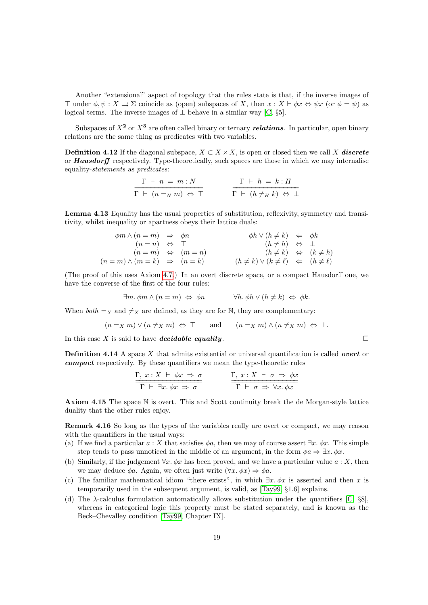Another "extensional" aspect of topology that the rules state is that, if the inverse images of  $\top$  under  $\phi, \psi : X \rightrightarrows \Sigma$  coincide as (open) subspaces of X, then  $x : X \vdash \phi x \Leftrightarrow \psi x$  (or  $\phi = \psi$ ) as logical terms. The inverse images of  $\perp$  behave in a similar way [\[C,](#page-72-5) §5].

Subspaces of  $X^2$  or  $X^3$  are often called binary or ternary *relations*. In particular, open binary relations are the same thing as predicates with two variables.

<span id="page-18-1"></span>**Definition 4.12** If the diagonal subspace,  $X \subset X \times X$ , is open or closed then we call X **discrete** or **Hausdorff** respectively. Type-theoretically, such spaces are those in which we may internalise equality-statements as predicates:

$$
\frac{\Gamma \vdash n = m : N}{\Gamma \vdash (n =_N m) \Leftrightarrow \top} \qquad \qquad \frac{\Gamma \vdash h = k : H}{\Gamma \vdash (h \neq_1 k) \Leftrightarrow \bot}
$$

<span id="page-18-3"></span>Lemma 4.13 Equality has the usual properties of substitution, reflexivity, symmetry and transitivity, whilst inequality or apartness obeys their lattice duals:

$$
\phi m \land (n = m) \Rightarrow \phi n \qquad \phi h \lor (h \neq k) \Leftarrow \phi k
$$
  
\n
$$
(n = n) \Leftrightarrow \top \qquad (h \neq h) \Leftrightarrow \bot
$$
  
\n
$$
(n = m) \Leftrightarrow (m = n) \qquad (h \neq k) \lor (k \neq \ell) \Leftrightarrow (k \neq h)
$$
  
\n
$$
(n = m) \land (m = k) \Rightarrow (n = k) \qquad (h \neq k) \lor (k \neq \ell) \Leftarrow (h \neq \ell)
$$

(The proof of this uses Axiom [4.7.](#page-17-0)) In an overt discrete space, or a compact Hausdorff one, we have the converse of the first of the four rules:

$$
\exists m. \phi m \land (n = m) \Leftrightarrow \phi n \qquad \forall h. \phi h \lor (h \neq k) \Leftrightarrow \phi k.
$$

When  $both =_X$  and  $\neq_X$  are defined, as they are for N, they are complementary:

$$
(n =_X m) \vee (n \neq_X m) \Leftrightarrow \top \quad \text{and} \quad (n =_X m) \wedge (n \neq_X m) \Leftrightarrow \bot.
$$

<span id="page-18-2"></span>In this case X is said to have *decidable equality*.

**Definition 4.14** A space X that admits existential or universal quantification is called *overt* or compact respectively. By these quantifiers we mean the type-theoretic rules

$$
\frac{\Gamma, x: X \vdash \phi x \Rightarrow \sigma}{\Gamma \vdash \exists x. \phi x \Rightarrow \sigma} \qquad \qquad \frac{\Gamma, x: X \vdash \sigma \Rightarrow \phi x}{\Gamma \vdash \sigma \Rightarrow \forall x. \phi x}
$$

**Axiom 4.15** The space  $\mathbb N$  is overt. This and Scott continuity break the de Morgan-style lattice duality that the other rules enjoy.

<span id="page-18-0"></span>Remark 4.16 So long as the types of the variables really are overt or compact, we may reason with the quantifiers in the usual ways:

- (a) If we find a particular  $a: X$  that satisfies  $\phi a$ , then we may of course assert  $\exists x. \phi x$ . This simple step tends to pass unnoticed in the middle of an argument, in the form  $\phi a \Rightarrow \exists x \ldotp \phi x$ .
- (b) Similarly, if the judgement  $\forall x, \phi x$  has been proved, and we have a particular value  $a : X$ , then we may deduce  $\phi a$ . Again, we often just write  $(\forall x. \phi x) \Rightarrow \phi a$ .
- (c) The familiar mathematical idiom "there exists", in which  $\exists x.\phi x$  is asserted and then x is temporarily used in the subsequent argument, is valid, as [\[Tay99,](#page-71-5) §1.6] explains.
- (d) The  $\lambda$ -calculus formulation automatically allows substitution under the quantifiers [\[C,](#page-72-5) §8], whereas in categorical logic this property must be stated separately, and is known as the Beck–Chevalley condition [\[Tay99,](#page-71-5) Chapter IX].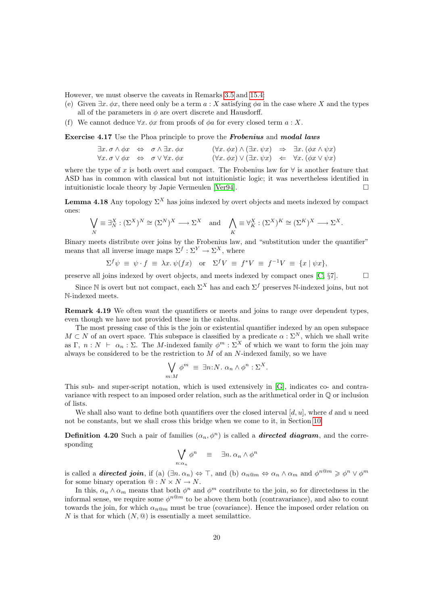However, we must observe the caveats in Remarks [3.5](#page-14-0) and [15.4:](#page-64-0)

- (e) Given  $\exists x. \phi x$ , there need only be a term  $a: X$  satisfying  $\phi a$  in the case where X and the types all of the parameters in  $\phi$  are overt discrete and Hausdorff.
- (f) We cannot deduce  $\forall x. \phi x$  from proofs of  $\phi a$  for every closed term  $a: X$ .

Exercise 4.17 Use the Phoa principle to prove the Frobenius and modal laws

|  | $\exists x. \sigma \wedge \phi x \Leftrightarrow \sigma \wedge \exists x. \phi x$ | $(\forall x. \phi x) \land (\exists x. \psi x) \Rightarrow \exists x. (\phi x \land \psi x)$   |  |
|--|-----------------------------------------------------------------------------------|------------------------------------------------------------------------------------------------|--|
|  | $\forall x. \sigma \vee \phi x \Leftrightarrow \sigma \vee \forall x. \phi x$     | $(\forall x. \phi x) \vee (\exists x. \psi x) \Leftrightarrow \forall x. (\phi x \vee \psi x)$ |  |

where the type of x is both overt and compact. The Frobenius law for  $\forall$  is another feature that ASD has in common with classical but not intuitionistic logic; it was nevertheless identified in intuitionistic locale theory by Japie Vermeulen [\[Ver94\]](#page-71-6).

**Lemma 4.18** Any topology  $\Sigma^X$  has joins indexed by overt objects and meets indexed by compact ones:

$$
\bigvee_N \equiv \exists^X_N : (\Sigma^X)^N \cong (\Sigma^N)^X \longrightarrow \Sigma^X \quad \text{and} \quad \bigwedge_K \equiv \forall^X_K : (\Sigma^X)^K \cong (\Sigma^K)^X \longrightarrow \Sigma^X.
$$

Binary meets distribute over joins by the Frobenius law, and "substitution under the quantifier" means that all inverse image maps  $\Sigma^f : \Sigma^Y \to \Sigma^X$ , where

$$
\Sigma^f \psi \equiv \psi \cdot f \equiv \lambda x. \psi(fx) \quad \text{or} \quad \Sigma^f V \equiv f^* V \equiv f^{-1} V \equiv \{x \mid \psi x\},
$$

preserve all joins indexed by overt objects, and meets indexed by compact ones  $[C, \S7]$ .

Since N is overt but not compact, each  $\Sigma^X$  has and each  $\Sigma^f$  preserves N-indexed joins, but not N-indexed meets.

Remark 4.19 We often want the quantifiers or meets and joins to range over dependent types, even though we have not provided these in the calculus.

The most pressing case of this is the join or existential quantifier indexed by an open subspace  $M \subset N$  of an overt space. This subspace is classified by a predicate  $\alpha : \Sigma^N$ , which we shall write as  $\Gamma$ ,  $n : N \vdash \alpha_n : \Sigma$ . The M-indexed family  $\phi^m : \Sigma^X$  of which we want to form the join may always be considered to be the restriction to  $M$  of an  $N$ -indexed family, so we have

$$
\bigvee_{m:M} \phi^m \equiv \exists n: N. \ \alpha_n \wedge \phi^n : \Sigma^X.
$$

This sub- and super-script notation, which is used extensively in [\[G\]](#page-72-3), indicates co- and contravariance with respect to an imposed order relation, such as the arithmetical order in Q or inclusion of lists.

We shall also want to define both quantifiers over the closed interval  $[d, u]$ , where d and u need not be constants, but we shall cross this bridge when we come to it, in Section [10.](#page-44-0)

<span id="page-19-0"></span>**Definition 4.20** Such a pair of families  $(\alpha_n, \phi^n)$  is called a **directed diagram**, and the corresponding

$$
\bigvee_{n:\alpha_n} \phi^n \quad \equiv \quad \exists n.\ \alpha_n \wedge \phi^n
$$

is called a **directed join**, if (a)  $(\exists n \ldots \alpha_n) \Leftrightarrow \top$ , and (b)  $\alpha_{n \otimes m} \Leftrightarrow \alpha_n \wedge \alpha_m$  and  $\phi^{n \otimes m} \geq \phi^n \vee \phi^m$ for some binary operation  $@: N \times N \rightarrow N$ .

In this,  $\alpha_n \wedge \alpha_m$  means that both  $\phi^n$  and  $\phi^m$  contribute to the join, so for directedness in the informal sense, we require some  $\phi^{n\otimes m}$  to be above them both (contravariance), and also to count towards the join, for which  $\alpha_{n\otimes m}$  must be true (covariance). Hence the imposed order relation on N is that for which  $(N, \mathcal{Q})$  is essentially a meet semilattice.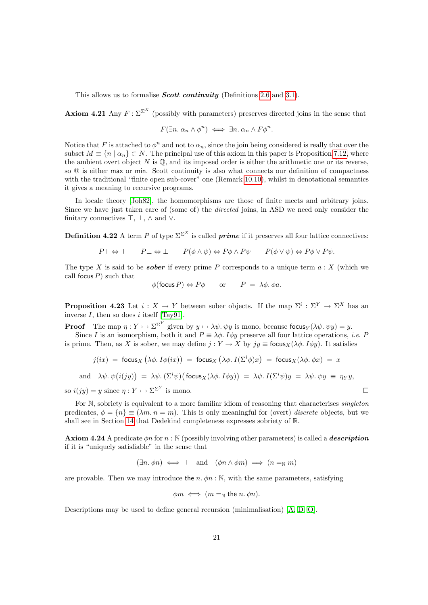This allows us to formalise **Scott continuity** (Definitions [2.6](#page-6-2) and [3.1\)](#page-12-0).

<span id="page-20-3"></span>**Axiom 4.21** Any  $F : \Sigma^{\Sigma^{X}}$  (possibly with parameters) preserves directed joins in the sense that

$$
F(\exists n. \alpha_n \wedge \phi^n) \iff \exists n. \alpha_n \wedge F\phi^n.
$$

Notice that F is attached to  $\phi^n$  and not to  $\alpha_n$ , since the join being considered is really that over the subset  $M \equiv \{n \mid \alpha_n\} \subset N$ . The principal use of this axiom in this paper is Proposition [7.12,](#page-34-0) where the ambient overt object  $N$  is  $\mathbb{Q}$ , and its imposed order is either the arithmetic one or its reverse, so @ is either max or min. Scott continuity is also what connects our definition of compactness with the traditional "finite open sub-cover" one (Remark [10.10\)](#page-47-0), whilst in denotational semantics it gives a meaning to recursive programs.

In locale theory [\[Joh82\]](#page-70-2), the homomorphisms are those of finite meets and arbitrary joins. Since we have just taken care of (some of) the directed joins, in ASD we need only consider the finitary connectives  $\top$ ,  $\bot$ ,  $\wedge$  and  $\vee$ .

<span id="page-20-2"></span>**Definition 4.22** A term P of type  $\Sigma^{\Sigma^{X}}$  is called **prime** if it preserves all four lattice connectives:

$$
P \top \Leftrightarrow \top \qquad P \bot \Leftrightarrow \bot \qquad P(\phi \wedge \psi) \Leftrightarrow P\phi \wedge P\psi \qquad P(\phi \vee \psi) \Leftrightarrow P\phi \vee P\psi.
$$

The type X is said to be **sober** if every prime P corresponds to a unique term  $a: X$  (which we call focus  $P$ ) such that

$$
\phi(\text{focus } P) \Leftrightarrow P\phi \qquad \text{or} \qquad P = \lambda\phi. \ \phi a.
$$

<span id="page-20-1"></span>**Proposition 4.23** Let  $i: X \to Y$  between sober objects. If the map  $\Sigma^i: \Sigma^Y \to \Sigma^X$  has an inverse  $I$ , then so does  $i$  itself [\[Tay91\]](#page-71-7).

**Proof** The map  $\eta: Y \to \Sigma^{\Sigma^Y}$  given by  $y \mapsto \lambda \psi$ .  $\psi y$  is mono, because focus $_Y(\lambda \psi, \psi y) = y$ . Since I is an isomorphism, both it and  $P \equiv \lambda \phi$ . I  $\phi y$  preserve all four lattice operations, *i.e.* P is prime. Then, as X is sober, we may define  $j: Y \to X$  by  $jy \equiv \mathbf{focus}_X(\lambda \phi, I \phi y)$ . It satisfies

$$
j(ix) = focus_X(\lambda \phi, I\phi(ix)) = focus_X(\lambda \phi, I(\Sigma^i \phi)x) = focus_X(\lambda \phi, \phi x) = x
$$

and 
$$
\lambda \psi
$$
.  $\psi(i(jy)) = \lambda \psi$ .  $(\Sigma^i \psi)$  (focus<sub>X</sub>( $\lambda \phi$ .  $I \phi y)$ ) =  $\lambda \psi$ .  $I(\Sigma^i \psi)y = \lambda \psi$ .  $\psi y \equiv \eta_Y y$ ,

so  $i(jy) = y$  since  $\eta: Y \rightarrow \Sigma^{\Sigma^Y}$  is mono.

For N, sobriety is equivalent to a more familiar idiom of reasoning that characterises *singleton* predicates,  $\phi = \{n\} \equiv (\lambda m. n = m)$ . This is only meaningful for (overt) discrete objects, but we shall see in Section [14](#page-59-0) that Dedekind completeness expresses sobriety of R.

<span id="page-20-0"></span>**Axiom 4.24** A predicate  $\phi$ n for  $n : \mathbb{N}$  (possibly involving other parameters) is called a **description** if it is "uniquely satisfiable" in the sense that

$$
(\exists n. \phi n) \iff \top
$$
 and  $(\phi n \land \phi m) \implies (n =_{\mathbb{N}} m)$ 

are provable. Then we may introduce the n.  $\phi_n$ : N, with the same parameters, satisfying

$$
\phi m \iff (m =_{\mathbb{N}} \text{ the } n. \phi n).
$$

Descriptions may be used to define general recursion (minimalisation) [\[A,](#page-72-7) [D,](#page-72-8) [O\]](#page-72-2).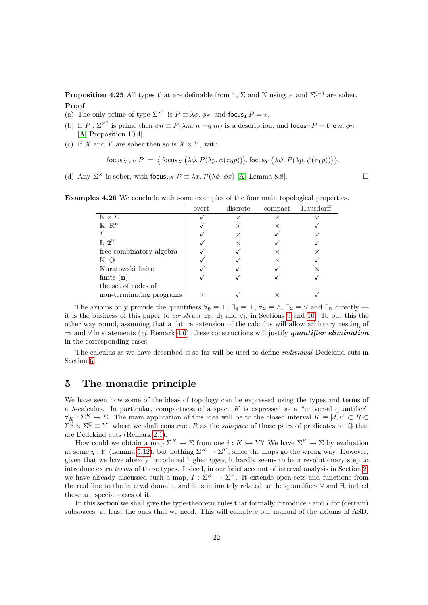**Proposition 4.25** All types that are definable from 1,  $\Sigma$  and N using  $\times$  and  $\Sigma^{(-)}$  are sober. Proof

- (a) The only prime of type  $\Sigma^{\Sigma^1}$  is  $P \equiv \lambda \phi$ .  $\phi \star$ , and focus<sub>1</sub>  $P = \star$ .
- (b) If  $P : \Sigma^{\Sigma^{\mathbb{N}}}$  is prime then  $\phi n \equiv P(\lambda m \cdot n =_{{\mathbb{N}}} m)$  is a description, and focus<sub>N</sub>  $P =$  the n.  $\phi n$ [\[A,](#page-72-7) Proposition 10.4].
- (c) If X and Y are sober then so is  $X \times Y$ , with

$$
\mathsf{focus}_{X \times Y} P = \langle \mathsf{focus}_{X} (\lambda \phi. P(\lambda p. \phi(\pi_0 p))), \mathsf{focus}_{Y} (\lambda \psi. P(\lambda p. \psi(\pi_1 p))) \rangle.
$$

(d) Any  $\Sigma^X$  is sober, with focus<sub> $\Sigma^X$ </sub>  $\mathcal{P} \equiv \lambda x$ .  $\mathcal{P}(\lambda \phi, \phi x)$  [\[A,](#page-72-7) Lemma 8.8].

|                                             | overt | discrete | compact | Hausdorff |
|---------------------------------------------|-------|----------|---------|-----------|
| $N \times \Sigma$                           |       | ×        |         |           |
| $\mathbb{R}, \mathbb{R}^n$                  |       | ×        | ×       |           |
|                                             |       | $\times$ |         | ×         |
| $\mathbb{I},\, \boldsymbol{2}^{\mathbb{N}}$ |       | $\times$ |         |           |
| free combinatory algebra                    |       |          |         | ×         |
| N, Q                                        |       |          |         |           |
| Kuratowski finite                           |       |          |         | ×         |
| finite $(n)$                                |       |          |         |           |
| the set of codes of                         |       |          |         |           |

non-terminating programs  $\times$   $\times$   $\times$ 

Examples 4.26 We conclude with some examples of the four main topological properties.

The axioms only provide the quantifiers  $\forall_{\emptyset} \equiv \top$ ,  $\exists_{\emptyset} \equiv \bot$ ,  $\forall_{2} \equiv \land$ ,  $\exists_{2} \equiv \lor$  and  $\exists_{\mathbb{N}}$  directly it is the business of this paper to *construct*  $\exists_{\mathbb{R}}$ ,  $\exists_{\mathbb{I}}$  and  $\forall_{\mathbb{I}}$ , in Sections [9](#page-41-0) and [10.](#page-44-0) To put this the other way round, assuming that a future extension of the calculus will allow arbitrary nesting of  $\Rightarrow$  and  $\forall$  in statements (cf. Remark [4.6\)](#page-16-0), these constructions will justify quantifier elimination in the corresponding cases.

The calculus as we have described it so far will be used to define individual Dedekind cuts in Section [6.](#page-27-0)

# <span id="page-21-0"></span>5 The monadic principle

We have seen how some of the ideas of topology can be expressed using the types and terms of a  $\lambda$ -calculus. In particular, compactness of a space K is expressed as a "universal quantifier"  $\forall_K : \Sigma^K \to \Sigma$ . The main application of this idea will be to the closed interval  $K \equiv [d, u] \subset R$  $\Sigma^{\overline{Q}} \times \Sigma^{\overline{Q}} \equiv Y$ , where we shall construct R as the *subspace* of those pairs of predicates on  $\overline{Q}$  that are Dedekind cuts (Remark [2.1\)](#page-4-1).

How could we obtain a map  $\Sigma^K \to \Sigma$  from one  $i: K \to Y$ ? We have  $\Sigma^Y \to \Sigma$  by evaluation at some  $y: Y$  (Lemma [5.12\)](#page-24-0), but nothing  $\Sigma^K \to \Sigma^Y$ , since the maps go the wrong way. However, given that we have already introduced higher types, it hardly seems to be a revolutionary step to introduce extra terms of those types. Indeed, in our brief account of interval analysis in Section [2,](#page-4-0) we have already discussed such a map,  $I : \Sigma^K \to \Sigma^Y$ . It extends open sets and functions from the real line to the interval domain, and it is intimately related to the quantifiers ∀ and ∃, indeed these are special cases of it.

In this section we shall give the type-theoretic rules that formally introduce  $i$  and  $I$  for (certain) subspaces, at least the ones that we need. This will complete our manual of the axioms of ASD.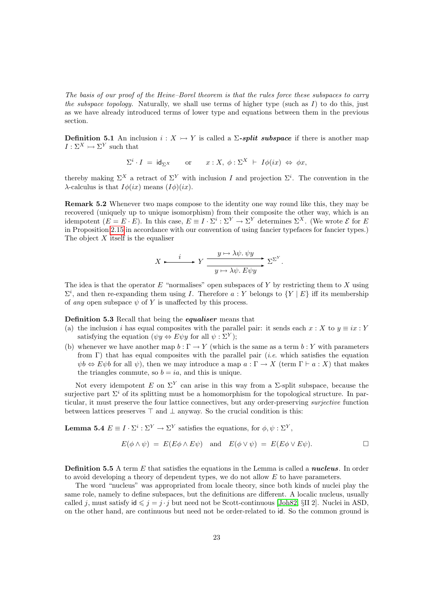The basis of our proof of the Heine–Borel theorem is that the rules force these subspaces to carry the subspace topology. Naturally, we shall use terms of higher type (such as  $I$ ) to do this, just as we have already introduced terms of lower type and equations between them in the previous section.

<span id="page-22-2"></span>**Definition 5.1** An inclusion  $i: X \rightarrow Y$  is called a  $\Sigma$ -split subspace if there is another map  $I: \Sigma^X \rightarrowtail \Sigma^Y$  such that

$$
\Sigma^i \cdot I = \mathrm{id}_{\Sigma^X} \qquad \text{or} \qquad x : X, \ \phi : \Sigma^X \ \vdash \ I\phi(ix) \ \Leftrightarrow \ \phi x,
$$

thereby making  $\Sigma^X$  a retract of  $\Sigma^Y$  with inclusion I and projection  $\Sigma^i$ . The convention in the  $\lambda$ -calculus is that  $I\phi(ix)$  means  $(I\phi)(ix)$ .

<span id="page-22-1"></span>Remark 5.2 Whenever two maps compose to the identity one way round like this, they may be recovered (uniquely up to unique isomorphism) from their composite the other way, which is an idempotent  $(E = E \cdot E)$ . In this case,  $E \equiv I \cdot \Sigma^i : \Sigma^Y \to \Sigma^Y$  determines  $\Sigma^X$ . (We wrote  $\mathcal E$  for E in Proposition [2.15](#page-8-0) in accordance with our convention of using fancier typefaces for fancier types.) The object  $X$  itself is the equaliser

$$
X \longmapsto \frac{i}{y \longmapsto \lambda \psi \cdot \psi y} \sum_{y \longmapsto \lambda \psi \cdot E \psi y} \Sigma^{\Sigma^{Y}}.
$$

The idea is that the operator  $E$  "normalises" open subspaces of Y by restricting them to X using  $\Sigma^i$ , and then re-expanding them using I. Therefore  $a:Y$  belongs to  $\{Y \mid E\}$  iff its membership of *any* open subspace  $\psi$  of Y is unaffected by this process.

<span id="page-22-0"></span>Definition 5.3 Recall that being the *equaliser* means that

- (a) the inclusion i has equal composites with the parallel pair: it sends each x : X to  $y \equiv ix : Y$ satisfying the equation  $(\psi y \Leftrightarrow E \psi y$  for all  $\psi : \Sigma^Y)$ ;
- (b) whenever we have another map  $b : \Gamma \to Y$  (which is the same as a term  $b : Y$  with parameters from Γ) that has equal composites with the parallel pair (*i.e.* which satisfies the equation  $\psi b \Leftrightarrow E \psi b$  for all  $\psi$ ), then we may introduce a map  $a : \Gamma \to X$  (term  $\Gamma \vdash a : X$ ) that makes the triangles commute, so  $b = ia$ , and this is unique.

Not every idempotent E on  $\Sigma^Y$  can arise in this way from a  $\Sigma$ -split subspace, because the surjective part  $\Sigma^i$  of its splitting must be a homomorphism for the topological structure. In particular, it must preserve the four lattice connectives, but any order-preserving surjective function between lattices preserves  $\top$  and  $\bot$  anyway. So the crucial condition is this:

<span id="page-22-3"></span>**Lemma 5.4**  $E \equiv I \cdot \Sigma^i : \Sigma^Y \to \Sigma^Y$  satisfies the equations, for  $\phi, \psi : \Sigma^Y$ ,

$$
E(\phi \wedge \psi) = E(E\phi \wedge E\psi) \quad \text{and} \quad E(\phi \vee \psi) = E(E\phi \vee E\psi).
$$

<span id="page-22-4"></span>**Definition 5.5** A term  $E$  that satisfies the equations in the Lemma is called a **nucleus**. In order to avoid developing a theory of dependent types, we do not allow E to have parameters.

The word "nucleus" was appropriated from locale theory, since both kinds of nuclei play the same role, namely to define subspaces, but the definitions are different. A localic nucleus, usually called j, must satisfy  $id \leq j = j \cdot j$  but need not be Scott-continuous [\[Joh82,](#page-70-2) §II 2]. Nuclei in ASD, on the other hand, are continuous but need not be order-related to id. So the common ground is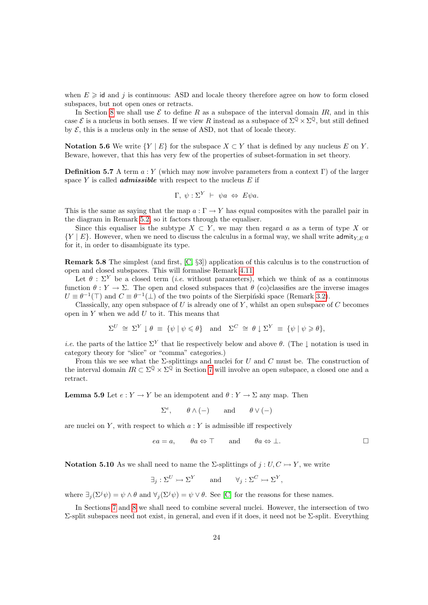when  $E \geqslant id$  and j is continuous: ASD and locale theory therefore agree on how to form closed subspaces, but not open ones or retracts.

In Section [8](#page-36-0) we shall use  $\mathcal E$  to define R as a subspace of the interval domain IR, and in this case  $\mathcal E$  is a nucleus in both senses. If we view R instead as a subspace of  $\Sigma^{\mathbb Q}\times\Sigma^{\mathbb Q}$ , but still defined by  $\mathcal{E}$ , this is a nucleus only in the sense of ASD, not that of locale theory.

Notation 5.6 We write  $\{Y \mid E\}$  for the subspace  $X \subset Y$  that is defined by any nucleus E on Y. Beware, however, that this has very few of the properties of subset-formation in set theory.

<span id="page-23-1"></span>**Definition 5.7** A term  $a: Y$  (which may now involve parameters from a context  $\Gamma$ ) of the larger space Y is called **admissible** with respect to the nucleus  $E$  if

$$
\Gamma, \psi : \Sigma^{Y} \vdash \psi a \Leftrightarrow E \psi a.
$$

This is the same as saying that the map  $a : \Gamma \to Y$  has equal composites with the parallel pair in the diagram in Remark [5.2,](#page-22-1) so it factors through the equaliser.

Since this equaliser is the subtype  $X \subset Y$ , we may then regard a as a term of type X or  ${Y | E}$ . However, when we need to discuss the calculus in a formal way, we shall write admit $_{Y,E} a$ for it, in order to disambiguate its type.

**Remark 5.8** The simplest (and first,  $[C, \S3]$ ) application of this calculus is to the construction of open and closed subspaces. This will formalise Remark [4.11.](#page-17-3)

Let  $\theta$  :  $\Sigma^{Y}$  be a closed term *(i.e.* without parameters), which we think of as a continuous function  $\theta : Y \to \Sigma$ . The open and closed subspaces that  $\theta$  (co)classifies are the inverse images  $U \equiv \theta^{-1}(\top)$  and  $C \equiv \theta^{-1}(\bot)$  of the two points of the Sierpinski space (Remark [3.2\)](#page-12-1).

Classically, any open subspace of U is already one of Y, whilst an open subspace of  $C$  becomes open in  $Y$  when we add  $U$  to it. This means that

$$
\Sigma^U \cong \Sigma^Y \downarrow \theta \equiv \{ \psi \mid \psi \leqslant \theta \} \quad \text{and} \quad \Sigma^C \cong \theta \downarrow \Sigma^Y \equiv \{ \psi \mid \psi \geqslant \theta \},
$$

*i.e.* the parts of the lattice  $\Sigma^{Y}$  that lie respectively below and above  $\theta$ . (The  $\downarrow$  notation is used in category theory for "slice" or "comma" categories.)

From this we see what the  $\Sigma$ -splittings and nuclei for U and C must be. The construction of the interval domain  $IR \subset \Sigma^{\mathbb{Q}} \times \Sigma^{\mathbb{Q}}$  in Section [7](#page-32-0) will involve an open subspace, a closed one and a retract.

<span id="page-23-0"></span>**Lemma 5.9** Let  $e: Y \to Y$  be an idempotent and  $\theta: Y \to \Sigma$  any map. Then

$$
\Sigma^e, \qquad \theta \wedge (-) \qquad \text{and} \qquad \theta \vee (-)
$$

are nuclei on  $Y$ , with respect to which  $a:Y$  is admissible iff respectively

$$
ea = a
$$
,  $\theta a \Leftrightarrow \top$  and  $\theta a \Leftrightarrow \bot$ .

Notation 5.10 As we shall need to name the  $\Sigma$ -splittings of  $j: U, C \rightarrow Y$ , we write

$$
\exists_j : \Sigma^U \rightarrowtail \Sigma^Y \qquad \text{and} \qquad \forall_j : \Sigma^C \rightarrowtail \Sigma^Y,
$$

where  $\exists_i(\Sigma^j\psi) = \psi \wedge \theta$  and  $\forall_i(\Sigma^j\psi) = \psi \vee \theta$ . See [\[C\]](#page-72-5) for the reasons for these names.

In Sections [7](#page-32-0) and [8](#page-36-0) we shall need to combine several nuclei. However, the intersection of two  $\Sigma$ -split subspaces need not exist, in general, and even if it does, it need not be Σ-split. Everything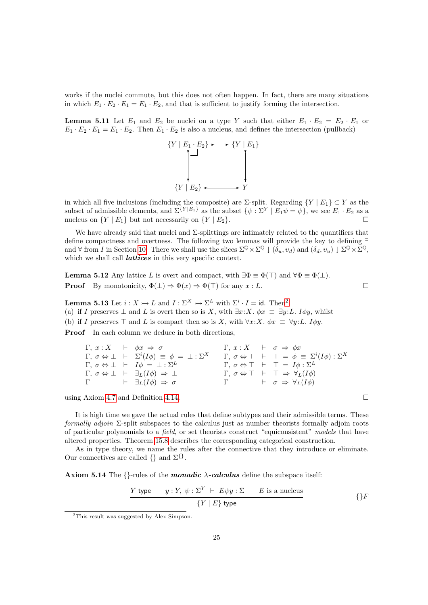works if the nuclei commute, but this does not often happen. In fact, there are many situations in which  $E_1 \cdot E_2 \cdot E_1 = E_1 \cdot E_2$ , and that is sufficient to justify forming the intersection.

<span id="page-24-3"></span>**Lemma 5.11** Let  $E_1$  and  $E_2$  be nuclei on a type Y such that either  $E_1 \cdot E_2 = E_2 \cdot E_1$  or  $E_1 \cdot E_2 \cdot E_1 = E_1 \cdot E_2$ . Then  $E_1 \cdot E_2$  is also a nucleus, and defines the intersection (pullback)



in which all five inclusions (including the composite) are  $\Sigma$ -split. Regarding  $\{Y \mid E_1\} \subset Y$  as the subset of admissible elements, and  $\Sigma^{\{Y|E_1\}}$  as the subset  $\{\psi : \Sigma^Y | E_1 \psi = \psi\}$ , we see  $E_1 \cdot E_2$  as a nucleus on  $\{Y \mid E_1\}$  but not necessarily on  $\{Y \mid E_2\}.$ 

We have already said that nuclei and  $\Sigma$ -splittings are intimately related to the quantifiers that define compactness and overtness. The following two lemmas will provide the key to defining ∃ and  $\forall$  from I in Section [10.](#page-44-0) There we shall use the slices  $\Sigma^{\mathbb{Q}} \times \Sigma^{\mathbb{Q}} \downarrow (\delta_u, v_d)$  and  $(\delta_d, v_u) \downarrow \Sigma^{\mathbb{Q}} \times \Sigma^{\mathbb{Q}}$ , which we shall call *lattices* in this very specific context.

<span id="page-24-0"></span>**Lemma 5.12** Any lattice L is overt and compact, with  $\exists \Phi \equiv \Phi(\top)$  and  $\forall \Phi \equiv \Phi(\bot)$ . **Proof** By monotonicity,  $\Phi(\perp) \Rightarrow \Phi(x) \Rightarrow \Phi(\top)$  for any  $x : L$ .

<span id="page-24-4"></span>**Lemma 5.13** Let  $i: X \rightarrow L$  and  $I: \Sigma^X \rightarrow \Sigma^L$  with  $\Sigma^i \cdot I = id$ . Then<sup>[2](#page-24-1)</sup> (a) if I preserves  $\perp$  and L is overt then so is X, with  $\exists x:X.$   $\phi x \equiv \exists y:L.$  I $\phi y$ , whilst (b) if I preserves  $\top$  and L is compact then so is X, with  $\forall x: X. \phi x \equiv \forall y: L. I \phi y$ . **Proof** In each column we deduce in both directions,

$$
\Gamma, x: X \vdash \phi x \Rightarrow \sigma \qquad \Gamma, x: X \vdash \sigma \Rightarrow \phi x
$$
\n
$$
\Gamma, \sigma \Leftrightarrow \bot \vdash \Sigma^{i}(I\phi) \equiv \phi = \bot : \Sigma^{X} \qquad \Gamma, \sigma \Leftrightarrow \top \vdash \top = \phi \equiv \Sigma^{i}(I\phi) : \Sigma^{X}
$$
\n
$$
\Gamma, \sigma \Leftrightarrow \bot \vdash I\phi = \bot : \Sigma^{L} \qquad \Gamma, \sigma \Leftrightarrow \top \vdash \top = I\phi : \Sigma^{L}
$$
\n
$$
\Gamma, \sigma \Leftrightarrow \bot \vdash \exists_{L}(I\phi) \Rightarrow \bot \qquad \Gamma, \sigma \Leftrightarrow \top \vdash \top \Rightarrow \forall_{L}(I\phi)
$$
\n
$$
\Gamma \qquad \vdash \exists_{L}(I\phi) \Rightarrow \sigma \qquad \Gamma \qquad \vdash \sigma \Rightarrow \forall_{L}(I\phi)
$$

using Axiom [4.7](#page-17-0) and Definition [4.14.](#page-18-2)

It is high time we gave the actual rules that define subtypes and their admissible terms. These formally adjoin  $\Sigma$ -split subspaces to the calculus just as number theorists formally adjoin roots of particular polynomials to a field, or set theorists construct "equiconsistent" models that have altered properties. Theorem [15.8](#page-65-0) describes the corresponding categorical construction.

As in type theory, we name the rules after the connective that they introduce or eliminate. Our connectives are called  $\{\}\$  and  $\Sigma^{\{\}}$ .

<span id="page-24-2"></span>Axiom 5.14 The  $\{\}$ -rules of the *monadic*  $\lambda$ -calculus define the subspace itself:

$$
\frac{Y \text{ type } y: Y, \psi: \Sigma^{Y} \vdash E\psi y: \Sigma \qquad E \text{ is a nucleus}}{\{Y \mid E\} \text{ type}}
$$
 \n
$$
\{ \}F
$$

<span id="page-24-1"></span><sup>&</sup>lt;sup>2</sup>This result was suggested by Alex Simpson.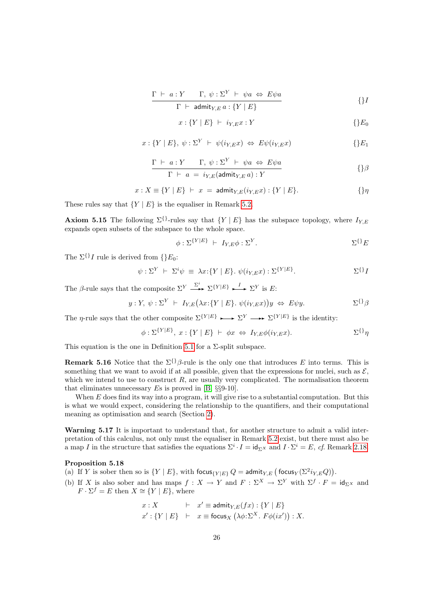$$
\frac{\Gamma \vdash a: Y \qquad \Gamma, \ \psi: \Sigma^{Y} \vdash \psi a \Leftrightarrow E \psi a}{\Gamma \vdash \text{admit}_{Y,E} a: \{Y \mid E\}} \qquad \{ \} I
$$

$$
x: \{Y \mid E\} \;\vdash\; i_{Y,E} x: Y \tag{}\E_0
$$

$$
x: \{Y \mid E\}, \ \psi: \Sigma^{Y} \ \vdash \ \psi(i_{Y,E}x) \ \Leftrightarrow \ E\psi(i_{Y,E}x) \tag{}\E_1
$$

$$
\frac{\Gamma \vdash a: Y \qquad \Gamma, \ \psi: \Sigma^{Y} \vdash \psi a \Leftrightarrow E \psi a}{\Gamma \vdash a = i_{Y,E}(\text{admit}_{Y,E} a): Y}
$$

$$
x: X \equiv \{Y \mid E\} \ \vdash \ x \ = \ \text{admit}_{Y,E}(i_{Y,E}x): \{Y \mid E\}. \tag{3}
$$

These rules say that  ${Y | E}$  is the equaliser in Remark [5.2.](#page-22-1)

<span id="page-25-0"></span>**Axiom 5.15** The following  $\Sigma^{\{\}}$ -rules say that  $\{Y | E\}$  has the subspace topology, where  $I_{Y,E}$ expands open subsets of the subspace to the whole space.

$$
\phi : \Sigma^{\{Y|E\}} \ \vdash \ I_{Y,E} \phi : \Sigma^Y. \tag{3.1}
$$

The  $\Sigma^{\{\}}I$  rule is derived from  $\{E_0:$ 

$$
\psi : \Sigma^{Y} \vdash \Sigma^{i} \psi \equiv \lambda x : \{Y \mid E\}. \ \psi(i_{Y,E} x) : \Sigma^{\{Y \mid E\}}.
$$

The  $\beta$ -rule says that the composite  $\Sigma^Y \stackrel{\Sigma^i}{\longrightarrow} \Sigma^{\{Y|E\}} \stackrel{I}{\longrightarrow} \Sigma^Y$  is E:

$$
y: Y, \ \psi: \Sigma^{Y} \ \vdash \ I_{Y,E}(\lambda x: \{Y \mid E\}, \ \psi(i_{Y,E}x))y \ \Leftrightarrow \ E\psi y.
$$

The *η*-rule says that the other composite  $\Sigma^{\{Y|E\}} \longrightarrow \Sigma^Y \longrightarrow \Sigma^{\{Y|E\}}$  is the identity:

$$
\phi: \Sigma^{\{Y|E\}}, x: \{Y \mid E\} \vdash \phi x \Leftrightarrow I_{Y,E} \phi(i_{Y,E} x). \qquad \Sigma^{\{\}} \eta
$$

This equation is the one in Definition [5.1](#page-22-2) for a  $\Sigma$ -split subspace.

**Remark 5.16** Notice that the  $\Sigma^{\{\}}\beta$ -rule is the only one that introduces E into terms. This is something that we want to avoid if at all possible, given that the expressions for nuclei, such as  $\mathcal{E}$ , which we intend to use to construct  $R$ , are usually very complicated. The normalisation theorem that eliminates unnecessary  $E$ s is proved in [\[B,](#page-72-11)  $\S$ §9-10].

When  $E$  does find its way into a program, it will give rise to a substantial computation. But this is what we would expect, considering the relationship to the quantifiers, and their computational meaning as optimisation and search (Section [2\)](#page-4-0).

Warning 5.17 It is important to understand that, for another structure to admit a valid interpretation of this calculus, not only must the equaliser in Remark [5.2](#page-22-1) exist, but there must also be a map I in the structure that satisfies the equations  $\Sigma^i \cdot I = id_{\Sigma^X}$  and  $I \cdot \Sigma^i = E$ , cf. Remark [2.18.](#page-10-0)

#### Proposition 5.18

- (a) If Y is sober then so is  $\{Y \mid E\}$ , with focus $\{Y|E\}$ ,  $Q = \text{admit}_{Y,E}$  (focus $\{Y \in Y_{i,E}$ ,  $E(Q)\}$ ).
- (b) If X is also sober and has maps  $f: X \to Y$  and  $F: \Sigma^X \to \Sigma^Y$  with  $\Sigma^f \cdot F = id_{\Sigma^X}$  and  $F \cdot \Sigma^f = E$  then  $X \cong \{ Y \mid E \}$ , where

$$
x: X \qquad \vdash \quad x' \equiv \text{admit}_{Y,E}(fx) : \{Y \mid E\}
$$
  

$$
x' : \{Y \mid E\} \quad \vdash \quad x \equiv \text{focus}_X \left(\lambda \phi : \Sigma^X. \ F\phi(ix')\right) : X.
$$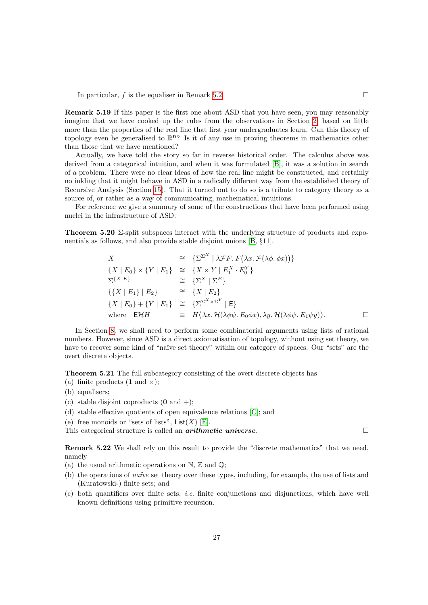In particular, f is the equaliser in Remark [5.2.](#page-22-1)

Remark 5.19 If this paper is the first one about ASD that you have seen, you may reasonably imagine that we have cooked up the rules from the observations in Section [2,](#page-4-0) based on little more than the properties of the real line that first year undergraduates learn. Can this theory of topology even be generalised to  $\mathbb{R}^n$ ? Is it of any use in proving theorems in mathematics other than those that we have mentioned?

Actually, we have told the story so far in reverse historical order. The calculus above was derived from a categorical intuition, and when it was formulated [\[B\]](#page-72-11), it was a solution in search of a problem. There were no clear ideas of how the real line might be constructed, and certainly no inkling that it might behave in ASD in a radically different way from the established theory of Recursive Analysis (Section [15\)](#page-63-0). That it turned out to do so is a tribute to category theory as a source of, or rather as a way of communicating, mathematical intuitions.

For reference we give a summary of some of the constructions that have been performed using nuclei in the infrastructure of ASD.

**Theorem 5.20**  $\Sigma$ -split subspaces interact with the underlying structure of products and exponentials as follows, and also provide stable disjoint unions [\[B,](#page-72-11) §11].

$$
X \cong \{\Sigma^{\Sigma^{X}} \mid \lambda \mathcal{F}F. F(\lambda x. \mathcal{F}(\lambda \phi. \phi x))\}
$$
  
\n
$$
\{X \mid E_{0}\} \times \{Y \mid E_{1}\} \cong \{X \times Y \mid E_{1}^{X} \cdot E_{0}^{Y}\}
$$
  
\n
$$
\Sigma^{\{X \mid E\}} \cong \{\Sigma^{X} \mid \Sigma^{E}\}
$$
  
\n
$$
\{X \mid E_{1}\} \mid E_{2}\} \cong \{X \mid E_{2}\}
$$
  
\n
$$
\{X \mid E_{0}\} + \{Y \mid E_{1}\} \cong \{\Sigma^{\Sigma^{X} \times \Sigma^{Y}} \mid E\}
$$
  
\nwhere  $\mathsf{E}\mathcal{H}H \cong H(\lambda x. \mathcal{H}(\lambda \phi \psi. E_{0} \phi x), \lambda y. \mathcal{H}(\lambda \phi \psi. E_{1} \psi y)). \square$ 

In Section [8,](#page-36-0) we shall need to perform some combinatorial arguments using lists of rational numbers. However, since ASD is a direct axiomatisation of topology, without using set theory, we have to recover some kind of "naïve set theory" within our category of spaces. Our "sets" are the overt discrete objects.

<span id="page-26-1"></span>Theorem 5.21 The full subcategory consisting of the overt discrete objects has

- (a) finite products  $(1 \text{ and } x);$
- (b) equalisers;
- (c) stable disjoint coproducts  $(0 \text{ and } +);$
- (d) stable effective quotients of open equivalence relations [\[C\]](#page-72-5); and

(e) free monoids or "sets of lists",  $List(X)$  [\[E\]](#page-72-9).

<span id="page-26-0"></span>This categorical structure is called an **arithmetic universe**.

Remark 5.22 We shall rely on this result to provide the "discrete mathematics" that we need, namely

- (a) the usual arithmetic operations on  $\mathbb{N}, \mathbb{Z}$  and  $\mathbb{Q}$ ;
- (b) the operations of *naïve* set theory over these types, including, for example, the use of lists and (Kuratowski-) finite sets; and
- (c) both quantifiers over finite sets, i.e. finite conjunctions and disjunctions, which have well known definitions using primitive recursion.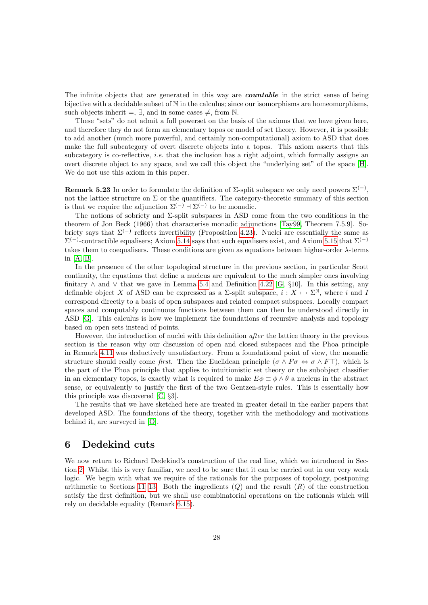The infinite objects that are generated in this way are *countable* in the strict sense of being bijective with a decidable subset of N in the calculus; since our isomorphisms are homeomorphisms, such objects inherit =,  $\exists$ , and in some cases  $\neq$ , from N.

These "sets" do not admit a full powerset on the basis of the axioms that we have given here, and therefore they do not form an elementary topos or model of set theory. However, it is possible to add another (much more powerful, and certainly non-computational) axiom to ASD that does make the full subcategory of overt discrete objects into a topos. This axiom asserts that this subcategory is co-reflective, *i.e.* that the inclusion has a right adjoint, which formally assigns an overt discrete object to any space, and we call this object the "underlying set" of the space [\[H\]](#page-72-4). We do not use this axiom in this paper.

**Remark 5.23** In order to formulate the definition of  $\Sigma$ -split subspace we only need powers  $\Sigma^{(-)}$ , not the lattice structure on  $\Sigma$  or the quantifiers. The category-theoretic summary of this section is that we require the adjunction  $\Sigma^{(-)}$  +  $\Sigma^{(-)}$  to be monadic.

The notions of sobriety and  $\Sigma$ -split subspaces in ASD come from the two conditions in the theorem of Jon Beck (1966) that characterise monadic adjunctions [\[Tay99,](#page-71-5) Theorem 7.5.9]. Sobriety says that  $\Sigma^{(-)}$  reflects invertibility (Proposition [4.23\)](#page-20-1). Nuclei are essentially the same as  $\Sigma^{(-)}$ -contractible equalisers; Axiom [5.14](#page-24-2) says that such equalisers exist, and Axiom [5.15](#page-25-0) that  $\Sigma^{(-)}$ takes them to coequalisers. These conditions are given as equations between higher-order  $\lambda$ -terms in [\[A,](#page-72-7) [B\]](#page-72-11).

In the presence of the other topological structure in the previous section, in particular Scott continuity, the equations that define a nucleus are equivalent to the much simpler ones involving finitary  $\land$  and  $\lor$  that we gave in Lemma [5.4](#page-22-3) and Definition [4.22](#page-20-2) [\[G,](#page-72-3) §10]. In this setting, any definable object X of ASD can be expressed as a  $\Sigma$ -split subspace,  $i: X \rightarrow \Sigma^{\mathbb{N}}$ , where i and I correspond directly to a basis of open subspaces and related compact subspaces. Locally compact spaces and computably continuous functions between them can then be understood directly in ASD [\[G\]](#page-72-3). This calculus is how we implement the foundations of recursive analysis and topology based on open sets instead of points.

However, the introduction of nuclei with this definition after the lattice theory in the previous section is the reason why our discussion of open and closed subspaces and the Phoa principle in Remark [4.11](#page-17-3) was deductively unsatisfactory. From a foundational point of view, the monadic structure should really come first. Then the Euclidean principle ( $\sigma \wedge F \sigma \Leftrightarrow \sigma \wedge F\top$ ), which is the part of the Phoa principle that applies to intuitionistic set theory or the subobject classifier in an elementary topos, is exactly what is required to make  $E\phi \equiv \phi \wedge \theta$  a nucleus in the abstract sense, or equivalently to justify the first of the two Gentzen-style rules. This is essentially how this principle was discovered [\[C,](#page-72-5) §3].

The results that we have sketched here are treated in greater detail in the earlier papers that developed ASD. The foundations of the theory, together with the methodology and motivations behind it, are surveyed in [\[O\]](#page-72-2).

### <span id="page-27-0"></span>6 Dedekind cuts

We now return to Richard Dedekind's construction of the real line, which we introduced in Section [2.](#page-4-0) Whilst this is very familiar, we need to be sure that it can be carried out in our very weak logic. We begin with what we require of the rationals for the purposes of topology, postponing arithmetic to Sections [11–](#page-48-0)[13.](#page-57-0) Both the ingredients  $(Q)$  and the result  $(R)$  of the construction satisfy the first definition, but we shall use combinatorial operations on the rationals which will rely on decidable equality (Remark [6.15\)](#page-31-1).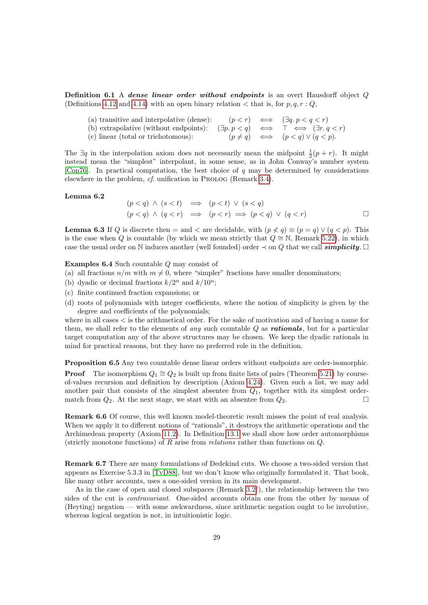<span id="page-28-0"></span>Definition 6.1 A dense linear order without endpoints is an overt Hausdorff object Q (Definitions [4.12](#page-18-1) and [4.14\)](#page-18-2) with an open binary relation  $\lt$  that is, for  $p, q, r : Q$ ,

| (a) transitive and interpolative (dense): $(p < r) \iff (\exists q. p < q < r)$               |  |                                         |
|-----------------------------------------------------------------------------------------------|--|-----------------------------------------|
| (b) extrapolative (without endpoints): $(\exists p. p < q) \iff \top \iff (\exists r. q < r)$ |  |                                         |
| $(c)$ linear (total or trichotomous):                                                         |  | $(p \neq q) \iff (p < q) \vee (q < p).$ |

The  $\exists q$  in the interpolation axiom does not necessarily mean the midpoint  $\frac{1}{2}(p+r)$ . It might instead mean the "simplest" interpolant, in some sense, as in John Conway's number system [\[Con76\]](#page-69-8). In practical computation, the best choice of q may be determined by considerations elsewhere in the problem, *cf.* unification in PROLOG (Remark [3.4\)](#page-14-1).

#### Lemma 6.2

$$
(p < q) \land (s < t) \implies (p < t) \lor (s < q)
$$
  
\n
$$
(p < q) \land (q < r) \implies (p < r) \implies (p < q) \lor (q < r)
$$

<span id="page-28-1"></span>**Lemma 6.3** If Q is discrete then = and < are decidable, with  $(p \nless q) \equiv (p = q) \vee (q \nless p)$ . This is the case when Q is countable (by which we mean strictly that  $Q \cong N$ , Remark [5.22\)](#page-26-0), in which case the usual order on N induces another (well founded) order  $\prec$  on Q that we call **simplicity**.

Examples 6.4 Such countable Q may consist of

- (a) all fractions  $n/m$  with  $m \neq 0$ , where "simpler" fractions have smaller denominators;
- (b) dyadic or decimal fractions  $k/2^n$  and  $k/10^n$ ;
- (c) finite continued fraction expansions; or
- (d) roots of polynomials with integer coefficients, where the notion of simplicity is given by the degree and coefficients of the polynomials;

where in all cases  $\lt$  is the arithmetical order. For the sake of motivation and of having a name for them, we shall refer to the elements of any such countable  $Q$  as **rationals**, but for a particular target computation any of the above structures may be chosen. We keep the dyadic rationals in mind for practical reasons, but they have no preferred role in the definition.

Proposition 6.5 Any two countable dense linear orders without endpoints are order-isomorphic. **Proof** The isomorphism  $Q_1 \cong Q_2$  is built up from finite lists of pairs (Theorem [5.21\)](#page-26-1) by courseof-values recursion and definition by description (Axiom [4.24\)](#page-20-0). Given such a list, we may add another pair that consists of the simplest absentee from  $Q_1$ , together with its simplest ordermatch from  $Q_2$ . At the next stage, we start with an absentee from  $Q_2$ .

Remark 6.6 Of course, this well known model-theoretic result misses the point of real analysis. When we apply it to different notions of "rationals", it destroys the arithmetic operations and the Archimedean property (Axiom [11.2\)](#page-49-0). In Definition [13.1](#page-57-2) we shall show how order automorphisms (strictly monotone functions) of R arise from relations rather than functions on Q.

Remark 6.7 There are many formulations of Dedekind cuts. We choose a two-sided version that appears as Exercise 5.3.3 in [\[TvD88\]](#page-71-8), but we don't know who originally formulated it. That book, like many other accounts, uses a one-sided version in its main development.

As in the case of open and closed subspaces (Remark [3.2f](#page-12-1)), the relationship between the two sides of the cut is contravariant. One-sided accounts obtain one from the other by means of (Heyting) negation — with some awkwardness, since arithmetic negation ought to be involutive, whereas logical negation is not, in intuitionistic logic.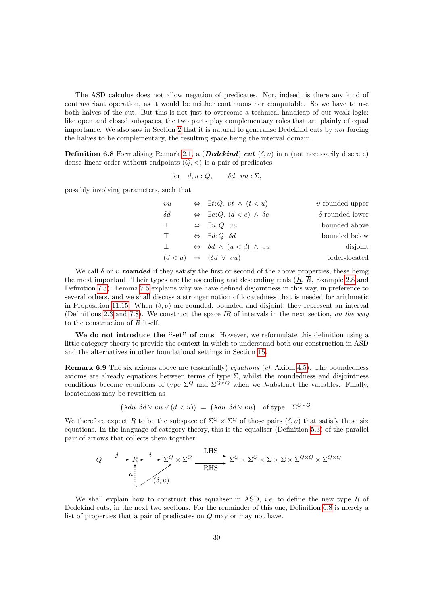The ASD calculus does not allow negation of predicates. Nor, indeed, is there any kind of contravariant operation, as it would be neither continuous nor computable. So we have to use both halves of the cut. But this is not just to overcome a technical handicap of our weak logic: like open and closed subspaces, the two parts play complementary roles that are plainly of equal importance. We also saw in Section [2](#page-4-0) that it is natural to generalise Dedekind cuts by not forcing the halves to be complementary, the resulting space being the interval domain.

<span id="page-29-0"></span>**Definition 6.8** Formalising Remark [2.1,](#page-4-1) a (*Dedekind*) cut ( $\delta$ , v) in a (not necessarily discrete) dense linear order without endpoints  $(Q, \leq)$  is a pair of predicates

for 
$$
d, u : Q
$$
,  $\delta d, vu : \Sigma$ ,

possibly involving parameters, such that

| $vu$       | $\Leftrightarrow$ $\exists t:Q$ . $vt \wedge (t < u)$     | $v$ rounded upper      |
|------------|-----------------------------------------------------------|------------------------|
| $\delta d$ | $\Leftrightarrow \exists e:Q$ . $(d < e) \wedge \delta e$ | $\delta$ rounded lower |
| $\top$     | $\Leftrightarrow \exists u:Q. vu$                         | bounded above          |
| $\top$     | $\Leftrightarrow \exists d:Q. \delta d$                   | bounded below          |
| $\bot$     | $\Leftrightarrow \delta d \wedge (u < d) \wedge vu$       | disjoint               |
| $(d < u)$  | $\Rightarrow (\delta d \vee vu)$                          | order-located          |

We call  $\delta$  or v **rounded** if they satisfy the first or second of the above properties, these being the most important. Their types are the ascending and descending reals  $(R, \overline{R})$ , Example [2.8](#page-6-3) and Definition [7.3\)](#page-32-1). Lemma [7.5](#page-33-0) explains why we have defined disjointness in this way, in preference to several others, and we shall discuss a stronger notion of locatedness that is needed for arithmetic in Proposition [11.15.](#page-51-0) When  $(\delta, v)$  are rounded, bounded and disjoint, they represent an interval (Definitions [2.3](#page-5-2) and [7.8\)](#page-34-1). We construct the space IR of intervals in the next section, on the way to the construction of R itself.

We do not introduce the "set" of cuts. However, we reformulate this definition using a little category theory to provide the context in which to understand both our construction in ASD and the alternatives in other foundational settings in Section [15.](#page-63-0)

**Remark 6.9** The six axioms above are (essentially) *equations* (cf. Axiom [4.5\)](#page-16-1). The boundedness axioms are already equations between terms of type  $\Sigma$ , whilst the roundedness and disjointness conditions become equations of type  $\Sigma^Q$  and  $\Sigma^{\check{Q}\times Q}$  when we  $\lambda$ -abstract the variables. Finally, locatedness may be rewritten as

$$
(\lambda du \cdot \delta d \vee vu \vee (d < u)) = (\lambda du \cdot \delta d \vee vu) \quad \text{of type} \quad \Sigma^{Q \times Q}.
$$

We therefore expect R to be the subspace of  $\Sigma^Q \times \Sigma^Q$  of those pairs  $(\delta, v)$  that satisfy these six equations. In the language of category theory, this is the equaliser (Definition [5.3\)](#page-22-0) of the parallel pair of arrows that collects them together:

$$
Q \xrightarrow{\qquad j \qquad R \qquad i \qquad \Sigma^Q \times \Sigma^Q} \xrightarrow{\qquad \text{LHS} \qquad \qquad \Sigma^Q \times \Sigma^Q \times \Sigma \times \Sigma \times \Sigma^Q \times Q} \times \Sigma^{Q \times Q}
$$
\n
$$
\overset{\text{a}}{\underset{\Gamma}{\vdots}} \qquad \qquad (\delta, v)
$$

We shall explain how to construct this equaliser in ASD, *i.e.* to define the new type  $R$  of Dedekind cuts, in the next two sections. For the remainder of this one, Definition [6.8](#page-29-0) is merely a list of properties that a pair of predicates on O may or may not have.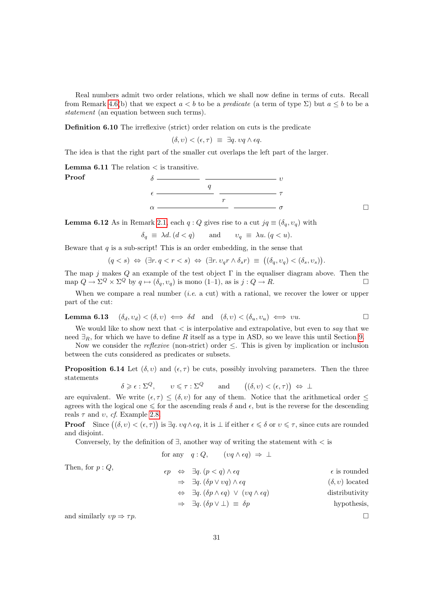Real numbers admit two order relations, which we shall now define in terms of cuts. Recall from Remark [4.6\(](#page-16-0)b) that we expect  $a < b$  to be a predicate (a term of type  $\Sigma$ ) but  $a \leq b$  to be a statement (an equation between such terms).

Definition 6.10 The irreflexive (strict) order relation on cuts is the predicate

$$
(\delta, v) < (\epsilon, \tau) \equiv \exists q. \, vq \wedge \epsilon q.
$$

The idea is that the right part of the smaller cut overlaps the left part of the larger.

**Lemma 6.11** The relation  $\lt$  is transitive. **Proof**  $\delta$  <u> $\qquad \qquad$ </u>  $\qquad \qquad$   $\qquad \qquad$   $\qquad \qquad$ 



<span id="page-30-0"></span>**Lemma 6.12** As in Remark [2.1,](#page-4-1) each  $q:Q$  gives rise to a cut  $jq \equiv (\delta_q, v_q)$  with

$$
\delta_q \equiv \lambda d. (d < q) \quad \text{and} \quad v_q \equiv \lambda u. (q < u).
$$

Beware that  $q$  is a sub-script! This is an order embedding, in the sense that

$$
(q < s) \Leftrightarrow (\exists r. q < r < s) \Leftrightarrow (\exists r. v_q r \land \delta_s r) \equiv ((\delta_q, v_q) < (\delta_s, v_s)).
$$

The map j makes Q an example of the test object  $\Gamma$  in the equaliser diagram above. Then the map  $Q \to \Sigma^Q \times \Sigma^Q$  by  $q \mapsto (\delta_q, v_q)$  is mono  $(1-1)$ , as is  $j: Q \to R$ .

When we compare a real number *(i.e.* a cut) with a rational, we recover the lower or upper part of the cut:

**Lemma 6.13** 
$$
(\delta_d, v_d) < (\delta, v) \iff \delta d
$$
 and  $(\delta, v) < (\delta_u, v_u) \iff vu$ .

We would like to show next that  $\lt$  is interpolative and extrapolative, but even to say that we need  $\exists_R$ , for which we have to define R itself as a type in ASD, so we leave this until Section [9.](#page-41-0)

Now we consider the reflexive (non-strict) order  $\leq$ . This is given by implication or inclusion between the cuts considered as predicates or subsets.

**Proposition 6.14** Let  $(\delta, v)$  and  $(\epsilon, \tau)$  be cuts, possibly involving parameters. Then the three statements

$$
\delta \geqslant \epsilon : \Sigma^Q, \qquad v \leqslant \tau : \Sigma^Q \qquad \text{and} \qquad ((\delta, v) < (\epsilon, \tau)) \iff \bot
$$

are equivalent. We write  $(\epsilon, \tau) \leq (\delta, v)$  for any of them. Notice that the arithmetical order  $\leq$ agrees with the logical one  $\leq$  for the ascending reals  $\delta$  and  $\epsilon$ , but is the reverse for the descending reals  $\tau$  and  $v$ , cf. Example [2.8.](#page-6-3)

**Proof** Since  $((\delta, v) < (\epsilon, \tau))$  is  $\exists q. vq \wedge \epsilon q$ , it is  $\bot$  if either  $\epsilon \leq \delta$  or  $v \leq \tau$ , since cuts are rounded and disjoint.

Conversely, by the definition of  $\exists$ , another way of writing the statement with  $\langle$  is

for any 
$$
q:Q
$$
,  $(vq \wedge \epsilon q) \Rightarrow \bot$ 

Then, for  $p:Q$ ,

|  | $\epsilon p \Leftrightarrow \exists q. (p < q) \wedge \epsilon q$                       | $\epsilon$ is rounded |
|--|-----------------------------------------------------------------------------------------|-----------------------|
|  | $\Rightarrow$ $\exists q. (\delta p \vee vq) \wedge \epsilon q$                         | $(\delta, v)$ located |
|  | $\Leftrightarrow$ $\exists q. (\delta p \wedge \epsilon q) \vee (vq \wedge \epsilon q)$ | distributivity        |
|  | $\Rightarrow$ $\exists q. (\delta p \vee \bot) \equiv \delta p$                         | hypothesis,           |

and similarly  $vp \Rightarrow \tau p$ .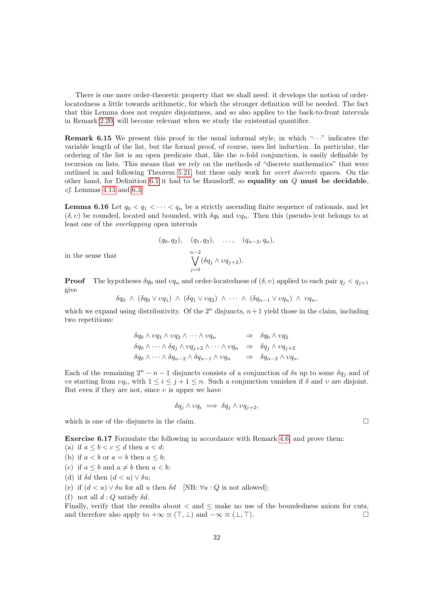There is one more order-theoretic property that we shall need: it develops the notion of orderlocatedness a little towards arithmetic, for which the stronger definition will be needed. The fact that this Lemma does not require disjointness, and so also applies to the back-to-front intervals in Remark [2.20,](#page-11-1) will become relevant when we study the existential quantifier.

<span id="page-31-1"></span>**Remark 6.15** We present this proof in the usual informal style, in which " $\cdots$ " indicates the variable length of the list, but the formal proof, of course, uses list induction. In particular, the ordering of the list is an open predicate that, like the *n*-fold conjunction, is easily definable by recursion on lists. This means that we rely on the methods of "discrete mathematics" that were outlined in and following Theorem [5.21,](#page-26-1) but these only work for overt discrete spaces. On the other hand, for Definition [6.1](#page-28-0) it had to be Hausdorff, so equality on  $Q$  must be decidable, cf. Lemmas [4.13](#page-18-3) and [6.3.](#page-28-1)

**Lemma 6.16** Let  $q_0 < q_1 < \cdots < q_n$  be a strictly ascending finite sequence of rationals, and let  $(\delta, v)$  be rounded, located and bounded, with  $\delta q_0$  and  $v q_n$ . Then this (pseudo-)cut belongs to at least one of the overlapping open intervals

$$
(q_0, q_2), \quad (q_1, q_3), \quad \ldots, \quad (q_{n-2}, q_n),
$$
  

$$
\bigvee_{j=0}^{n-2} (\delta q_j \wedge v q_{j+2}).
$$

in the sense that

**Proof** The hypotheses  $\delta q_0$  and  $vq_n$  and order-locatedness of  $(\delta, v)$  applied to each pair  $q_i < q_{i+1}$ give

$$
\delta q_0 \wedge (\delta q_0 \vee vq_1) \wedge (\delta q_1 \vee vq_2) \wedge \cdots \wedge (\delta q_{n-1} \vee vq_n) \wedge vq_n,
$$

which we expand using distributivity. Of the  $2^n$  disjuncts,  $n+1$  yield those in the claim, including two repetitions:

$$
\delta q_0 \wedge v q_1 \wedge v q_2 \wedge \cdots \wedge v q_n \Rightarrow \delta q_0 \wedge v q_2
$$
  
\n
$$
\delta q_0 \wedge \cdots \wedge \delta q_j \wedge v q_{j+2} \wedge \cdots \wedge v q_n \Rightarrow \delta q_j \wedge v q_{j+2}
$$
  
\n
$$
\delta q_0 \wedge \cdots \wedge \delta q_{n-2} \wedge \delta q_{n-1} \wedge v q_n \Rightarrow \delta q_{n-2} \wedge v q_n.
$$

Each of the remaining  $2^{n} - n - 1$  disjuncts consists of a conjunction of  $\delta s$  up to some  $\delta q_i$  and of vs starting from  $vq_i$ , with  $1 \le i \le j+1 \le n$ . Such a conjunction vanishes if  $\delta$  and  $v$  are disjoint. But even if they are not, since  $v$  is upper we have

$$
\delta q_j \wedge v q_i \implies \delta q_j \wedge v q_{j+2},
$$

<span id="page-31-0"></span>which is one of the disjuncts in the claim.  $\Box$ 

Exercise 6.17 Formulate the following in accordance with Remark [4.6,](#page-16-0) and prove them:

- (a) if  $a \leq b \leq c \leq d$  then  $a \leq d$ ;
- (b) if  $a < b$  or  $a = b$  then  $a \leq b$ ;
- (c) if  $a \leq b$  and  $a \neq b$  then  $a < b$ ;
- (d) if  $\delta d$  then  $(d < u) \vee \delta u$ ;
- (e) if  $(d < u) \vee \delta u$  for all u then  $\delta d$  [NB:  $\forall u : Q$  is not allowed];
- (f) not all  $d:Q$  satisfy  $\delta d$ .

Finally, verify that the results about  $\langle$  and  $\langle$  make no use of the boundedness axiom for cuts, and therefore also apply to  $+\infty \equiv (\top, \bot)$  and  $-\infty \equiv (\bot, \top)$ .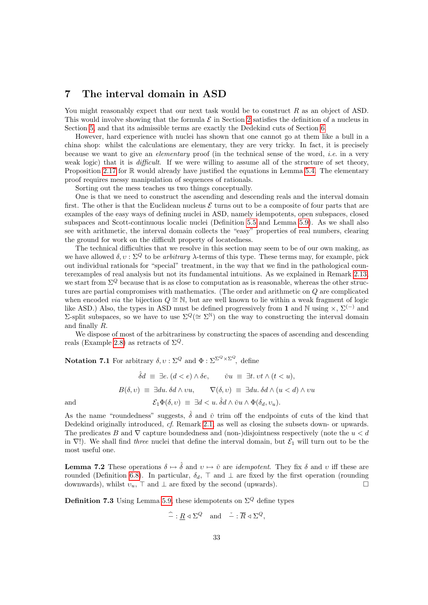## <span id="page-32-0"></span>7 The interval domain in ASD

You might reasonably expect that our next task would be to construct R as an object of ASD. This would involve showing that the formula  $\mathcal E$  in Section [2](#page-4-0) satisfies the definition of a nucleus in Section [5,](#page-21-0) and that its admissible terms are exactly the Dedekind cuts of Section [6.](#page-27-0)

However, hard experience with nuclei has shown that one cannot go at them like a bull in a china shop: whilst the calculations are elementary, they are very tricky. In fact, it is precisely because we want to give an *elementary* proof (in the technical sense of the word, *i.e.* in a very weak logic) that it is *difficult*. If we were willing to assume all of the structure of set theory, Proposition [2.17](#page-9-1) for  $\mathbb R$  would already have justified the equations in Lemma [5.4.](#page-22-3) The elementary proof requires messy manipulation of sequences of rationals.

Sorting out the mess teaches us two things conceptually.

One is that we need to construct the ascending and descending reals and the interval domain first. The other is that the Euclidean nucleus  $\mathcal E$  turns out to be a composite of four parts that are examples of the easy ways of defining nuclei in ASD, namely idempotents, open subspaces, closed subspaces and Scott-continuous localic nuclei (Definition [5.5](#page-22-4) and Lemma [5.9\)](#page-23-0). As we shall also see with arithmetic, the interval domain collects the "easy" properties of real numbers, clearing the ground for work on the difficult property of locatedness.

The technical difficulties that we resolve in this section may seem to be of our own making, as we have allowed  $\delta, v : \Sigma^Q$  to be arbitrary  $\lambda$ -terms of this type. These terms may, for example, pick out individual rationals for "special" treatment, in the way that we find in the pathological counterexamples of real analysis but not its fundamental intuitions. As we explained in Remark [2.13,](#page-7-2) we start from  $\Sigma^Q$  because that is as close to computation as is reasonable, whereas the other structures are partial compromises with mathematics. (The order and arithmetic on Q are complicated when encoded *via* the bijection  $Q \cong N$ , but are well known to lie within a weak fragment of logic like ASD.) Also, the types in ASD must be defined progressively from 1 and N using  $\times$ ,  $\Sigma^{(-)}$  and Σ-split subspaces, so we have to use  $\Sigma^Q(\cong \Sigma^{\mathbb{N}})$  on the way to constructing the interval domain and finally R.

We dispose of most of the arbitrariness by constructing the spaces of ascending and descending reals (Example [2.8\)](#page-6-3) as retracts of  $\Sigma^Q$ .

<span id="page-32-2"></span>**Notation 7.1** For arbitrary  $\delta, v : \Sigma^Q$  and  $\Phi : \Sigma^{\Sigma^Q \times \Sigma^Q}$ , define

$$
\hat{\delta}d \equiv \exists e. (d < e) \land \delta e, \quad \check{\quad} u \equiv \exists t. \, vt \land (t < u),
$$

$$
B(\delta, v) \equiv \exists du. \delta d \land vu, \quad \nabla(\delta, v) \equiv \exists du. \delta d \land (u < d) \land vu
$$
and
$$
\mathcal{E}_1 \Phi(\delta, v) \equiv \exists d < u. \hat{\delta}d \land \check{\quad} u \land \Phi(\delta_d, v_u).
$$

As the name "roundedness" suggests,  $\hat{\delta}$  and  $\check{\nu}$  trim off the endpoints of cuts of the kind that Dedekind originally introduced, cf. Remark [2.1,](#page-4-1) as well as closing the subsets down- or upwards. The predicates B and  $\nabla$  capture boundedness and (non-)disjointness respectively (note the  $u < d$ in  $\nabla$ !). We shall find three nuclei that define the interval domain, but  $\mathcal{E}_1$  will turn out to be the most useful one.

**Lemma 7.2** These operations  $\delta \mapsto \hat{\delta}$  and  $v \mapsto \check{v}$  are *idempotent*. They fix  $\delta$  and v iff these are rounded (Definition [6.8\)](#page-29-0). In particular,  $\delta_d$ ,  $\top$  and  $\bot$  are fixed by the first operation (rounding downwards), whilst  $v_u$ ,  $\top$  and  $\bot$  are fixed by the second (upwards).

<span id="page-32-1"></span>**Definition 7.3** Using Lemma [5.9,](#page-23-0) these idempotents on  $\Sigma^Q$  define types

$$
\widehat{-}:\underline{R}\triangleleft\Sigma^Q \quad \text{and} \quad \widetilde{-}:\overline{R}\triangleleft\Sigma^Q,
$$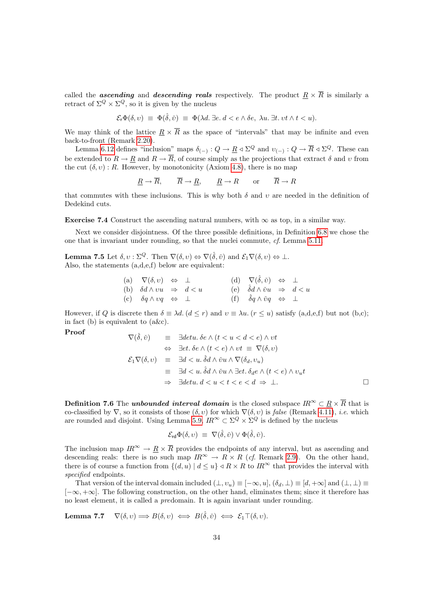called the **ascending** and **descending reals** respectively. The product  $\underline{R} \times \overline{R}$  is similarly a retract of  $\Sigma^Q \times \Sigma^Q$ , so it is given by the nucleus

$$
\mathcal{E}_{\mathbf{r}}\Phi(\delta,v) \ \equiv \ \Phi(\hat{\delta},\check{\upsilon}) \ \equiv \ \Phi(\lambda d. \ \exists e. \ d < e \land \delta e, \ \lambda u. \ \exists t. \ \upsilon t \land t < u).
$$

We may think of the lattice  $R \times \overline{R}$  as the space of "intervals" that may be infinite and even back-to-front (Remark [2.20\)](#page-11-1).

Lemma [6.12](#page-30-0) defines "inclusion" maps  $\delta_{(-)}: Q \to \underline{R} \triangleleft \Sigma^Q$  and  $v_{(-)}: Q \to \overline{R} \triangleleft \Sigma^Q$ . These can be extended to  $R \to R$  and  $R \to \overline{R}$ , of course simply as the projections that extract  $\delta$  and  $v$  from the cut  $(\delta, v)$ : R. However, by monotonicity (Axiom [4.8\)](#page-17-4), there is no map

$$
\underline{R} \to \overline{R}, \qquad \overline{R} \to \underline{R}, \qquad \underline{R} \to R \qquad \text{or} \qquad \overline{R} \to R
$$

that commutes with these inclusions. This is why both  $\delta$  and  $\nu$  are needed in the definition of Dedekind cuts.

Exercise 7.4 Construct the ascending natural numbers, with  $\infty$  as top, in a similar way.

Next we consider disjointness. Of the three possible definitions, in Definition [6.8](#page-29-0) we chose the one that is invariant under rounding, so that the nuclei commute, cf. Lemma [5.11.](#page-24-3)

<span id="page-33-0"></span>**Lemma 7.5** Let  $\delta, v : \Sigma^Q$ . Then  $\nabla(\delta, v) \Leftrightarrow \nabla(\hat{\delta}, \check{v})$  and  $\mathcal{E}_1 \nabla(\delta, v) \Leftrightarrow \bot$ . Also, the statements (a,d,e,f) below are equivalent:

| (a) $\nabla(\delta, v) \Leftrightarrow \bot$  |  | (d) $\nabla(\hat{\delta}, \check{\nu}) \Leftrightarrow \bot$ |  |
|-----------------------------------------------|--|--------------------------------------------------------------|--|
| (b) $\delta d \wedge vu \Rightarrow d < u$    |  | (e) $\delta d \wedge \check{\upsilon} u \Rightarrow d < u$   |  |
| (c) $\delta q \wedge vq \Leftrightarrow \bot$ |  | (f) $\delta q \wedge \check{v}q \Leftrightarrow \bot$        |  |

However, if Q is discrete then  $\delta \equiv \lambda d$ .  $(d \leq r)$  and  $v \equiv \lambda u$ .  $(r \leq u)$  satisfy (a,d,e,f) but not (b,c); in fact (b) is equivalent to (a&c).

Proof

$$
\nabla(\hat{\delta}, \check{v}) = \exists detu. \delta e \land (t < u < d < e) \land vt
$$
  
\n
$$
\Leftrightarrow \exists et. \delta e \land (t < e) \land vt \equiv \nabla(\delta, v)
$$
  
\n
$$
\mathcal{E}_1 \nabla(\delta, v) = \exists d < u. \hat{\delta} d \land \check{v} u \land \nabla(\delta_d, v_u)
$$
  
\n
$$
\equiv \exists d < u. \hat{\delta} d \land \check{v} u \land \exists et. \delta_d e \land (t < e) \land v_u t
$$
  
\n
$$
\Rightarrow \exists detu. \ d < u < t < e < d \Rightarrow \bot.
$$

**Definition 7.6** The *unbounded interval domain* is the closed subspace  $\mathbb{R}^{\infty} \subset \mathbb{R} \times \overline{\mathbb{R}}$  that is co-classified by  $\nabla$ , so it consists of those  $(\delta, v)$  for which  $\nabla(\delta, v)$  is *false* (Remark [4.11\)](#page-17-3), *i.e.* which are rounded and disjoint. Using Lemma [5.9,](#page-23-0)  $IR^{\infty} \subset \Sigma^Q \times \Sigma^Q$  is defined by the nucleus

$$
\mathcal{E}_{\mathrm{rd}}\Phi(\delta,v)\ \equiv\ \nabla(\hat\delta,\check v)\vee\Phi(\hat\delta,\check v).
$$

The inclusion map  $IR^{\infty} \to \underline{R} \times \overline{R}$  provides the endpoints of any interval, but as ascending and descending reals: there is no such map  $IR^{\infty} \to R \times R$  (cf. Remark [2.9\)](#page-6-1). On the other hand, there is of course a function from  $\{(d, u) | d \leq u\} \triangleleft R \times R$  to  $IR^{\infty}$  that provides the interval with specified endpoints.

That version of the interval domain included  $(\bot, v_u) \equiv [-\infty, u], (\delta_d, \bot) \equiv [d, +\infty]$  and  $(\bot, \bot) \equiv$ [−∞, +∞]. The following construction, on the other hand, eliminates them; since it therefore has no least element, it is called a predomain. It is again invariant under rounding.

<span id="page-33-1"></span>Lemma 7.7  $\nabla(\delta, v) \Longrightarrow B(\delta, v) \iff B(\hat{\delta}, \check{v}) \iff \mathcal{E}_1 \top (\delta, v)$ .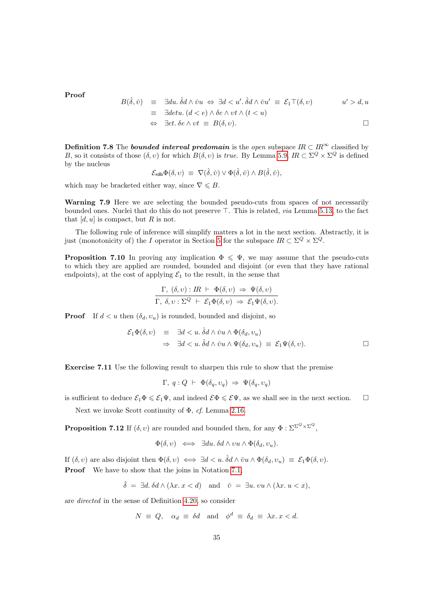Proof

$$
B(\hat{\delta}, \check{v}) \equiv \exists du. \hat{\delta}d \wedge \check{v}u \Leftrightarrow \exists d < u'. \hat{\delta}d \wedge \check{v}u' \equiv \mathcal{E}_1 \top (\delta, v) \qquad u' > d, u
$$
  
\n
$$
\equiv \exists detu. (d < e) \wedge \delta e \wedge vt \wedge (t < u)
$$
  
\n
$$
\Leftrightarrow \exists et. \delta e \wedge vt \equiv B(\delta, v).
$$

<span id="page-34-1"></span>**Definition 7.8** The **bounded interval predomain** is the open subspace  $IR \subset IR^{\infty}$  classified by B, so it consists of those  $(\delta, v)$  for which  $B(\delta, v)$  is true. By Lemma [5.9,](#page-23-0)  $IR \subset \Sigma^Q \times \Sigma^Q$  is defined by the nucleus

$$
\mathcal{E}_{\text{rdb}}\Phi(\delta,\upsilon) \ \equiv \ \nabla(\hat{\delta},\check{\upsilon}) \vee \Phi(\hat{\delta},\check{\upsilon}) \wedge B(\hat{\delta},\check{\upsilon}),
$$

which may be bracketed either way, since  $\nabla \leq B$ .

Warning 7.9 Here we are selecting the bounded pseudo-cuts from spaces of not necessarily bounded ones. Nuclei that do this do not preserve  $\top$ . This is related, *via* Lemma [5.13,](#page-24-4) to the fact that  $[d, u]$  is compact, but R is not.

The following rule of inference will simplify matters a lot in the next section. Abstractly, it is just (monotonicity of) the I operator in Section [5](#page-21-0) for the subspace  $IR \subset \Sigma^Q \times \Sigma^Q$ .

<span id="page-34-2"></span>**Proposition 7.10** In proving any implication  $\Phi \leq \Psi$ , we may assume that the pseudo-cuts to which they are applied are rounded, bounded and disjoint (or even that they have rational endpoints), at the cost of applying  $\mathcal{E}_1$  to the result, in the sense that

$$
\frac{\Gamma, (\delta, v) : IR \vdash \Phi(\delta, v) \Rightarrow \Psi(\delta, v)}{\Gamma, \ \delta, v : \Sigma^{Q} \vdash \mathcal{E}_{1}\Phi(\delta, v) \Rightarrow \mathcal{E}_{1}\Psi(\delta, v)}.
$$

**Proof** If  $d < u$  then  $(\delta_d, v_u)$  is rounded, bounded and disjoint, so

$$
\mathcal{E}_1 \Phi(\delta, v) \equiv \exists d < u \ldotp \hat{\delta} d \wedge \check{v} u \wedge \Phi(\delta_d, v_u) \Rightarrow \exists d < u \ldotp \hat{\delta} d \wedge \check{v} u \wedge \Psi(\delta_d, v_u) \equiv \mathcal{E}_1 \Psi(\delta, v).
$$

Exercise 7.11 Use the following result to sharpen this rule to show that the premise

$$
\Gamma, q: Q \vdash \Phi(\delta_q, v_q) \Rightarrow \Psi(\delta_q, v_q)
$$

is sufficient to deduce  $\mathcal{E}_1 \Phi \leqslant \mathcal{E}_1 \Psi$ , and indeed  $\mathcal{E} \Phi \leqslant \mathcal{E} \Psi$ , as we shall see in the next section.

Next we invoke Scott continuity of  $\Phi$ , *cf.* Lemma [2.16.](#page-9-0)

<span id="page-34-0"></span>**Proposition 7.12** If  $(\delta, v)$  are rounded and bounded then, for any  $\Phi : \Sigma^{\Sigma^Q \times \Sigma^Q}$ ,

$$
\Phi(\delta, v) \iff \exists du. \, \delta d \wedge vu \wedge \Phi(\delta_d, v_u).
$$

If  $(\delta, v)$  are also disjoint then  $\Phi(\delta, v) \iff \exists d < u \cdot \hat{\delta} d \wedge \check{v} u \wedge \Phi(\delta_d, v_u) \equiv \mathcal{E}_1 \Phi(\delta, v)$ . **Proof** We have to show that the joins in Notation [7.1,](#page-32-2)

$$
\hat{\delta} = \exists d. \delta d \land (\lambda x. x < d) \quad \text{and} \quad \check{\upsilon} = \exists u. \, \upsilon u \land (\lambda x. u < x),
$$

are directed in the sense of Definition [4.20,](#page-19-0) so consider

$$
N \equiv Q, \quad \alpha_d \equiv \delta d \quad \text{and} \quad \phi^d \equiv \delta_d \equiv \lambda x. \ x < d.
$$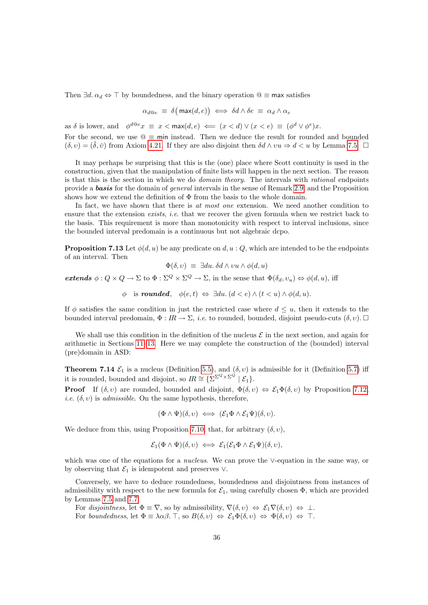Then  $\exists d$ .  $\alpha_d \Leftrightarrow \top$  by boundedness, and the binary operation  $\mathcal{Q} \equiv \mathsf{max}$  satisfies

$$
\alpha_{d@e} \equiv \delta(\max(d,e)) \iff \delta d \wedge \delta e \equiv \alpha_d \wedge \alpha_e
$$

as  $\delta$  is lower, and  $\phi^{d@e}x \equiv x < \max(d, e) \iff (x < d) \lor (x < e) \equiv (\phi^d \lor \phi^e)x$ . For the second, we use  $@ \equiv$  min instead. Then we deduce the result for rounded and bounded  $(\delta, v) = (\delta, v)$  from Axiom [4.21.](#page-20-3) If they are also disjoint then  $\delta d \wedge vu \Rightarrow d < u$  by Lemma [7.5.](#page-33-0)  $\Box$ 

It may perhaps be surprising that this is the (one) place where Scott continuity is used in the construction, given that the manipulation of finite lists will happen in the next section. The reason is that this is the section in which we do *domain theory*. The intervals with *rational* endpoints provide a basis for the domain of general intervals in the sense of Remark [2.9,](#page-6-1) and the Proposition shows how we extend the definition of  $\Phi$  from the basis to the whole domain.

In fact, we have shown that there is at most one extension. We need another condition to ensure that the extension exists, *i.e.* that we recover the given formula when we restrict back to the basis. This requirement is more than monotonicity with respect to interval inclusions, since the bounded interval predomain is a continuous but not algebraic dcpo.

**Proposition 7.13** Let  $\phi(d, u)$  be any predicate on d,  $u : Q$ , which are intended to be the endpoints of an interval. Then

$$
\Phi(\delta, v) \equiv \exists du. \, \delta d \wedge vu \wedge \phi(d, u)
$$

extends  $\phi: Q \times Q \to \Sigma$  to  $\Phi: \Sigma^Q \times \Sigma^Q \to \Sigma$ , in the sense that  $\Phi(\delta_d, v_u) \Leftrightarrow \phi(d, u)$ , iff

 $\phi$  is **rounded**,  $\phi(e, t) \Leftrightarrow \exists du \, (d < e) \wedge (t < u) \wedge \phi(d, u).$ 

If  $\phi$  satisfies the same condition in just the restricted case where  $d \leq u$ , then it extends to the bounded interval predomain,  $\Phi: \mathbb{R} \to \Sigma$ , *i.e.* to rounded, bounded, disjoint pseudo-cuts  $(\delta, v)$ .

We shall use this condition in the definition of the nucleus  $\mathcal E$  in the next section, and again for arithmetic in Sections [11–](#page-48-0)[13.](#page-57-0) Here we may complete the construction of the (bounded) interval (pre)domain in ASD:

**Theorem 7.14**  $\mathcal{E}_1$  is a nucleus (Definition [5.5\)](#page-22-4), and  $(\delta, v)$  is admissible for it (Definition [5.7\)](#page-23-1) iff it is rounded, bounded and disjoint, so  $IR \cong \{\Sigma^{\Sigma^Q \times \Sigma^Q} \mid \mathcal{E}_1\}.$ 

**Proof** If  $(\delta, v)$  are rounded, bounded and disjoint,  $\Phi(\delta, v) \Leftrightarrow \mathcal{E}_1\Phi(\delta, v)$  by Proposition [7.12,](#page-34-0) *i.e.* ( $\delta$ ,  $v$ ) is *admissible*. On the same hypothesis, therefore,

$$
(\Phi \wedge \Psi)(\delta, v) \iff (\mathcal{E}_1 \Phi \wedge \mathcal{E}_1 \Psi)(\delta, v).
$$

We deduce from this, using Proposition [7.10,](#page-34-2) that, for arbitrary  $(\delta, v)$ ,

$$
\mathcal{E}_1(\Phi \wedge \Psi)(\delta, v) \iff \mathcal{E}_1(\mathcal{E}_1 \Phi \wedge \mathcal{E}_1 \Psi)(\delta, v),
$$

which was one of the equations for a *nucleus*. We can prove the ∨-equation in the same way, or by observing that  $\mathcal{E}_1$  is idempotent and preserves ∨.

Conversely, we have to deduce roundedness, boundedness and disjointness from instances of admissibility with respect to the new formula for  $\mathcal{E}_1$ , using carefully chosen  $\Phi$ , which are provided by Lemmas [7.5](#page-33-0) and [7.7.](#page-33-1)

For disjointness, let  $\Phi \equiv \nabla$ , so by admissibility,  $\nabla(\delta, v) \Leftrightarrow \mathcal{E}_1 \nabla(\delta, v) \Leftrightarrow \bot$ . For boundedness, let  $\Phi \equiv \lambda \alpha \beta$ . T, so  $B(\delta, v) \Leftrightarrow \mathcal{E}_1 \Phi(\delta, v) \Leftrightarrow \Phi(\delta, v) \Leftrightarrow$  T.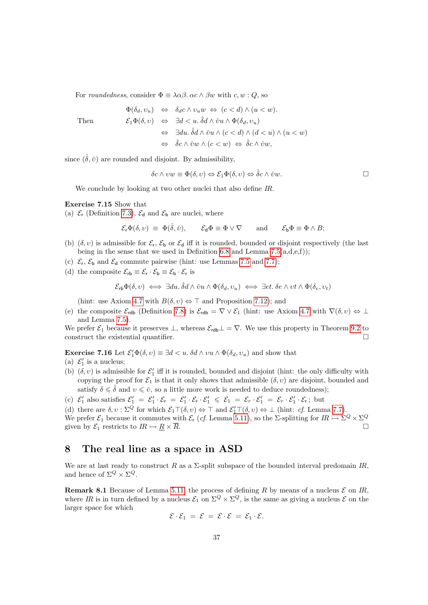For roundedness, consider  $\Phi \equiv \lambda \alpha \beta$ .  $\alpha c \wedge \beta w$  with c, w : Q, so

$$
\Phi(\delta_d, v_u) \Leftrightarrow \delta_d c \wedge v_u w \Leftrightarrow (c < d) \wedge (u < w).
$$
\nThen\n
$$
\mathcal{E}_1 \Phi(\delta, v) \Leftrightarrow \exists d < u. \hat{\delta} d \wedge \check{v} u \wedge \Phi(\delta_d, v_u)
$$
\n
$$
\Leftrightarrow \exists du. \hat{\delta} d \wedge \check{v} u \wedge (c < d) \wedge (d < u) \wedge (u < w)
$$
\n
$$
\Leftrightarrow \hat{\delta} c \wedge \check{v} w \wedge (c < w) \Leftrightarrow \hat{\delta} c \wedge \check{v} w,
$$

since  $(\delta, \check{v})$  are rounded and disjoint. By admissibility,

$$
\delta c \wedge vw \equiv \Phi(\delta, v) \Leftrightarrow \mathcal{E}_1 \Phi(\delta, v) \Leftrightarrow \hat{\delta} c \wedge \check{v}w.
$$

We conclude by looking at two other nuclei that also define IR.

<span id="page-36-0"></span>Exercise 7.15 Show that

(a)  $\mathcal{E}_{r}$  (Definition [7.3\)](#page-32-0),  $\mathcal{E}_{d}$  and  $\mathcal{E}_{b}$  are nuclei, where

$$
\mathcal{E}_{r}\Phi(\delta, v) \equiv \Phi(\hat{\delta}, \check{v}), \qquad \mathcal{E}_{d}\Phi \equiv \Phi \vee \nabla \qquad \text{and} \qquad \mathcal{E}_{b}\Phi \equiv \Phi \wedge B;
$$

- (b)  $(\delta, v)$  is admissible for  $\mathcal{E}_r$ ,  $\mathcal{E}_b$  or  $\mathcal{E}_d$  iff it is rounded, bounded or disjoint respectively (the last being in the sense that we used in Definition [6.8](#page-29-0) and Lemma 7.5 $(a,d,e,f)$ ;
- (c)  $\mathcal{E}_{r}$ ,  $\mathcal{E}_{b}$  and  $\mathcal{E}_{d}$  commute pairwise (hint: use Lemmas [7.5](#page-33-0) and [7.7\)](#page-33-1);
- (d) the composite  $\mathcal{E}_{rb} \equiv \mathcal{E}_r \cdot \mathcal{E}_b \equiv \mathcal{E}_b \cdot \mathcal{E}_r$  is

$$
\mathcal{E}_{\mathsf{rb}}\Phi(\delta,v) \iff \exists du. \, \hat{\delta}d \wedge \check{v}u \wedge \Phi(\delta_d,v_u) \iff \exists et. \, \delta e \wedge vt \wedge \Phi(\delta_e,v_t)
$$

(hint: use Axiom [4.7](#page-17-0) with  $B(\delta, v) \Leftrightarrow \top$  and Proposition [7.12\)](#page-34-0); and

(e) the composite  $\mathcal{E}_{\text{rdb}}$  (Definition [7.8\)](#page-34-1) is  $\mathcal{E}_{\text{rdb}} = \nabla \vee \mathcal{E}_1$  (hint: use Axiom [4.7](#page-17-0) with  $\nabla(\delta, v) \Leftrightarrow \bot$ and Lemma [7.5\)](#page-33-0).

We prefer  $\mathcal{E}_1$  because it preserves  $\perp$ , whereas  $\mathcal{E}_{\text{rdb}}\perp = \nabla$ . We use this property in Theorem [9.2](#page-41-0) to construct the existential quantifier.  $\Box$ 

**Exercise 7.16** Let  $\mathcal{E}'_1\Phi(\delta, v) \equiv \exists d < u$ .  $\delta d \wedge vu \wedge \Phi(\delta_d, v_u)$  and show that (a)  $\mathcal{E}'_1$  is a nucleus;

- 
- (b)  $(\delta, v)$  is admissible for  $\mathcal{E}'_1$  iff it is rounded, bounded and disjoint (hint: the only difficulty with copying the proof for  $\mathcal{E}_1$  is that it only shows that admissible  $(\delta, v)$  are disjoint, bounded and satisfy  $\delta \leq \hat{\delta}$  and  $v \leq \check{v}$ , so a little more work is needed to deduce roundedness);
- (c)  $\mathcal{E}'_1$  also satisfies  $\mathcal{E}'_1 = \mathcal{E}'_1 \cdot \mathcal{E}_r = \mathcal{E}'_1 \cdot \mathcal{E}_r \cdot \mathcal{E}'_1 \leq \mathcal{E}_1 = \mathcal{E}_r \cdot \mathcal{E}'_1 = \mathcal{E}_r \cdot \mathcal{E}'_1 \cdot \mathcal{E}_r$ ; but
- (d) there are  $\delta, v : \Sigma^Q$  for which  $\mathcal{E}_1 \top(\delta, v) \Leftrightarrow \top$  and  $\mathcal{E}'_1 \top(\delta, v) \Leftrightarrow \bot$  (hint: *cf.* Lemma [7.7\)](#page-33-1). We prefer  $\mathcal{E}_1$  because it commutes with  $\mathcal{E}_r$  (*cf.* Lemma [5.11\)](#page-24-0), so the  $\Sigma$ -splitting for  $IR \rightarrow \Sigma^Q \times \Sigma^Q$ given by  $\mathcal{E}_1$  restricts to  $IR \rightarrow \overline{R} \times \overline{R}$ .

### <span id="page-36-2"></span>8 The real line as a space in ASD

We are at last ready to construct R as a  $\Sigma$ -split subspace of the bounded interval predomain IR, and hence of  $\Sigma^Q \times \Sigma^Q$ .

<span id="page-36-1"></span>**Remark 8.1** Because of Lemma [5.11,](#page-24-0) the process of defining R by means of a nucleus  $\mathcal{E}$  on IR, where IR is in turn defined by a nucleus  $\mathcal{E}_1$  on  $\Sigma^Q \times \Sigma^Q$ , is the same as giving a nucleus  $\mathcal E$  on the larger space for which

$$
\mathcal{E} \cdot \mathcal{E}_1 = \mathcal{E} = \mathcal{E} \cdot \mathcal{E} = \mathcal{E}_1 \cdot \mathcal{E}.
$$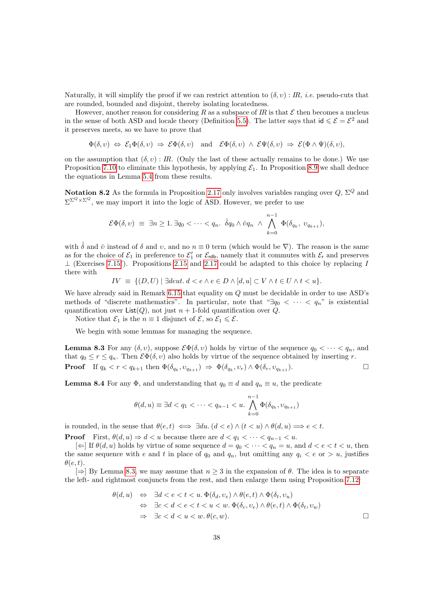Naturally, it will simplify the proof if we can restrict attention to  $(\delta, v)$  : IR, *i.e.* pseudo-cuts that are rounded, bounded and disjoint, thereby isolating locatedness.

However, another reason for considering R as a subspace of IR is that  $\mathcal E$  then becomes a nucleus in the sense of both ASD and locale theory (Definition [5.5\)](#page-22-0). The latter says that  $\mathsf{id} \leq \mathcal{E} = \mathcal{E}^2$  and it preserves meets, so we have to prove that

$$
\Phi(\delta, v) \Leftrightarrow \mathcal{E}_1 \Phi(\delta, v) \Rightarrow \mathcal{E} \Phi(\delta, v) \quad \text{and} \quad \mathcal{E} \Phi(\delta, v) \ \wedge \ \mathcal{E} \Psi(\delta, v) \Rightarrow \mathcal{E} (\Phi \wedge \Psi)(\delta, v),
$$

on the assumption that  $(\delta, v)$ : IR. (Only the last of these actually remains to be done.) We use Proposition [7.10](#page-34-2) to eliminate this hypothesis, by applying  $\mathcal{E}_1$ . In Proposition [8.9](#page-39-0) we shall deduce the equations in Lemma [5.4](#page-22-1) from these results.

<span id="page-37-2"></span>Notation 8.2 As the formula in Proposition [2.17](#page-9-0) only involves variables ranging over  $Q, \Sigma^Q$  and  $\Sigma^{\Sigma^Q \times \Sigma^Q}$ , we may import it into the logic of ASD. However, we prefer to use

$$
\mathcal{E}\Phi(\delta,\nu) \equiv \exists n \geq 1. \ \exists q_0 < \cdots < q_n. \ \hat{\delta}q_0 \wedge \check{\nu}q_n \wedge \bigwedge_{k=0}^{n-1} \Phi(\delta_{q_k},\ \nu_{q_{k+1}}),
$$

with  $\hat{\delta}$  and  $\check{\nu}$  instead of  $\delta$  and  $v$ , and no  $n \equiv 0$  term (which would be  $\nabla$ ). The reason is the same as for the choice of  $\mathcal{E}_1$  in preference to  $\mathcal{E}'_1$  or  $\mathcal{E}_{rdb}$ , namely that it commutes with  $\mathcal{E}_r$  and preserves  $\perp$  (Exercises [7.15f](#page-36-0)). Propositions [2.15](#page-8-0) and [2.17](#page-9-0) could be adapted to this choice by replacing I there with

$$
IV \equiv \{ (D, U) \mid \exists det \ldotp d < e \land e \in D \land [d, u] \subset V \land t \in U \land t < u \}.
$$

We have already said in Remark [6.15](#page-31-0) that equality on Q must be decidable in order to use ASD's methods of "discrete mathematics". In particular, note that " $\exists q_0 < \cdots < q_n$ " is existential quantification over  $List(Q)$ , not just  $n + 1$ -fold quantification over Q.

Notice that  $\mathcal{E}_1$  is the  $n \equiv 1$  disjunct of  $\mathcal{E}$ , so  $\mathcal{E}_1 \leq \mathcal{E}$ .

We begin with some lemmas for managing the sequence.

<span id="page-37-0"></span>**Lemma 8.3** For any  $(\delta, v)$ , suppose  $\mathcal{E}\Phi(\delta, v)$  holds by virtue of the sequence  $q_0 < \cdots < q_n$ , and that  $q_0 \leq r \leq q_n$ . Then  $\mathcal{E}\Phi(\delta, v)$  also holds by virtue of the sequence obtained by inserting r. **Proof** If  $q_k < r < q_{k+1}$  then  $\Phi(\delta_{q_k}, v_{q_{k+1}}) \Rightarrow \Phi(\delta_{q_k}, v_r) \wedge \Phi(\delta_r, v_{q_{k+1}}).$ 

<span id="page-37-1"></span>**Lemma 8.4** For any  $\Phi$ , and understanding that  $q_0 \equiv d$  and  $q_n \equiv u$ , the predicate

$$
\theta(d, u) \equiv \exists d < q_1 < \dots < q_{n-1} < u. \bigwedge_{k=0}^{n-1} \Phi(\delta_{q_k}, v_{q_{k+1}})
$$

is rounded, in the sense that  $\theta(e, t) \iff \exists du \, (d < e) \land (t < u) \land \theta(d, u) \Longrightarrow e < t.$ 

**Proof** First,  $\theta(d, u) \Rightarrow d < u$  because there are  $d < q_1 < \cdots < q_{n-1} < u$ .

 $[\Leftarrow]$  If  $\theta(d, u)$  holds by virtue of some sequence  $d = q_0 < \cdots < q_n = u$ , and  $d < e < t < u$ , then the same sequence with e and t in place of  $q_0$  and  $q_n$ , but omitting any  $q_i < e$  or  $> u$ , justifies  $\theta(e,t)$ .

 $[\Rightarrow]$  By Lemma [8.3,](#page-37-0) we may assume that  $n \geq 3$  in the expansion of  $\theta$ . The idea is to separate the left- and rightmost conjuncts from the rest, and then enlarge them using Proposition [7.12:](#page-34-0)

$$
\theta(d, u) \Leftrightarrow \exists d < e < t < u. \Phi(\delta_d, v_e) \land \theta(e, t) \land \Phi(\delta_t, v_u) \\
\Leftrightarrow \exists c < d < e < t < u < w. \Phi(\delta_c, v_e) \land \theta(e, t) \land \Phi(\delta_t, v_w) \\
\Rightarrow \exists c < d < u < w. \Phi(c, w).
$$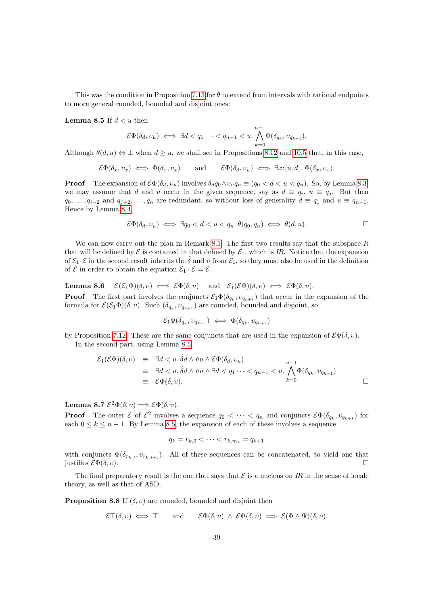This was the condition in Proposition [7.13](#page-35-0) for  $\theta$  to extend from intervals with rational endpoints to more general rounded, bounded and disjoint ones:

#### <span id="page-38-0"></span>**Lemma 8.5** If  $d < u$  then

$$
\mathcal{E}\Phi(\delta_d, v_u) \iff \exists d < q_1 \cdots < q_{n-1} < u. \bigwedge_{k=0}^{n-1} \Phi(\delta_{q_k}, v_{q_{k+1}}).
$$

Although  $\theta(d, u) \Leftrightarrow \bot$  when  $d \geq u$ , we shall see in Propositions [8.12](#page-40-0) and [10.5](#page-45-0) that, in this case,

$$
\mathcal{E}\Phi(\delta_x,v_x) \iff \Phi(\delta_x,v_x) \quad \text{and} \quad \mathcal{E}\Phi(\delta_d,v_u) \iff \exists x:[u,d]. \Phi(\delta_x,v_x).
$$

**Proof** The expansion of  $\mathcal{E}\Phi(\delta_d, v_u)$  involves  $\delta_d q_0 \wedge v_u q_n \equiv (q_0 < d < u < q_n)$ . So, by Lemma [8.3,](#page-37-0) we may assume that d and u occur in the given sequence, say as  $d \equiv q_i, u \equiv q_j$ . But then  $q_0, \ldots, q_{i-2}$  and  $q_{i+2}, \ldots, q_n$  are redundant, so without loss of generality  $d \equiv q_1$  and  $u \equiv q_{n-1}$ . Hence by Lemma [8.4,](#page-37-1)

$$
\mathcal{E}\Phi(\delta_d, v_u) \iff \exists q_0 < d < u < q_n. \ \theta(q_0, q_n) \iff \theta(d, u). \Box
$$

We can now carry out the plan in Remark [8.1.](#page-36-1) The first two results say that the subspace  $R$ that will be defined by  $\mathcal E$  is contained in that defined by  $\mathcal E_1$ , which is IR. Notice that the expansion of  $\mathcal{E}_1 \cdot \mathcal{E}$  in the second result inherits the  $\hat{\delta}$  and  $\check{\nu}$  from  $\mathcal{E}_1$ , so they must also be used in the definition of  $\mathcal E$  in order to obtain the equation  $\mathcal E_1 \cdot \mathcal E = \mathcal E$ .

<span id="page-38-3"></span>**Lemma 8.6**  $\mathcal{E}(\mathcal{E}_1\Phi)(\delta, v) \iff \mathcal{E}\Phi(\delta, v)$  and  $\mathcal{E}_1(\mathcal{E}\Phi)(\delta, v) \iff \mathcal{E}\Phi(\delta, v)$ . **Proof** The first part involves the conjuncts  $\mathcal{E}_1\Phi(\delta_{q_k}, v_{q_{k+1}})$  that occur in the expansion of the formula for  $\mathcal{E}(\mathcal{E}_1\Phi)(\delta, v)$ . Such  $(\delta_{q_k}, v_{q_{k+1}})$  are rounded, bounded and disjoint, so

$$
\mathcal{E}_1 \Phi(\delta_{q_k}, \nu_{q_{k+1}}) \iff \Phi(\delta_{q_k}, \nu_{q_{k+1}})
$$

by Proposition [7.12.](#page-34-0) These are the same conjuncts that are used in the expansion of  $\mathcal{E}\Phi(\delta, v)$ . In the second part, using Lemma [8.5,](#page-38-0)

$$
\mathcal{E}_1(\mathcal{E}\Phi)(\delta, v) \equiv \exists d < u \cdot \delta d \wedge \check{v}u \wedge \mathcal{E}\Phi(\delta_d, v_u)
$$
  
\n
$$
\equiv \exists d < u \cdot \delta d \wedge \check{v}u \wedge \exists d < q_1 \cdots < q_{n-1} < u \cdot \bigwedge_{k=0}^{n-1} \Phi(\delta_{q_k}, v_{q_{k+1}})
$$
  
\n
$$
\equiv \mathcal{E}\Phi(\delta, v).
$$

<span id="page-38-2"></span>Lemma 8.7  $\mathcal{E}^2 \Phi(\delta, v) \Longrightarrow \mathcal{E} \Phi(\delta, v)$ .

**Proof** The outer  $\mathcal{E}$  of  $\mathcal{E}^2$  involves a sequence  $q_0 < \cdots < q_n$  and conjuncts  $\mathcal{E}\Phi(\delta_{q_k}, v_{q_{k+1}})$  for each  $0 \leq k \leq n-1$ . By Lemma [8.5,](#page-38-0) the expansion of each of these involves a sequence

$$
q_k = r_{k,0} < \cdots < r_{k,m_k} = q_{k+1}
$$

with conjuncts  $\Phi(\delta_{r_{k,i}}, v_{r_{k,i+1}})$ . All of these sequences can be concatenated, to yield one that justifies  $\mathcal{E}\Phi(\delta, v)$ .

The final preparatory result is the one that says that  $\mathcal E$  is a nucleus on IR in the sense of locale theory, as well as that of ASD.

<span id="page-38-1"></span>**Proposition 8.8** If  $(\delta, v)$  are rounded, bounded and disjoint then

$$
\mathcal{E}\top(\delta,v) \iff \top
$$
 and  $\mathcal{E}\Phi(\delta,v) \land \mathcal{E}\Psi(\delta,v) \implies \mathcal{E}(\Phi \land \Psi)(\delta,v).$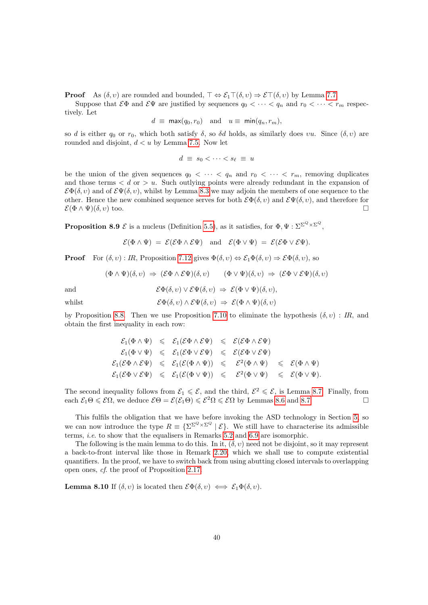**Proof** As  $(\delta, v)$  are rounded and bounded,  $\top \Leftrightarrow \mathcal{E}_1 \top (\delta, v) \Rightarrow \mathcal{E} \top (\delta, v)$  by Lemma [7.7.](#page-33-1)

Suppose that  $\mathcal{E}\Phi$  and  $\mathcal{E}\Psi$  are justified by sequences  $q_0 < \cdots < q_n$  and  $r_0 < \cdots < r_m$  respectively. Let

$$
d \equiv \max(q_0, r_0) \quad \text{and} \quad u \equiv \min(q_n, r_m),
$$

so d is either  $q_0$  or  $r_0$ , which both satisfy  $\delta$ , so  $\delta d$  holds, as similarly does  $vu$ . Since  $(\delta, v)$  are rounded and disjoint,  $d < u$  by Lemma [7.5.](#page-33-0) Now let

$$
d \equiv s_0 < \cdots < s_\ell \equiv u
$$

be the union of the given sequences  $q_0 < \cdots < q_n$  and  $r_0 < \cdots < r_m$ , removing duplicates and those terms  $\langle d \text{ or } b \rangle$  as Such outlying points were already redundant in the expansion of  $\mathcal{E}\Phi(\delta, v)$  and of  $\mathcal{E}\Psi(\delta, v)$ , whilst by Lemma [8.3](#page-37-0) we may adjoin the members of one sequence to the other. Hence the new combined sequence serves for both  $\mathcal{E}\Phi(\delta, v)$  and  $\mathcal{E}\Psi(\delta, v)$ , and therefore for  $\mathcal{E}(\Phi \wedge \Psi)(\delta, v)$  too.

<span id="page-39-0"></span>**Proposition 8.9**  $\mathcal{E}$  is a nucleus (Definition [5.5\)](#page-22-0), as it satisfies, for  $\Phi, \Psi : \Sigma^{\Sigma^Q \times \Sigma^Q}$ ,

$$
\mathcal{E}(\Phi \wedge \Psi) = \mathcal{E}(\mathcal{E}\Phi \wedge \mathcal{E}\Psi)
$$
 and  $\mathcal{E}(\Phi \vee \Psi) = \mathcal{E}(\mathcal{E}\Phi \vee \mathcal{E}\Psi)$ .

**Proof** For  $(\delta, v)$ : IR, Proposition [7.12](#page-34-0) gives  $\Phi(\delta, v) \Leftrightarrow \mathcal{E}_1 \Phi(\delta, v) \Rightarrow \mathcal{E} \Phi(\delta, v)$ , so

$$
(\Phi \wedge \Psi)(\delta, v) \Rightarrow (\mathcal{E}\Phi \wedge \mathcal{E}\Psi)(\delta, v) \qquad (\Phi \vee \Psi)(\delta, v) \Rightarrow (\mathcal{E}\Phi \vee \mathcal{E}\Psi)(\delta, v)
$$

and 
$$
\mathcal{E}\Phi(\delta,\nu)\vee\mathcal{E}\Psi(\delta,\nu)\Rightarrow\mathcal{E}(\Phi\vee\Psi)(\delta,\nu),
$$

whilst  $\mathcal{E}\Phi(\delta, v) \wedge \mathcal{E}\Psi(\delta, v) \Rightarrow \mathcal{E}(\Phi \wedge \Psi)(\delta, v)$ 

by Proposition [8.8.](#page-38-1) Then we use Proposition [7.10](#page-34-2) to eliminate the hypothesis  $(\delta, v)$ : IR, and obtain the first inequality in each row:

$$
\begin{array}{rclcl} \mathcal{E}_1(\Phi\wedge\Psi) &\leqslant& \mathcal{E}_1(\mathcal{E}\Phi\wedge\mathcal{E}\Psi) &\leqslant& \mathcal{E}(\mathcal{E}\Phi\wedge\mathcal{E}\Psi) \\ & \mathcal{E}_1(\Phi\vee\Psi) &\leqslant& \mathcal{E}_1(\mathcal{E}\Phi\vee\mathcal{E}\Psi) &\leqslant& \mathcal{E}(\mathcal{E}\Phi\vee\mathcal{E}\Psi) \\ & \mathcal{E}_1(\mathcal{E}\Phi\wedge\mathcal{E}\Psi) &\leqslant& \mathcal{E}_1(\mathcal{E}(\Phi\wedge\Psi)) &\leqslant& \mathcal{E}^2(\Phi\wedge\Psi) &\leqslant& \mathcal{E}(\Phi\wedge\Psi) \\ & \mathcal{E}_1(\mathcal{E}\Phi\vee\mathcal{E}\Psi) &\leqslant& \mathcal{E}_1(\mathcal{E}(\Phi\vee\Psi)) &\leqslant& \mathcal{E}^2(\Phi\vee\Psi) &\leqslant& \mathcal{E}(\Phi\vee\Psi). \end{array}
$$

The second inequality follows from  $\mathcal{E}_1 \leq \mathcal{E}$ , and the third,  $\mathcal{E}^2 \leq \mathcal{E}$ , is Lemma [8.7.](#page-38-2) Finally, from each  $\mathcal{E}_1 \Theta \leqslant \mathcal{E} \Omega$ , we deduce  $\mathcal{E} \Theta = \mathcal{E}(\mathcal{E}_1 \Theta) \leqslant \mathcal{E}^2 \Omega \leqslant \mathcal{E} \Omega$  by Lemmas [8.6](#page-38-3) and [8.7.](#page-38-2)

This fulfils the obligation that we have before invoking the ASD technology in Section [5,](#page-21-0) so we can now introduce the type  $R = \{ \Sigma^{\Sigma^Q \times \Sigma^Q} \mid \mathcal{E} \}$ . We still have to characterise its admissible terms, i.e. to show that the equalisers in Remarks [5.2](#page-22-2) and [6.9](#page-29-1) are isomorphic.

The following is the main lemma to do this. In it,  $(\delta, v)$  need not be disjoint, so it may represent a back-to-front interval like those in Remark [2.20,](#page-11-0) which we shall use to compute existential quantifiers. In the proof, we have to switch back from using abutting closed intervals to overlapping open ones, cf. the proof of Proposition [2.17.](#page-9-0)

<span id="page-39-1"></span>**Lemma 8.10** If  $(\delta, v)$  is located then  $\mathcal{E}\Phi(\delta, v) \iff \mathcal{E}_1\Phi(\delta, v)$ .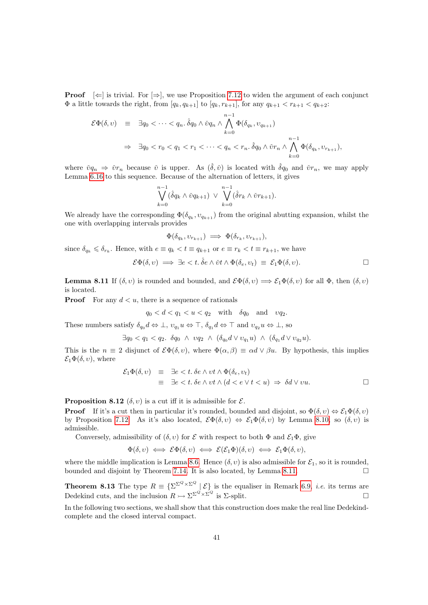**Proof**  $\leq$  is trivial. For  $\Rightarrow$ , we use Proposition [7.12](#page-34-0) to widen the argument of each conjunct  $\Phi$  a little towards the right, from  $[q_k, q_{k+1}]$  to  $[q_k, r_{k+1}]$ , for any  $q_{k+1} < r_{k+1} < q_{k+2}$ :

$$
\mathcal{E}\Phi(\delta, v) \equiv \exists q_0 < \cdots < q_n. \,\hat{\delta}q_0 \wedge \check{v}q_n \wedge \bigwedge_{k=0}^{n-1} \Phi(\delta_{q_k}, v_{q_{k+1}})
$$
  
\n
$$
\Rightarrow \exists q_0 < r_0 < q_1 < r_1 < \cdots < q_n < r_n. \,\hat{\delta}q_0 \wedge \check{v}r_n \wedge \bigwedge_{k=0}^{n-1} \Phi(\delta_{q_k}, v_{r_{k+1}}),
$$

where  $\check{v}q_n \Rightarrow \check{v}r_n$  because  $\check{v}$  is upper. As  $(\hat{\delta}, \check{v})$  is located with  $\hat{\delta}q_0$  and  $\check{v}r_n$ , we may apply Lemma [6.16](#page-31-1) to this sequence. Because of the alternation of letters, it gives

$$
\bigvee_{k=0}^{n-1} (\hat{\delta}q_k \wedge \check{v}q_{k+1}) \vee \bigvee_{k=0}^{n-1} (\hat{\delta}r_k \wedge \check{v}r_{k+1}).
$$

We already have the corresponding  $\Phi(\delta_{q_k}, v_{q_{k+1}})$  from the original abutting expansion, whilst the one with overlapping intervals provides

$$
\Phi(\delta_{q_k}, v_{r_{k+1}}) \implies \Phi(\delta_{r_k}, v_{r_{k+1}}),
$$

since  $\delta_{q_k} \leq \delta_{r_k}$ . Hence, with  $e \equiv q_k < t \equiv q_{k+1}$  or  $e \equiv r_k < t \equiv r_{k+1}$ , we have

$$
\mathcal{E}\Phi(\delta,v) \implies \exists e < t.\,\hat{\delta}e \wedge \check{v}t \wedge \Phi(\delta_e,v_t) \equiv \mathcal{E}_1\Phi(\delta,v).
$$

<span id="page-40-1"></span>**Lemma 8.11** If  $(\delta, v)$  is rounded and bounded, and  $\mathcal{E}\Phi(\delta, v) \implies \mathcal{E}_1\Phi(\delta, v)$  for all  $\Phi$ , then  $(\delta, v)$ is located.

**Proof** For any  $d < u$ , there is a sequence of rationals

 $q_0 < d < q_1 < u < q_2$  with  $\delta q_0$  and  $v q_2$ .

These numbers satisfy  $\delta_{q0} d \Leftrightarrow \bot$ ,  $v_{q1} u \Leftrightarrow \top$ ,  $\delta_{q1} d \Leftrightarrow \top$  and  $v_{q2} u \Leftrightarrow \bot$ , so

 $\exists q_0 < q_1 < q_2$ .  $\delta q_0 \wedge v q_2 \wedge (\delta_{q_0} d \vee v_{q_1} u) \wedge (\delta_{q_1} d \vee v_{q_2} u)$ .

This is the  $n \equiv 2$  disjunct of  $\mathcal{E}\Phi(\delta, v)$ , where  $\Phi(\alpha, \beta) \equiv \alpha d \vee \beta u$ . By hypothesis, this implies  $\mathcal{E}_1\Phi(\delta, v)$ , where

$$
\mathcal{E}_1 \Phi(\delta, v) \equiv \exists e < t. \ \delta e \wedge vt \wedge \Phi(\delta_e, v_t)
$$
  

$$
\equiv \exists e < t. \ \delta e \wedge vt \wedge (d < e \vee t < u) \Rightarrow \delta d \vee vu.
$$

<span id="page-40-0"></span>**Proposition 8.12** (δ, v) is a cut iff it is admissible for  $\mathcal{E}$ .

**Proof** If it's a cut then in particular it's rounded, bounded and disjoint, so  $\Phi(\delta, v) \Leftrightarrow \mathcal{E}_1 \Phi(\delta, v)$ by Proposition [7.12.](#page-34-0) As it's also located,  $\mathcal{E}\Phi(\delta, v) \Leftrightarrow \mathcal{E}_1\Phi(\delta, v)$  by Lemma [8.10,](#page-39-1) so  $(\delta, v)$  is admissible.

Conversely, admissibility of  $(\delta, v)$  for  $\mathcal E$  with respect to both  $\Phi$  and  $\mathcal E_1\Phi$ , give

$$
\Phi(\delta, v) \iff \mathcal{E}\Phi(\delta, v) \iff \mathcal{E}(\mathcal{E}_1\Phi)(\delta, v) \iff \mathcal{E}_1\Phi(\delta, v),
$$

where the middle implication is Lemma [8.6.](#page-38-3) Hence  $(\delta, v)$  is also admissible for  $\mathcal{E}_1$ , so it is rounded, bounded and disjoint by Theorem [7.14.](#page-35-1) It is also located, by Lemma [8.11.](#page-40-1)  $\Box$ 

**Theorem 8.13** The type  $R = \{ \Sigma^{\Sigma^Q \times \Sigma^Q} | \mathcal{E} \}$  is the equaliser in Remark [6.9,](#page-29-1) *i.e.* its terms are Dedekind cuts, and the inclusion  $R \rightarrow \Sigma^{\Sigma^Q \times \Sigma^Q}$  is  $\Sigma$ -split.

In the following two sections, we shall show that this construction does make the real line Dedekindcomplete and the closed interval compact.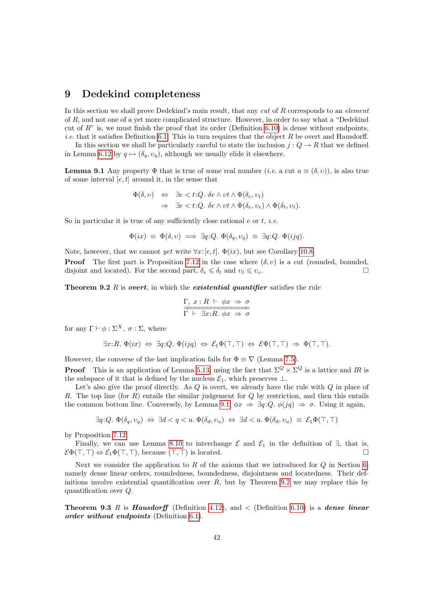#### 9 Dedekind completeness

In this section we shall prove Dedekind's main result, that any cut of R corresponds to an *element* of R, and not one of a yet more complicated structure. However, in order to say what a "Dedekind cut of  $R$ " is, we must finish the proof that its order (Definition [6.10\)](#page-30-0) is dense without endpoints, *i.e.* that it satisfies Definition [6.1.](#page-28-0) This in turn requires that the object  $R$  be overt and Hausdorff.

In this section we shall be particularly careful to state the inclusion  $j: Q \to R$  that we defined in Lemma [6.12](#page-30-1) by  $q \mapsto (\delta_q, v_q)$ , although we usually elide it elsewhere.

<span id="page-41-1"></span>**Lemma 9.1** Any property  $\Phi$  that is true of some real number (*i.e.* a cut  $a \equiv (\delta, v)$ ), is also true of some interval  $[e, t]$  around it, in the sense that

$$
\Phi(\delta, v) \Leftrightarrow \exists e < t : Q. \ \delta e \wedge vt \wedge \Phi(\delta_e, v_t)
$$
  

$$
\Rightarrow \exists e < t : Q. \ \delta e \wedge vt \wedge \Phi(\delta_e, v_e) \wedge \Phi(\delta_t, v_t).
$$

So in particular it is true of any sufficiently close rational  $e$  or  $t$ , *i.e.* 

$$
\Phi(ix) \equiv \Phi(\delta, v) \implies \exists q: Q. \; \Phi(\delta_q, v_q) \equiv \exists q: Q. \; \Phi(ijq).
$$

Note, however, that we cannot yet write  $\forall x: [e, t]$ .  $\Phi(ix)$ , but see Corollary [10.8.](#page-46-0)

**Proof** The first part is Proposition [7.12](#page-34-0) in the case where  $(\delta, v)$  is a cut (rounded, bounded, disjoint and located). For the second part,  $\delta_e \leq \delta_t$  and  $v_t \leq v_e$ .

<span id="page-41-0"></span>**Theorem 9.2** R is overt, in which the existential quantifier satisfies the rule

$$
\frac{\Gamma, x: R \vdash \phi x \Rightarrow \sigma}{\Gamma \vdash \exists x: R. \phi x \Rightarrow \sigma}
$$

for any  $\Gamma \vdash \phi : \Sigma^X$ ,  $\sigma : \Sigma$ , where

$$
\exists x: R. \ \Phi(ix) \Leftrightarrow \exists q: Q. \ \Phi(ijq) \Leftrightarrow \mathcal{E}_1\Phi(\top, \top) \Leftrightarrow \mathcal{E}\Phi(\top, \top) \Rightarrow \Phi(\top, \top).
$$

However, the converse of the last implication fails for  $\Phi \equiv \nabla$  (Lemma [7.5\)](#page-33-0).

**Proof** This is an application of Lemma [5.13,](#page-24-1) using the fact that  $\Sigma^Q \times \Sigma^Q$  is a lattice and IR is the subspace of it that is defined by the nucleus  $\mathcal{E}_1$ , which preserves  $\perp$ .

Let's also give the proof directly. As  $Q$  is overt, we already have the rule with  $Q$  in place of R. The top line (for  $R$ ) entails the similar judgement for  $Q$  by restriction, and then this entails the common bottom line. Conversely, by Lemma [9.1,](#page-41-1)  $\phi x \Rightarrow \exists q: Q \cdot \phi(jq) \Rightarrow \sigma$ . Using it again,

$$
\exists q: Q. \ \Phi(\delta_q, v_q) \Leftrightarrow \ \exists d < q < u. \ \Phi(\delta_d, v_u) \Leftrightarrow \ \exists d < u. \ \Phi(\delta_d, v_u) \equiv \mathcal{E}_1 \Phi(\top, \top)
$$

by Proposition [7.12.](#page-34-0)

Finally, we can use Lemma [8.10](#page-39-1) to interchange  $\mathcal E$  and  $\mathcal E_1$  in the definition of  $\exists$ , that is,  $\mathcal{E}\Phi(\top,\top) \Leftrightarrow \mathcal{E}_1\Phi(\top,\top)$ , because  $(\top,\top)$  is located.

Next we consider the application to R of the axioms that we introduced for  $Q$  in Section [6,](#page-27-0) namely dense linear orders, roundedness, boundedness, disjointness and locatedness. Their definitions involve existential quantification over  $R$ , but by Theorem [9.2](#page-41-0) we may replace this by quantification over Q.

**Theorem 9.3** R is **Hausdorff** (Definition [4.12\)](#page-18-0), and  $\lt$  (Definition [6.10\)](#page-30-0) is a **dense linear** order without endpoints (Definition [6.1\)](#page-28-0).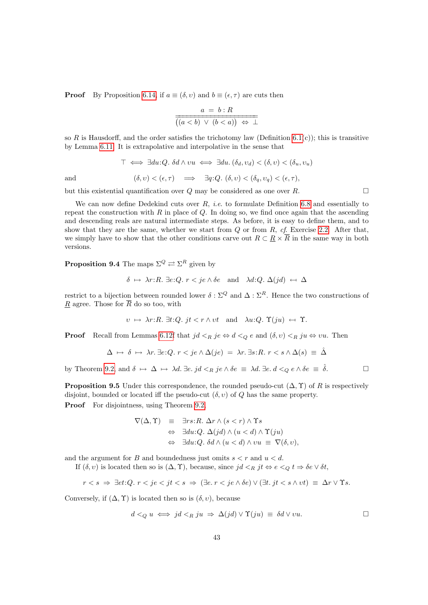**Proof** By Proposition [6.14,](#page-30-2) if  $a \equiv (\delta, v)$  and  $b \equiv (\epsilon, \tau)$  are cuts then

$$
\frac{a = b : R}{((a < b) \lor (b < a)) \Leftrightarrow \bot}
$$

so R is Hausdorff, and the order satisfies the trichotomy law (Definition [6.1\(](#page-28-0)c)); this is transitive by Lemma [6.11.](#page-30-3) It is extrapolative and interpolative in the sense that

$$
\top \iff \exists du \colon Q. \ \delta d \land vu \iff \exists du. \ (\delta_d, v_d) < (\delta, v) < (\delta_u, v_u)
$$
\nand

\n
$$
(\delta, v) < (\epsilon, \tau) \implies \exists q \colon Q. \ (\delta, v) < (\delta_q, v_q) < (\epsilon, \tau),
$$

but this existential quantification over Q may be considered as one over R.

We can now define Dedekind cuts over  $R$ , *i.e.* to formulate Definition [6.8](#page-29-0) and essentially to repeat the construction with  $R$  in place of  $Q$ . In doing so, we find once again that the ascending and descending reals are natural intermediate steps. As before, it is easy to define them, and to show that they are the same, whether we start from  $Q$  or from  $R$ ,  $cf$ . Exercise [2.2.](#page-5-0) After that, we simply have to show that the other conditions carve out  $R \subset \underline{R} \times \overline{R}$  in the same way in both versions.

**Proposition 9.4** The maps  $\Sigma^Q \rightleftarrows \Sigma^R$  given by

$$
\delta \mapsto \lambda r:R. \exists e:Q. r < j e \wedge \delta e
$$
 and  $\lambda d:Q. \Delta(jd) \leftarrow \Delta$ 

restrict to a bijection between rounded lower  $\delta : \Sigma^Q$  and  $\Delta : \Sigma^R$ . Hence the two constructions of R agree. Those for  $\overline{R}$  do so too, with

$$
v \mapsto \lambda r:R.
$$
  $\exists t:Q.$   $jt < r \wedge vt$  and  $\lambda u:Q.$   $\Upsilon(ju) \leftrightarrow \Upsilon.$ 

**Proof** Recall from Lemmas [6.12f](#page-30-1) that  $jd <_{R} je \Leftrightarrow d <_{Q} e$  and  $(\delta, v) <_{R} ju \Leftrightarrow vu$ . Then

$$
\Delta \mapsto \delta \mapsto \lambda r. \exists e: Q. \ r < je \wedge \Delta(je) = \lambda r. \exists s: R. \ r < s \wedge \Delta(s) \equiv \hat{\Delta}
$$

<span id="page-42-0"></span>by Theorem [9.2,](#page-41-0) and  $\delta \mapsto \Delta \mapsto \lambda d$ .  $\exists e. \, jd <_{R} j e \wedge \delta e \equiv \lambda d$ .  $\exists e. \, d <_{Q} e \wedge \delta e \equiv \hat{\delta}$ .

**Proposition 9.5** Under this correspondence, the rounded pseudo-cut  $(\Delta, \Upsilon)$  of R is respectively disjoint, bounded or located iff the pseudo-cut  $(\delta, v)$  of Q has the same property.

Proof For disjointness, using Theorem [9.2,](#page-41-0)

$$
\nabla(\Delta, \Upsilon) \equiv \exists rs: R. \ \Delta r \wedge (s < r) \wedge \Upsilon s \n\Leftrightarrow \ \exists du: Q. \ \Delta(jd) \wedge (u < d) \wedge \Upsilon(ju) \n\Leftrightarrow \ \exists du: Q. \ \delta d \wedge (u < d) \wedge vu \equiv \nabla(\delta, v),
$$

and the argument for B and boundedness just omits  $s < r$  and  $u < d$ .

If  $(\delta, v)$  is located then so is  $(\Delta, \Upsilon)$ , because, since  $jd <_{R} jt \Leftrightarrow e <_{Q} t \Rightarrow \delta e \vee \delta t$ ,

$$
r < s \Rightarrow \exists et : Q. \ r < je < jt < s \Rightarrow (\exists e. \ r < je \land \delta e) \lor (\exists t. \ jt < s \land vt) \equiv \Delta r \lor \Upsilon s.
$$

Conversely, if  $(\Delta, \Upsilon)$  is located then so is  $(\delta, v)$ , because

$$
d <_Q u \iff jd <_R ju \Rightarrow \Delta(jd) \lor \Upsilon(ju) \equiv \delta d \lor vu.
$$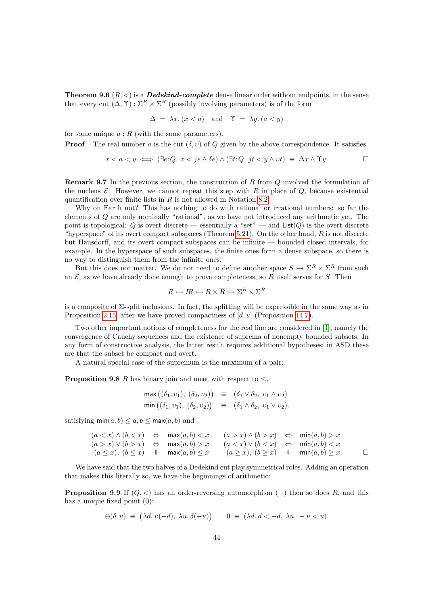**Theorem 9.6**  $(R, \leq)$  is a **Dedekind-complete** dense linear order without endpoints, in the sense that every cut  $(\Delta, \Upsilon) : \Sigma^R \times \Sigma^R$  (possibly involving parameters) is of the form

$$
\Delta = \lambda x. (x < a) \quad \text{and} \quad \Upsilon = \lambda y. (a < y)
$$

for some unique  $a: R$  (with the same parameters).

**Proof** The real number a is the cut  $(\delta, v)$  of Q given by the above correspondence. It satisfies

$$
x < a < y \iff (\exists e \colon Q. \ x < je \land \delta e) \land (\exists t \colon Q. \ jt < y \land vt) \equiv \Delta x \land \Upsilon y.
$$

Remark 9.7 In the previous section, the construction of R from Q involved the formulation of the nucleus  $\mathcal{E}$ . However, we cannot repeat this step with R in place of Q, because existential quantification over finite lists in  $R$  is not allowed in Notation [8.2.](#page-37-2)

Why on Earth not? This has nothing to do with rational or irrational numbers: so far the elements of Q are only nominally "rational", as we have not introduced any arithmetic yet. The point is topological: Q is overt discrete — essentially a "set" — and  $List(Q)$  is the overt discrete "hyperspace" of its overt compact subspaces (Theorem  $5.21$ ). On the other hand, R is not discrete but Hausdorff, and its overt compact subspaces can be infinite — bounded closed intervals, for example. In the hyperspace of such subspaces, the finite ones form a dense subspace, so there is no way to distinguish them from the infinite ones.

But this does not matter. We do not need to define another space  $S \rightarrowtail \Sigma^R \times \Sigma^R$  from such an  $\mathcal{E}$ , as we have already done enough to prove completeness, so R itself serves for S. Then

$$
R \rightarrowtail IR \rightarrowtail \underline{R} \times \overline{R} \rightarrowtail \Sigma^R \times \Sigma^R
$$

is a composite of  $\Sigma$ -split inclusions. In fact, the splitting will be expressible in the same way as in Proposition [2.15,](#page-8-0) after we have proved compactness of  $[d, u]$  (Proposition [14.7\)](#page-61-0).

Two other important notions of completeness for the real line are considered in [\[J\]](#page-72-0), namely the convergence of Cauchy sequences and the existence of suprema of nonempty bounded subsets. In any form of constructive analysis, the latter result requires additional hypotheses; in ASD these are that the subset be compact and overt.

A natural special case of the supremum is the maximum of a pair:

<span id="page-43-0"></span>**Proposition 9.8** R has binary join and meet with respect to  $\leq$ ,

$$
\max ((\delta_1, v_1), (\delta_2, v_2)) \equiv (\delta_1 \vee \delta_2, v_1 \wedge v_2)
$$
  

$$
\min ((\delta_1, v_1), (\delta_2, v_2)) \equiv (\delta_1 \wedge \delta_2, v_1 \vee v_2).
$$

satisfying  $\min(a, b) \leq a, b \leq \max(a, b)$  and

$$
(a < x) \land (b < x) \Leftrightarrow \max(a, b) < x \qquad (a > x) \land (b > x) \Leftrightarrow \min(a, b) > x
$$
  
\n
$$
(a > x) \lor (b > x) \Leftrightarrow \max(a, b) > x \qquad (a < x) \lor (b < x) \Leftrightarrow \min(a, b) < x
$$
  
\n
$$
(a \le x), (b \le x) + \max(a, b) \le x \qquad (a \ge x), (b \ge x) + \min(a, b) \ge x.
$$

We have said that the two halves of a Dedekind cut play symmetrical roles. Adding an operation that makes this literally so, we have the beginnings of arithmetic:

**Proposition 9.9** If  $(Q, \langle \rangle)$  has an order-reversing automorphism  $(-)$  then so does R, and this has a unique fixed point  $(0)$ :

$$
\ominus(\delta, v) \equiv (\lambda d. v(-d), \lambda u. \delta(-u)) \qquad 0 \equiv (\lambda d. d < -d, \lambda u. -u < u).
$$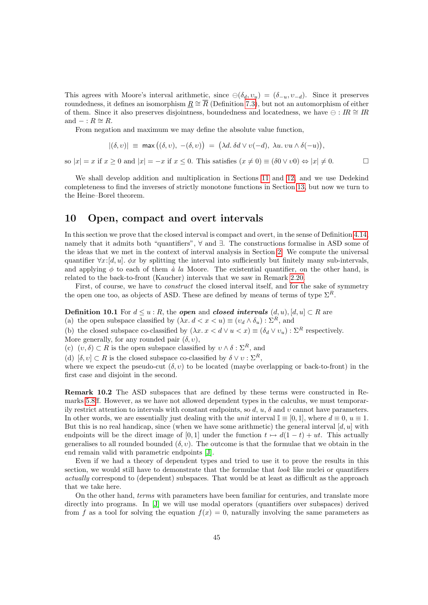This agrees with Moore's interval arithmetic, since  $\Theta(\delta_d, v_u) = (\delta_{-u}, v_{-d})$ . Since it preserves roundedness, it defines an isomorphism  $R \cong \overline{R}$  (Definition [7.3\)](#page-32-0), but not an automorphism of either of them. Since it also preserves disjointness, boundedness and locatedness, we have  $\ominus : IR \cong IR$ and  $-$  :  $R \cong R$ .

From negation and maximum we may define the absolute value function,

$$
|(\delta, v)| \ \equiv \ \max\big((\delta, v), \ -(\delta, v)\big) \ = \ \big(\lambda d. \ \delta d \vee v(-d), \ \lambda u. \ vu \wedge \delta(-u)\big),
$$

so  $|x| = x$  if  $x \ge 0$  and  $|x| = -x$  if  $x \le 0$ . This satisfies  $(x \ne 0) \equiv (\delta 0 \vee v 0) \Leftrightarrow |x| \ne 0$ .

We shall develop addition and multiplication in Sections [11](#page-48-0) and [12,](#page-53-0) and we use Dedekind completeness to find the inverses of strictly monotone functions in Section [13,](#page-57-0) but now we turn to the Heine–Borel theorem.

# <span id="page-44-1"></span>10 Open, compact and overt intervals

In this section we prove that the closed interval is compact and overt, in the sense of Definition [4.14,](#page-18-1) namely that it admits both "quantifiers", ∀ and ∃. The constructions formalise in ASD some of the ideas that we met in the context of interval analysis in Section [2.](#page-4-0) We compute the universal quantifier  $\forall x: [d, u]$ .  $\phi x$  by splitting the interval into sufficiently but finitely many sub-intervals, and applying  $\phi$  to each of them  $\dot{a}$  la Moore. The existential quantifier, on the other hand, is related to the back-to-front (Kaucher) intervals that we saw in Remark [2.20.](#page-11-0)

First, of course, we have to construct the closed interval itself, and for the sake of symmetry the open one too, as objects of ASD. These are defined by means of terms of type  $\Sigma^R$ .

<span id="page-44-0"></span>**Definition 10.1** For  $d \leq u : R$ , the **open** and **closed intervals**  $(d, u)$ ,  $[d, u] \subset R$  are

(a) the open subspace classified by  $(\lambda x. d < x < u) \equiv (v_d \wedge \delta_u) : \Sigma^R$ , and

(b) the closed subspace co-classified by  $(\lambda x. x < d \vee u < x) \equiv (\delta_d \vee v_u) : \Sigma^R$  respectively.

More generally, for any rounded pair  $(\delta, v)$ ,

(c)  $(v, \delta) \subset R$  is the open subspace classified by  $v \wedge \delta : \Sigma^R$ , and

(d)  $[\delta, v] \subset R$  is the closed subspace co-classified by  $\delta \vee v : \Sigma^R$ ,

where we expect the pseudo-cut  $(\delta, v)$  to be located (maybe overlapping or back-to-front) in the first case and disjoint in the second.

Remark 10.2 The ASD subspaces that are defined by these terms were constructed in Remarks [5.8ff](#page-23-0). However, as we have not allowed dependent types in the calculus, we must temporarily restrict attention to intervals with constant endpoints, so d, u,  $\delta$  and  $\nu$  cannot have parameters. In other words, we are essentially just dealing with the *unit* interval  $\mathbb{I} \equiv [0,1]$ , where  $d \equiv 0$ ,  $u \equiv 1$ . But this is no real handicap, since (when we have some arithmetic) the general interval  $[d, u]$  with endpoints will be the direct image of [0, 1] under the function  $t \mapsto d(1-t) + ut$ . This actually generalises to all rounded bounded  $(\delta, v)$ . The outcome is that the formulae that we obtain in the end remain valid with parametric endpoints [\[J\]](#page-72-0).

Even if we had a theory of dependent types and tried to use it to prove the results in this section, we would still have to demonstrate that the formulae that *look* like nuclei or quantifiers actually correspond to (dependent) subspaces. That would be at least as difficult as the approach that we take here.

On the other hand, terms with parameters have been familiar for centuries, and translate more directly into programs. In [\[J\]](#page-72-0) we will use modal operators (quantifiers over subspaces) derived from f as a tool for solving the equation  $f(x) = 0$ , naturally involving the same parameters as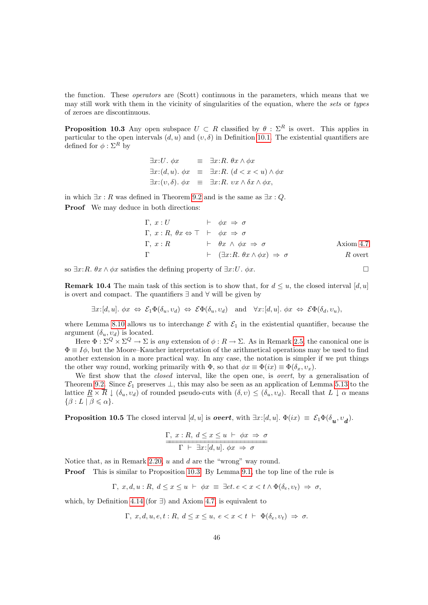the function. These operators are (Scott) continuous in the parameters, which means that we may still work with them in the vicinity of singularities of the equation, where the sets or types of zeroes are discontinuous.

<span id="page-45-1"></span>**Proposition 10.3** Any open subspace  $U \subset R$  classified by  $\theta : \Sigma^R$  is overt. This applies in particular to the open intervals  $(d, u)$  and  $(v, \delta)$  in Definition [10.1.](#page-44-0) The existential quantifiers are defined for  $\phi : \Sigma^R$  by

> $\exists x:U. \phi x \equiv \exists x:R. \theta x \wedge \phi x$  $\exists x: (d, u) \text{.} \phi x \equiv \exists x: R \text{.} \ (d < x < u) \land \phi x$  $\exists x:(v,\delta)$ .  $\phi x \equiv \exists x:R. \; vx \wedge \delta x \wedge \phi x$ ,

in which  $\exists x : R$  was defined in Theorem [9.2](#page-41-0) and is the same as  $\exists x : Q$ . Proof We may deduce in both directions:

$$
\Gamma, x: U \qquad \vdash \phi x \Rightarrow \sigma
$$
  
\n
$$
\Gamma, x: R, \theta x \Leftrightarrow \top \vdash \phi x \Rightarrow \sigma
$$
  
\n
$$
\Gamma, x: R \qquad \vdash \theta x \land \phi x \Rightarrow \sigma
$$
  
\n
$$
\vdash (\exists x: R. \theta x \land \phi x) \Rightarrow \sigma
$$
 Axiom 4.7  
\n
$$
\vdash (\exists x: R. \theta x \land \phi x) \Rightarrow \sigma
$$

so  $\exists x:R. \theta x \wedge \phi x$  satisfies the defining property of  $\exists x:U. \phi x$ .

**Remark 10.4** The main task of this section is to show that, for  $d \leq u$ , the closed interval [d, u] is overt and compact. The quantifiers ∃ and ∀ will be given by

 $\exists x:[d, u] \cdot \phi x \Leftrightarrow \mathcal{E}_1\Phi(\delta_u, v_d) \Leftrightarrow \mathcal{E}\Phi(\delta_u, v_d)$  and  $\forall x:[d, u] \cdot \phi x \Leftrightarrow \mathcal{E}\Phi(\delta_d, v_u)$ ,

where Lemma [8.10](#page-39-1) allows us to interchange  $\mathcal E$  with  $\mathcal E_1$  in the existential quantifier, because the argument  $(\delta_u, v_d)$  is located.

Here  $\Phi : \Sigma^Q \times \Sigma^Q \to \Sigma$  is any extension of  $\phi : R \to \Sigma$ . As in Remark [2.5,](#page-5-1) the canonical one is  $\Phi \equiv I\phi$ , but the Moore–Kaucher interpretation of the arithmetical operations may be used to find another extension in a more practical way. In any case, the notation is simpler if we put things the other way round, working primarily with  $\Phi$ , so that  $\phi x \equiv \Phi(ix) \equiv \Phi(\delta_x, \nu_x)$ .

We first show that the *closed* interval, like the open one, is *overt*, by a generalisation of Theorem [9.2.](#page-41-0) Since  $\mathcal{E}_1$  preserves  $\perp$ , this may also be seen as an application of Lemma [5.13](#page-24-1) to the lattice  $\underline{R} \times \overline{R} \downarrow (\delta_u, v_d)$  of rounded pseudo-cuts with  $(\delta, v) \leq (\delta_u, v_d)$ . Recall that  $L \downarrow \alpha$  means  $\{\beta : L \mid \beta \leqslant \alpha\}.$ 

<span id="page-45-0"></span>**Proposition 10.5** The closed interval  $[d, u]$  is *overt*, with  $\exists x : [d, u]$ .  $\Phi(ix) \equiv \mathcal{E}_1 \Phi(\delta_{\boldsymbol{u}}, v_{\boldsymbol{d}})$ .

$$
\frac{\Gamma, x: R, d \leq x \leq u \vdash \phi x \Rightarrow \sigma}{\Gamma \vdash \exists x: [d, u]. \phi x \Rightarrow \sigma}
$$

Notice that, as in Remark [2.20,](#page-11-0)  $u$  and  $d$  are the "wrong" way round.

Proof This is similar to Proposition [10.3.](#page-45-1) By Lemma [9.1,](#page-41-1) the top line of the rule is

$$
\Gamma, x, d, u : R, d \le x \le u + \phi x \equiv \exists et. e < x < t \land \Phi(\delta_e, v_t) \Rightarrow \sigma,
$$

which, by Definition [4.14](#page-18-1) (for  $\exists$ ) and Axiom [4.7,](#page-17-0) is equivalent to

$$
\Gamma, x, d, u, e, t : R, d \le x \le u, e < x < t \vdash \Phi(\delta_e, v_t) \Rightarrow \sigma.
$$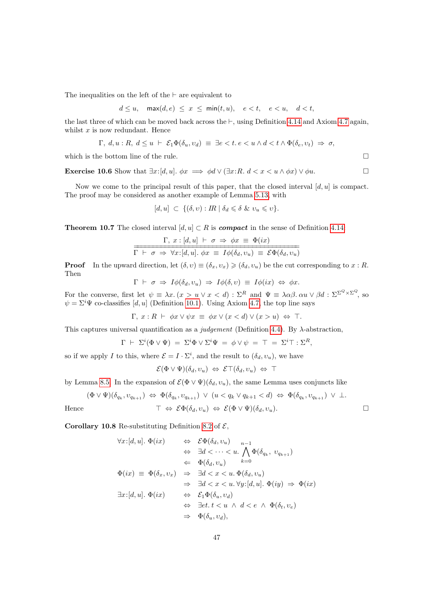The inequalities on the left of the  $\vdash$  are equivalent to

$$
d \le u, \quad \max(d, e) \le x \le \min(t, u), \quad e < t, \quad e < u, \quad d < t,
$$

the last three of which can be moved back across the  $\vdash$ , using Definition [4.14](#page-18-1) and Axiom [4.7](#page-17-0) again, whilst  $x$  is now redundant. Hence

$$
\Gamma, d, u: R, d \le u \vdash \mathcal{E}_1 \Phi(\delta_u, v_d) \equiv \exists e < t. e < u \wedge d < t \wedge \Phi(\delta_e, v_t) \Rightarrow \sigma,
$$

which is the bottom line of the rule.  $\hfill \square$ 

Exercise 10.6 Show that  $\exists x:[d, u] \cdot \phi x \implies \phi d \vee (\exists x:R \cdot d < x < u \wedge \phi x) \vee \phi u.$ 

Now we come to the principal result of this paper, that the closed interval  $[d, u]$  is compact. The proof may be considered as another example of Lemma [5.13,](#page-24-1) with

$$
[d, u] \subset \{(\delta, v) : IR \mid \delta_d \leqslant \delta \& v_u \leqslant v\}.
$$

**Theorem 10.7** The closed interval  $[d, u] \subset R$  is *compact* in the sense of Definition [4.14:](#page-18-1)

$$
\frac{\Gamma, x : [d, u] \vdash \sigma \Rightarrow \phi x \equiv \Phi(ix)}{\Gamma \vdash \sigma \Rightarrow \forall x : [d, u]. \ \phi x \equiv I\phi(\delta_d, v_u) \equiv \mathcal{E}\Phi(\delta_d, v_u)}
$$

**Proof** In the upward direction, let  $(\delta, v) \equiv (\delta_x, v_x) \geq (\delta_d, v_u)$  be the cut corresponding to  $x : R$ . Then

$$
\Gamma \ \vdash \ \sigma \ \Rightarrow \ I\phi(\delta_d, v_u) \ \Rightarrow \ I\phi(\delta, v) \ \equiv \ I\phi(ix) \ \Leftrightarrow \ \phi x.
$$

For the converse, first let  $\psi \equiv \lambda x. (x > u \vee x < d) : \Sigma^R$  and  $\Psi \equiv \lambda \alpha \beta. \alpha u \vee \beta d : \Sigma^{\Sigma^Q \times \Sigma^Q}$ , so  $\psi = \Sigma^{i} \Psi$  co-classifies [d, u] (Definition [10.1\)](#page-44-0). Using Axiom [4.7,](#page-17-0) the top line says

$$
\Gamma, x: R \vdash \phi x \lor \psi x \equiv \phi x \lor (x < d) \lor (x > u) \Leftrightarrow \top.
$$

This captures universal quantification as a judgement (Definition [4.4\)](#page-16-0). By  $\lambda$ -abstraction,

$$
\Gamma \ \vdash \ \Sigma^i(\Phi \vee \Psi) \ = \ \Sigma^i\Phi \vee \Sigma^i\Psi \ = \ \phi \vee \psi \ = \ \top \ = \ \Sigma^i\top : \Sigma^R,
$$

so if we apply I to this, where  $\mathcal{E} = I \cdot \Sigma^{i}$ , and the result to  $(\delta_d, v_u)$ , we have

$$
\mathcal{E}(\Phi \vee \Psi)(\delta_d, v_u) \Leftrightarrow \mathcal{E} \top (\delta_d, v_u) \Leftrightarrow \top
$$

by Lemma [8.5.](#page-38-0) In the expansion of  $\mathcal{E}(\Phi \vee \Psi)(\delta_d, v_u)$ , the same Lemma uses conjuncts like

$$
(\Phi \vee \Psi)(\delta_{q_k}, v_{q_{k+1}}) \Leftrightarrow \Phi(\delta_{q_k}, v_{q_{k+1}}) \vee (u < q_k \vee q_{k+1} < d) \Leftrightarrow \Phi(\delta_{q_k}, v_{q_{k+1}}) \vee \bot.
$$
\nHence\n
$$
\top \Leftrightarrow \mathcal{E}\Phi(\delta_d, v_u) \Leftrightarrow \mathcal{E}(\Phi \vee \Psi)(\delta_d, v_u).
$$

<span id="page-46-0"></span>Corollary 10.8 Re-substituting Definition [8.2](#page-37-2) of  $\mathcal{E}$ ,

$$
\forall x:[d, u]. \Phi(ix) \Leftrightarrow \mathcal{E}\Phi(\delta_d, v_u) \quad\n\underset{n-1}{\leftrightarrow} \exists d < \cdots < u. \bigwedge_{k=0}^{\infty} \Phi(\delta_{q_k}, v_{q_{k+1}}) \\
\Leftrightarrow \exists d < \cdots < u. \bigwedge_{k=0}^{\infty} \Phi(\delta_{q_k}, v_{q_{k+1}}) \\
\Phi(ix) \equiv \Phi(\delta_x, v_x) \Rightarrow \exists d < x < u. \Phi(\delta_d, v_u) \\
\Rightarrow \exists d < x < u. \forall y: [d, u]. \Phi(iy) \Rightarrow \Phi(ix) \\
\exists x:[d, u]. \Phi(ix) \Leftrightarrow \mathcal{E}_1\Phi(\delta_u, v_d) \\
\Leftrightarrow \exists et. \ t < u \land d < e \land \Phi(\delta_t, v_e) \\
\Rightarrow \Phi(\delta_u, v_d),
$$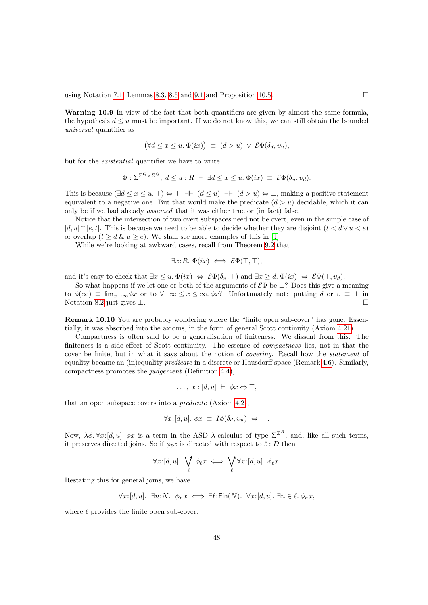using Notation [7.1,](#page-32-1) Lemmas [8.3,](#page-37-0) [8.5](#page-38-0) and [9.1](#page-41-1) and Proposition [10.5.](#page-45-0)  $\Box$ 

Warning 10.9 In view of the fact that both quantifiers are given by almost the same formula, the hypothesis  $d \leq u$  must be important. If we do not know this, we can still obtain the bounded universal quantifier as

$$
(\forall d \leq x \leq u. \Phi(ix)) \equiv (d > u) \lor \mathcal{E}\Phi(\delta_d, v_u),
$$

but for the existential quantifier we have to write

$$
\Phi: \Sigma^{\Sigma^Q \times \Sigma^Q}, d \le u : R \vdash \exists d \le x \le u. \Phi(ix) \equiv \mathcal{E}\Phi(\delta_u, v_d).
$$

This is because  $(\exists d \leq x \leq u. \top) \Leftrightarrow \top \top \top (d \leq u) \top (d > u) \Leftrightarrow \bot$ , making a positive statement equivalent to a negative one. But that would make the predicate  $(d > u)$  decidable, which it can only be if we had already assumed that it was either true or (in fact) false.

Notice that the intersection of two overt subspaces need not be overt, even in the simple case of  $[d, u] \cap [e, t]$ . This is because we need to be able to decide whether they are disjoint  $(t < d \vee u < e)$ or overlap  $(t \geq d \& u \geq e)$ . We shall see more examples of this in [\[J\]](#page-72-0).

While we're looking at awkward cases, recall from Theorem [9.2](#page-41-0) that

$$
\exists x: R. \ \Phi(ix) \iff \mathcal{E}\Phi(\top, \top),
$$

and it's easy to check that  $\exists x \leq u$ .  $\Phi(ix) \Leftrightarrow \mathcal{E}\Phi(\delta_u, \top)$  and  $\exists x \geq d$ .  $\Phi(ix) \Leftrightarrow \mathcal{E}\Phi(\top, v_d)$ .

So what happens if we let one or both of the arguments of  $\mathcal{E}\Phi$  be  $\perp$ ? Does this give a meaning to  $\phi(\infty) \equiv \lim_{x\to\infty} \phi x$  or to  $\forall -\infty \leq x \leq \infty$ .  $\phi x$ ? Unfortunately not: putting  $\delta$  or  $v \equiv \bot$  in Notation [8.2](#page-37-2) just gives ⊥.

Remark 10.10 You are probably wondering where the "finite open sub-cover" has gone. Essentially, it was absorbed into the axioms, in the form of general Scott continuity (Axiom [4.21\)](#page-20-0).

Compactness is often said to be a generalisation of finiteness. We dissent from this. The finiteness is a side-effect of Scott continuity. The essence of compactness lies, not in that the cover be finite, but in what it says about the notion of covering. Recall how the statement of equality became an (in)equality predicate in a discrete or Hausdorff space (Remark [4.6\)](#page-16-1). Similarly, compactness promotes the judgement (Definition [4.4\)](#page-16-0),

$$
\ldots, x : [d, u] \vdash \phi x \Leftrightarrow \top,
$$

that an open subspace covers into a predicate (Axiom [4.2\)](#page-15-0),

$$
\forall x: [d, u]. \ \phi x \ \equiv \ I \phi(\delta_d, v_u) \ \Leftrightarrow \ \top.
$$

Now,  $\lambda \phi$ .  $\forall x: [d, u]$ .  $\phi x$  is a term in the ASD  $\lambda$ -calculus of type  $\Sigma^{\Sigma^R}$ , and, like all such terms, it preserves directed joins. So if  $\phi_{\ell} x$  is directed with respect to  $\ell : D$  then

$$
\forall x: [d, u]. \bigvee_{\ell} \phi_{\ell} x \iff \bigvee_{\ell} \forall x: [d, u]. \phi_{\ell} x.
$$

Restating this for general joins, we have

$$
\forall x{:} [d,u].\;\; \exists n{:}N.\;\; \phi_n x \iff \exists \ell{:}\mathsf{Fin}(N). \;\; \forall x{:} [d,u]. \;\exists n \in \ell.\; \phi_n x,
$$

where  $\ell$  provides the finite open sub-cover.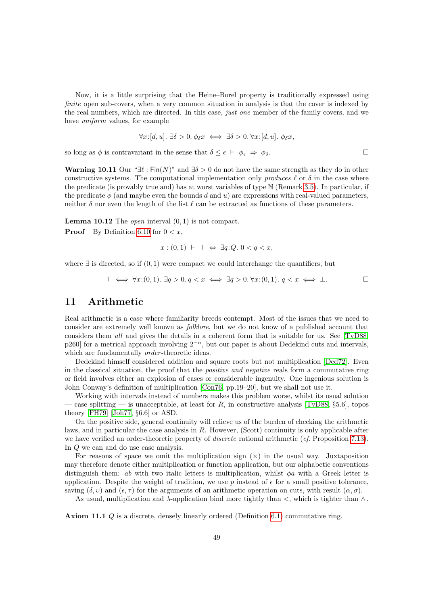Now, it is a little surprising that the Heine–Borel property is traditionally expressed using finite open sub-covers, when a very common situation in analysis is that the cover is indexed by the real numbers, which are directed. In this case, *just one* member of the family covers, and we have uniform values, for example

$$
\forall x: [d, u]. \; \exists \delta > 0. \; \phi_{\delta} x \iff \exists \delta > 0. \; \forall x: [d, u]. \; \phi_{\delta} x,
$$

so long as  $\phi$  is contravariant in the sense that  $\delta \leq \epsilon + \phi_{\epsilon} \Rightarrow \phi_{\delta}$ .

Warning 10.11 Our " $\exists \ell : \text{Fin}(N)$ " and  $\exists \delta > 0$  do not have the same strength as they do in other constructive systems. The computational implementation only *produces*  $\ell$  or  $\delta$  in the case where the predicate (is provably true and) has at worst variables of type N (Remark [3.5\)](#page-14-0). In particular, if the predicate  $\phi$  (and maybe even the bounds d and u) are expressions with real-valued parameters, neither  $\delta$  nor even the length of the list  $\ell$  can be extracted as functions of these parameters.

**Lemma 10.12** The *open* interval  $(0, 1)$  is not compact.

**Proof** By Definition [6.10](#page-30-0) for  $0 < x$ ,

$$
x:(0,1) \ \vdash \ \top \ \Leftrightarrow \ \exists q:Q. \ 0 < q < x,
$$

where  $\exists$  is directed, so if  $(0, 1)$  were compact we could interchange the quantifiers, but

$$
\top \iff \forall x: (0,1). \exists q > 0. \ q < x \iff \exists q > 0. \ \forall x: (0,1). \ q < x \iff \bot.
$$

#### <span id="page-48-0"></span>11 Arithmetic

Real arithmetic is a case where familiarity breeds contempt. Most of the issues that we need to consider are extremely well known as folklore, but we do not know of a published account that considers them all and gives the details in a coherent form that is suitable for us. See [\[TvD88,](#page-71-0) p260] for a metrical approach involving  $2^{-n}$ , but our paper is about Dedekind cuts and intervals, which are fundamentally *order*-theoretic ideas.

Dedekind himself considered addition and square roots but not multiplication [\[Ded72\]](#page-69-0). Even in the classical situation, the proof that the positive and negative reals form a commutative ring or field involves either an explosion of cases or considerable ingenuity. One ingenious solution is John Conway's definition of multiplication [\[Con76,](#page-69-1) pp.19–20], but we shall not use it.

Working with intervals instead of numbers makes this problem worse, whilst its usual solution case splitting — is unacceptable, at least for R, in constructive analysis [\[TvD88,](#page-71-0)  $\S5.6$ ], topos theory [\[FH79\]](#page-69-2) [\[Joh77,](#page-70-0) §6.6] or ASD.

On the positive side, general continuity will relieve us of the burden of checking the arithmetic laws, and in particular the case analysis in  $R$ . However, (Scott) continuity is only applicable after we have verified an order-theoretic property of *discrete* rational arithmetic (*cf.* Proposition [7.13\)](#page-35-0). In Q we can and do use case analysis.

For reasons of space we omit the multiplication sign  $(x)$  in the usual way. Juxtaposition may therefore denote either multiplication or function application, but our alphabetic conventions distinguish them: ab with two italic letters is multiplication, whilst  $\phi$ a with a Greek letter is application. Despite the weight of tradition, we use  $p$  instead of  $\epsilon$  for a small positive tolerance, saving  $(\delta, v)$  and  $(\epsilon, \tau)$  for the arguments of an arithmetic operation on cuts, with result  $(\alpha, \sigma)$ .

As usual, multiplication and  $\lambda$ -application bind more tightly than  $\lt$ , which is tighter than  $\land$ .

**Axiom 11.1** Q is a discrete, densely linearly ordered (Definition [6.1\)](#page-28-0) commutative ring.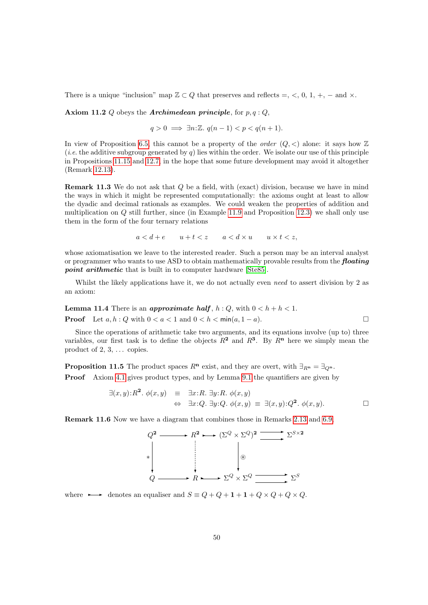There is a unique "inclusion" map  $\mathbb{Z} \subset Q$  that preserves and reflects =, <, 0, 1, +, - and  $\times$ .

**Axiom 11.2** Q obeys the **Archimedean principle**, for  $p, q : Q$ ,

$$
q > 0 \implies \exists n: \mathbb{Z}. \ q(n-1) < p < q(n+1).
$$

In view of Proposition [6.5,](#page-28-1) this cannot be a property of the *order*  $(Q, \lt)$  alone: it says how Z (*i.e.* the additive subgroup generated by q) lies within the order. We isolate our use of this principle in Propositions [11.15](#page-51-0) and [12.7,](#page-54-0) in the hope that some future development may avoid it altogether (Remark [12.13\)](#page-56-0).

Remark 11.3 We do not ask that Q be a field, with (exact) division, because we have in mind the ways in which it might be represented computationally: the axioms ought at least to allow the dyadic and decimal rationals as examples. We could weaken the properties of addition and multiplication on Q still further, since (in Example [11.9](#page-50-0) and Proposition [12.3\)](#page-53-1) we shall only use them in the form of the four ternary relations

$$
a < d + e \qquad u + t < z \qquad a < d \times u \qquad u \times t < z,
$$

whose axiomatisation we leave to the interested reader. Such a person may be an interval analyst or programmer who wants to use ASD to obtain mathematically provable results from the **floating** point arithmetic that is built in to computer hardware [\[Ste85\]](#page-71-1).

Whilst the likely applications have it, we do not actually even need to assert division by 2 as an axiom:

<span id="page-49-1"></span>**Lemma 11.4** There is an *approximate half*,  $h: Q$ , with  $0 < h + h < 1$ . **Proof** Let  $a, h : Q$  with  $0 < a < 1$  and  $0 < h < \min(a, 1 - a)$ .

Since the operations of arithmetic take two arguments, and its equations involve (up to) three variables, our first task is to define the objects  $R^2$  and  $R^3$ . By  $R^n$  here we simply mean the product of  $2, 3, \ldots$  copies.

<span id="page-49-0"></span>**Proposition 11.5** The product spaces  $R^n$  exist, and they are overt, with  $\exists_{R^n} = \exists_{Q^n}$ . Proof Axiom [4.1](#page-15-1) gives product types, and by Lemma [9.1](#page-41-1) the quantifiers are given by

$$
\exists (x, y): R^2. \ \phi(x, y) \equiv \exists x: R. \ \exists y: R. \ \phi(x, y)
$$
  

$$
\Leftrightarrow \exists x: Q. \ \exists y: Q. \ \phi(x, y) \equiv \exists (x, y): Q^2. \ \phi(x, y).
$$

Remark 11.6 Now we have a diagram that combines those in Remarks [2.13](#page-7-0) and [6.9,](#page-29-1)

$$
Q^{2} \longrightarrow R^{2} \longrightarrow (\Sigma^{Q} \times \Sigma^{Q})^{2} \longrightarrow \Sigma^{S \times 2}
$$
\n
$$
R \longrightarrow \Sigma^{Q} \times \Sigma^{Q} \longrightarrow \Sigma^{S}
$$

where  $\longrightarrow$  denotes an equaliser and  $S = Q + Q + 1 + 1 + Q \times Q + Q \times Q$ .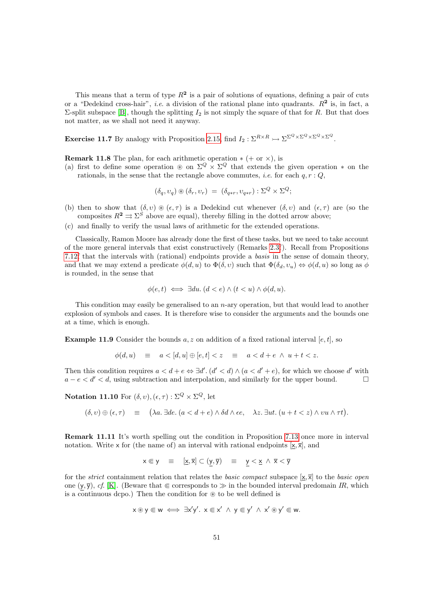This means that a term of type  $R^2$  is a pair of solutions of equations, defining a pair of cuts or a "Dedekind cross-hair", *i.e.* a division of the rational plane into quadrants.  $R^2$  is, in fact, a  $\Sigma$ -split subspace [\[B\]](#page-72-1), though the splitting  $I_2$  is not simply the square of that for R. But that does not matter, as we shall not need it anyway.

Exercise 11.7 By analogy with Proposition [2.15,](#page-8-0) find  $I_2: \Sigma^{R \times R} \rightarrow \Sigma^{\Sigma^Q \times \Sigma^Q \times \Sigma^Q \times \Sigma^Q}$ .

<span id="page-50-1"></span>**Remark 11.8** The plan, for each arithmetic operation  $*$  (+ or  $\times$ ), is

(a) first to define some operation  $\mathcal{D} \infty \times \Sigma^Q$  that extends the given operation  $*$  on the rationals, in the sense that the rectangle above commutes, *i.e.* for each  $q, r : Q$ ,

$$
(\delta_q, v_q) \circledast (\delta_r, v_r) = (\delta_{q*r}, v_{q*r}) : \Sigma^Q \times \Sigma^Q;
$$

- (b) then to show that  $(\delta, v) \otimes (\epsilon, \tau)$  is a Dedekind cut whenever  $(\delta, v)$  and  $(\epsilon, \tau)$  are (so the composites  $R^2 \rightrightarrows \Sigma^S$  above are equal), thereby filling in the dotted arrow above;
- (c) and finally to verify the usual laws of arithmetic for the extended operations.

Classically, Ramon Moore has already done the first of these tasks, but we need to take account of the more general intervals that exist constructively (Remarks [2.3f](#page-5-2)). Recall from Propositions [7.12f](#page-34-0) that the intervals with (rational) endpoints provide a basis in the sense of domain theory, and that we may extend a predicate  $\phi(d, u)$  to  $\Phi(\delta, v)$  such that  $\Phi(\delta_d, v_u) \Leftrightarrow \phi(d, u)$  so long as  $\phi$ is rounded, in the sense that

$$
\phi(e, t) \iff \exists du. \ (d < e) \land (t < u) \land \phi(d, u).
$$

This condition may easily be generalised to an  $n$ -ary operation, but that would lead to another explosion of symbols and cases. It is therefore wise to consider the arguments and the bounds one at a time, which is enough.

<span id="page-50-0"></span>**Example 11.9** Consider the bounds  $a, z$  on addition of a fixed rational interval  $[e, t]$ , so

$$
\phi(d, u) \equiv a < [d, u] \oplus [e, t] < z \equiv a < d + e \land u + t < z.
$$

Then this condition requires  $a < d + e \Leftrightarrow \exists d'. (d' < d) \wedge (a < d' + e)$ , for which we choose d' with  $a - e < d' < d$ , using subtraction and interpolation, and similarly for the upper bound.

<span id="page-50-2"></span>**Notation 11.10** For  $(\delta, v), (\epsilon, \tau) : \Sigma^Q \times \Sigma^Q$ , let

$$
(\delta, v) \oplus (\epsilon, \tau) \equiv (\lambda a. \exists de. (a < d + e) \wedge \delta d \wedge \epsilon e, \quad \lambda z. \exists ut. (u + t < z) \wedge vu \wedge \tau t).
$$

Remark 11.11 It's worth spelling out the condition in Proposition [7.13](#page-35-0) once more in interval notation. Write x for (the name of) an interval with rational endpoints  $[x, \overline{x}]$ , and

$$
x \Subset y \quad \equiv \quad [\underline{x}, \overline{x}] \subset (y, \overline{y}) \quad \equiv \quad y < \underline{x} \; \wedge \; \overline{x} < \overline{y}
$$

for the *strict* containment relation that relates the *basic compact* subspace  $[\mathsf{x}, \overline{\mathsf{x}}]$  to the *basic open* one  $(y, \overline{y})$ , cf. [\[K\]](#page-72-2). (Beware that  $\in$  corresponds to  $\gg$  in the bounded interval predomain IR, which is a continuous dcpo.) Then the condition for  $\circledast$  to be well defined is

$$
x\circledast y\Subset w\iff \exists x'y'.\ x\Subset x'\ \wedge\ y\Subset y'\ \wedge\ x'\circledast y'\Subset w.
$$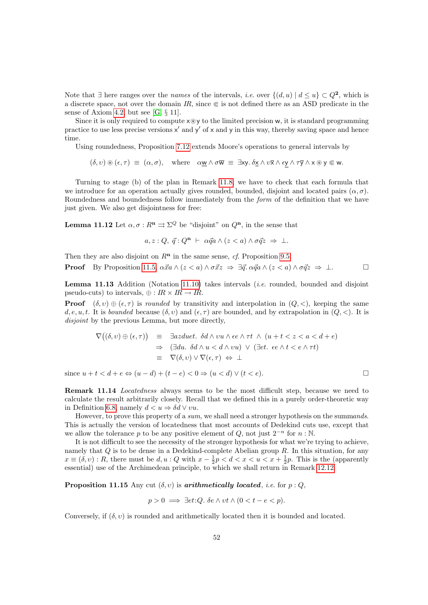Note that  $\exists$  here ranges over the *names* of the intervals, *i.e.* over  $\{(d, u) | d \leq u\} \subset Q^2$ , which is a discrete space, not over the domain IR, since  $\in$  is not defined there as an ASD predicate in the sense of Axiom [4.2,](#page-15-0) but see [\[G,](#page-72-3)  $\S$  11].

Since it is only required to compute  $x\circledast y$  to the limited precision w, it is standard programming practice to use less precise versions  $x'$  and  $y'$  of x and y in this way, thereby saving space and hence time.

Using roundedness, Proposition [7.12](#page-34-0) extends Moore's operations to general intervals by

$$
(\delta, v) \circledast (\epsilon, \tau) \equiv (\alpha, \sigma), \text{ where } \alpha \underline{w} \wedge \sigma \overline{w} \equiv \exists xy. \delta \underline{x} \wedge v \overline{x} \wedge \epsilon y \wedge \tau \overline{y} \wedge x \circledast y \in w.
$$

Turning to stage (b) of the plan in Remark [11.8,](#page-50-1) we have to check that each formula that we introduce for an operation actually gives rounded, bounded, disjoint and located pairs  $(\alpha, \sigma)$ . Roundedness and boundedness follow immediately from the form of the definition that we have just given. We also get disjointness for free:

**Lemma 11.12** Let  $\alpha, \sigma : R^n \rightrightarrows \Sigma^Q$  be "disjoint" on  $Q^n$ , in the sense that

$$
a, z : Q, \vec{q} : Q^{\mathbf{n}} \vdash \alpha \vec{q} a \land (z < a) \land \sigma \vec{q} z \implies \bot.
$$

Then they are also disjoint on  $R<sup>n</sup>$  in the same sense, cf. Proposition [9.5.](#page-42-0)

**Proof** By Proposition [11.5,](#page-49-0)  $\alpha \vec{x} a \wedge (z \leq a) \wedge \sigma \vec{x} z \Rightarrow \exists \vec{q} \cdot \alpha \vec{q} a \wedge (z \leq a) \wedge \sigma \vec{q} z \Rightarrow \bot.$ 

Lemma 11.13 Addition (Notation [11.10\)](#page-50-2) takes intervals (i.e. rounded, bounded and disjoint pseudo-cuts) to intervals,  $\oplus : IR \times IR \rightarrow IR$ .

**Proof**  $(\delta, v) \oplus (\epsilon, \tau)$  is *rounded* by transitivity and interpolation in  $(Q, \langle \rangle)$ , keeping the same d, e, u, t. It is bounded because  $(\delta, v)$  and  $(\epsilon, \tau)$  are bounded, and by extrapolation in  $(Q, \leq)$ . It is disjoint by the previous Lemma, but more directly,

$$
\nabla((\delta, v) \oplus (\epsilon, \tau)) \equiv \exists azduct. \ \delta d \land vu \land \epsilon e \land \tau t \land (u + t < z < a < d + e) \n\Rightarrow (\exists du. \ \delta d \land u < d \land vu) \lor (\exists et. \ \epsilon e \land t < e \land \tau t) \n\equiv \nabla(\delta, v) \lor \nabla(\epsilon, \tau) \Leftrightarrow \bot
$$

since  $u + t < d + e \Leftrightarrow (u - d) + (t - e) < 0 \Rightarrow (u < d) \vee (t < e)$ .

**Remark 11.14** Locatedness always seems to be the most difficult step, because we need to calculate the result arbitrarily closely. Recall that we defined this in a purely order-theoretic way in Definition [6.8,](#page-29-0) namely  $d < u \Rightarrow \delta d \vee vu$ .

However, to prove this property of a *sum*, we shall need a stronger hypothesis on the summands. This is actually the version of locatedness that most accounts of Dedekind cuts use, except that we allow the tolerance p to be any positive element of Q, not just  $2^{-n}$  for  $n : \mathbb{N}$ .

It is not difficult to see the necessity of the stronger hypothesis for what we're trying to achieve, namely that  $Q$  is to be dense in a Dedekind-complete Abelian group  $R$ . In this situation, for any  $x \equiv (\delta, v) : R$ , there must be  $d, u : Q$  with  $x - \frac{1}{2}p < d < x < u < x + \frac{1}{2}p$ . This is the (apparently essential) use of the Archimedean principle, to which we shall return in Remark [12.12.](#page-56-1)

<span id="page-51-0"></span>**Proposition 11.15** Any cut  $(\delta, v)$  is *arithmetically located, i.e.* for p : Q,

$$
p > 0 \implies \exists et: Q. \ \delta e \wedge vt \wedge (0 < t - e < p).
$$

Conversely, if  $(\delta, v)$  is rounded and arithmetically located then it is bounded and located.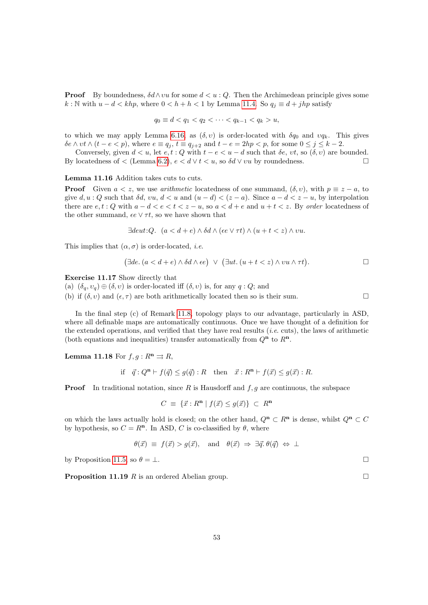**Proof** By boundedness,  $\delta d \wedge vu$  for some  $d < u : Q$ . Then the Archimedean principle gives some k : N with  $u - d < khp$ , where  $0 < h + h < 1$  by Lemma [11.4.](#page-49-1) So  $q_i \equiv d + jhp$  satisfy

$$
q_0 \equiv d < q_1 < q_2 < \cdots < q_{k-1} < q_k > u,
$$

to which we may apply Lemma [6.16,](#page-31-1) as  $(\delta, v)$  is order-located with  $\delta q_0$  and  $vq_k$ . This gives  $\delta e \wedge vt \wedge (t - e < p)$ , where  $e \equiv q_j$ ,  $t \equiv q_{j+2}$  and  $t - e = 2hp < p$ , for some  $0 \le j \le k - 2$ .

Conversely, given  $d < u$ , let  $e, t : Q$  with  $t - e < u - d$  such that  $\delta e, vt$ , so  $(\delta, v)$  are bounded. By locatedness of < (Lemma [6.2\)](#page-28-2),  $e < d \vee t < u$ , so  $\delta d \vee vu$  by roundedness.

<span id="page-52-0"></span>Lemma 11.16 Addition takes cuts to cuts.

**Proof** Given  $a < z$ , we use *arithmetic* locatedness of one summand,  $(\delta, v)$ , with  $p \equiv z - a$ , to give  $d, u : Q$  such that  $\delta d, vu, d < u$  and  $(u - d) < (z - a)$ . Since  $a - d < z - u$ , by interpolation there are  $e, t : Q$  with  $a - d < e < t < z - u$ , so  $a < d + e$  and  $u + t < z$ . By order locatedness of the other summand,  $\epsilon e \vee \tau t$ , so we have shown that

$$
\exists det: Q. \ \ (a < d+e) \wedge \delta d \wedge (\epsilon e \vee \tau t) \wedge (u+t < z) \wedge vu.
$$

This implies that  $(\alpha, \sigma)$  is order-located, *i.e.* 

$$
(\exists de. (a < d + e) \land \delta d \land \epsilon e) \lor (\exists ut. (u + t < z) \land vu \land \tau t).
$$

Exercise 11.17 Show directly that

(a)  $(\delta_q, v_q) \oplus (\delta, v)$  is order-located iff  $(\delta, v)$  is, for any  $q: Q$ ; and

<span id="page-52-1"></span>(b) if  $(\delta, v)$  and  $(\epsilon, \tau)$  are both arithmetically located then so is their sum.

In the final step (c) of Remark [11.8,](#page-50-1) topology plays to our advantage, particularly in ASD, where all definable maps are automatically continuous. Once we have thought of a definition for the extended operations, and verified that they have real results  $(i.e. \text{ cuts})$ , the laws of arithmetic (both equations and inequalities) transfer automatically from  $Q^{\mathbf{n}}$  to  $R^{\mathbf{n}}$ .

<span id="page-52-2"></span>Lemma 11.18 For  $f, g : R^n \rightrightarrows R$ ,

if 
$$
\vec{q}: Q^{\mathbf{n}} \vdash f(\vec{q}) \leq g(\vec{q}): R
$$
 then  $\vec{x}: R^{\mathbf{n}} \vdash f(\vec{x}) \leq g(\vec{x}): R$ .

**Proof** In traditional notation, since R is Hausdorff and  $f, g$  are continuous, the subspace

$$
C \equiv \{ \vec{x} : R^n \mid f(\vec{x}) \le g(\vec{x}) \} \subset R^n
$$

on which the laws actually hold is closed; on the other hand,  $Q^n \subset R^n$  is dense, whilst  $Q^n \subset C$ by hypothesis, so  $C = R<sup>n</sup>$ . In ASD, C is co-classified by  $\theta$ , where

$$
\theta(\vec{x}) \equiv f(\vec{x}) > g(\vec{x}), \text{ and } \theta(\vec{x}) \Rightarrow \exists \vec{q}. \theta(\vec{q}) \Leftrightarrow \bot
$$

by Proposition [11.5,](#page-49-0) so  $\theta = \bot$ .

**Proposition 11.19** R is an ordered Abelian group.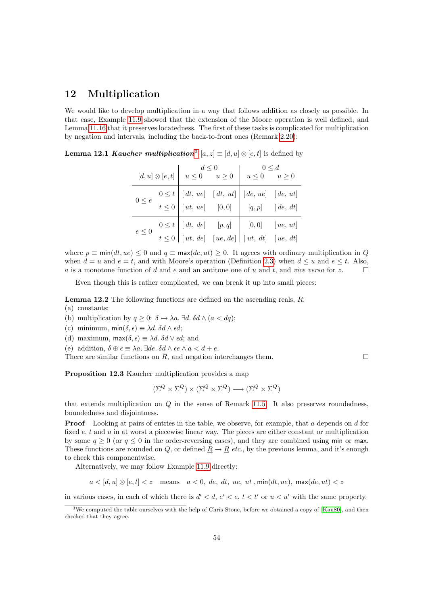# <span id="page-53-0"></span>12 Multiplication

We would like to develop multiplication in a way that follows addition as closely as possible. In that case, Example [11.9](#page-50-0) showed that the extension of the Moore operation is well defined, and Lemma [11.16](#page-52-0) that it preserves locatedness. The first of these tasks is complicated for multiplication by negation and intervals, including the back-to-front ones (Remark [2.20\)](#page-11-0):

|  |  |  | <b>Lemma 12.1 Kaucher multiplication</b> <sup>3</sup> [a, z] $\equiv$ [d, u] $\otimes$ [e, t] is defined by |  |  |  |  |  |  |  |  |
|--|--|--|-------------------------------------------------------------------------------------------------------------|--|--|--|--|--|--|--|--|
|--|--|--|-------------------------------------------------------------------------------------------------------------|--|--|--|--|--|--|--|--|

|                                                                                                                                                                                                                                                                                                                                                                                                   |  |  | $\label{eq:2.1} [d,u]\otimes [e,t] \left  \begin{array}{c} d\leq 0 \\ u\leq 0 \end{array} \right  \left  \begin{array}{c} d\leq 0 \\ u\geq 0 \end{array} \right  \left  \begin{array}{c} 0\leq d \\ u\leq 0 \end{array} \right.$ |  |  |  |
|---------------------------------------------------------------------------------------------------------------------------------------------------------------------------------------------------------------------------------------------------------------------------------------------------------------------------------------------------------------------------------------------------|--|--|----------------------------------------------------------------------------------------------------------------------------------------------------------------------------------------------------------------------------------|--|--|--|
|                                                                                                                                                                                                                                                                                                                                                                                                   |  |  |                                                                                                                                                                                                                                  |  |  |  |
| $0 \leq e \left\{ \begin{array}{c} 0 \leq t \\ t \leq 0 \end{array} \right  \left[ \begin{array}{cc} dt, \, ue \end{array} \right] \left[ \begin{array}{cc} dt, \, ut \end{array} \right] \left[ \begin{array}{cc} [de, \, ue] & [de, \, ut] \\ [u, \, ue] & [0, 0] \end{array} \right] \left[ \begin{array}{cc} q, p \end{array} \right] \left[ \begin{array}{cc} de, \, dt \end{array} \right]$ |  |  |                                                                                                                                                                                                                                  |  |  |  |
|                                                                                                                                                                                                                                                                                                                                                                                                   |  |  |                                                                                                                                                                                                                                  |  |  |  |
| $e \le 0$ $0 \le t \begin{bmatrix} dt, de \\ t \le 0 \end{bmatrix}$ [at, de] $[p, q]$ [0,0] [ue, ut]<br>$t \le 0$ [ut, de] [ue, de] [ut, dt] [ue, dt]                                                                                                                                                                                                                                             |  |  |                                                                                                                                                                                                                                  |  |  |  |
|                                                                                                                                                                                                                                                                                                                                                                                                   |  |  |                                                                                                                                                                                                                                  |  |  |  |

where  $p \equiv \min(dt, ue) \leq 0$  and  $q \equiv \max(de, ut) \geq 0$ . It agrees with ordinary multiplication in Q when  $d = u$  and  $e = t$ , and with Moore's operation (Definition [2.3\)](#page-5-2) when  $d \leq u$  and  $e \leq t$ . Also, a is a monotone function of d and e and an antitone one of u and t, and vice versa for z.

Even though this is rather complicated, we can break it up into small pieces:

**Lemma 12.2** The following functions are defined on the ascending reals,  $R$ :

- (a) constants;
- (b) multiplication by  $q \geq 0$ :  $\delta \mapsto \lambda a$ .  $\exists d$ .  $\delta d \wedge (a < dq)$ ;
- (c) minimum,  $\min(\delta, \epsilon) \equiv \lambda d$ .  $\delta d \wedge \epsilon d$ ;
- (d) maximum,  $\text{max}(\delta, \epsilon) \equiv \lambda d$ .  $\delta d \vee \epsilon d$ ; and
- (e) addition,  $\delta \oplus \epsilon \equiv \lambda a$ .  $\exists de. \delta d \wedge \epsilon e \wedge a < d + e$ .
- <span id="page-53-1"></span>There are similar functions on  $\overline{R}$ , and negation interchanges them.

Proposition 12.3 Kaucher multiplication provides a map

$$
(\Sigma^Q \times \Sigma^Q) \times (\Sigma^Q \times \Sigma^Q) \longrightarrow (\Sigma^Q \times \Sigma^Q)
$$

that extends multiplication on  $Q$  in the sense of Remark [11.5.](#page-49-0) It also preserves roundedness, boundedness and disjointness.

**Proof** Looking at pairs of entries in the table, we observe, for example, that a depends on d for fixed  $e$ ,  $t$  and  $u$  in at worst a piecewise linear way. The pieces are either constant or multiplication by some  $q \ge 0$  (or  $q \le 0$  in the order-reversing cases), and they are combined using min or max. These functions are rounded on Q, or defined  $\underline{R} \to \underline{R}$  etc., by the previous lemma, and it's enough to check this componentwise.

Alternatively, we may follow Example [11.9](#page-50-0) directly:

 $a < [d, u] \otimes [e, t] < z$  means  $a < 0$ , de, dt, ue, ut, min $(dt, ue)$ , max $(de, ut) < z$ 

in various cases, in each of which there is  $d' < d$ ,  $e' < e$ ,  $t < t'$  or  $u < u'$  with the same property.

<span id="page-53-2"></span><sup>&</sup>lt;sup>3</sup>We computed the table ourselves with the help of Chris Stone, before we obtained a copy of [\[Kau80\]](#page-70-1), and then checked that they agree.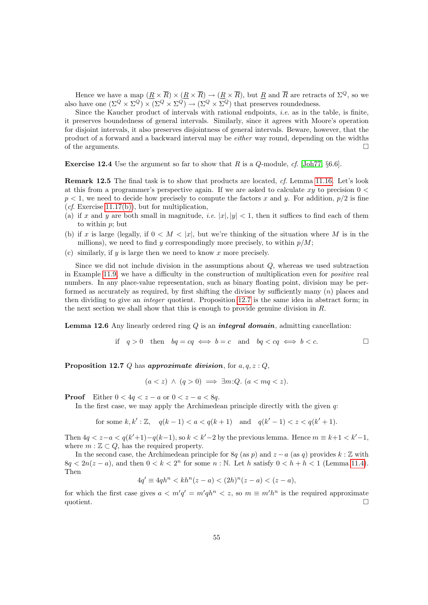Hence we have a map  $(\underline{R} \times \overline{R}) \times (\underline{R} \times \overline{R}) \to (\underline{R} \times \overline{R})$ , but  $\underline{R}$  and  $\overline{R}$  are retracts of  $\Sigma^Q$ , so we also have one  $(\Sigma^Q \times \Sigma^Q) \times (\Sigma^Q \times \Sigma^Q) \to (\Sigma^Q \times \Sigma^Q)$  that preserves roundedness.

Since the Kaucher product of intervals with rational endpoints, i.e. as in the table, is finite, it preserves boundedness of general intervals. Similarly, since it agrees with Moore's operation for disjoint intervals, it also preserves disjointness of general intervals. Beware, however, that the product of a forward and a backward interval may be either way round, depending on the widths of the arguments.  $\Box$ 

**Exercise 12.4** Use the argument so far to show that  $R$  is a  $Q$ -module,  $cf.$  [\[Joh77,](#page-70-0) §6.6].

Remark 12.5 The final task is to show that products are located, cf. Lemma [11.16.](#page-52-0) Let's look at this from a programmer's perspective again. If we are asked to calculate  $xy$  to precision  $0 <$  $p < 1$ , we need to decide how precisely to compute the factors x and y. For addition,  $p/2$  is fine (*cf.* Exercise  $11.17(b)$ ), but for multiplication,

- (a) if x and y are both small in magnitude, i.e.  $|x|, |y| < 1$ , then it suffices to find each of them to within  $p$ ; but
- (b) if x is large (legally, if  $0 < M < |x|$ , but we're thinking of the situation where M is in the millions), we need to find y correspondingly more precisely, to within  $p/M$ ;
- (c) similarly, if y is large then we need to know x more precisely.

Since we did not include division in the assumptions about Q, whereas we used subtraction in Example [11.9,](#page-50-0) we have a difficulty in the construction of multiplication even for positive real numbers. In any place-value representation, such as binary floating point, division may be performed as accurately as required, by first shifting the divisor by sufficiently many  $(n)$  places and then dividing to give an integer quotient. Proposition [12.7](#page-54-0) is the same idea in abstract form; in the next section we shall show that this is enough to provide genuine division in  $R$ .

<span id="page-54-1"></span>**Lemma 12.6** Any linearly ordered ring  $Q$  is an *integral domain*, admitting cancellation:

if 
$$
q > 0
$$
 then  $bf = cq \iff b = c$  and  $bf < cq \iff b < c$ .

<span id="page-54-0"></span>**Proposition 12.7** Q has approximate division, for  $a, q, z : Q$ ,

$$
(a < z) \land (q > 0) \implies \exists m: Q. \ (a < mq < z).
$$

**Proof** Either  $0 < 4q < z - a$  or  $0 < z - a < 8q$ .

In the first case, we may apply the Archimedean principle directly with the given q:

for some  $k, k' : \mathbb{Z}$ ,  $q(k-1) < a < q(k+1)$  and  $q(k'-1) < z < q(k'+1)$ .

Then  $4q < z-a < q(k'+1)-q(k-1)$ , so  $k < k'-2$  by the previous lemma. Hence  $m \equiv k+1 < k'-1$ , where  $m : \mathbb{Z} \subset \mathcal{Q}$ , has the required property.

In the second case, the Archimedean principle for 8q (as p) and  $z - a$  (as q) provides k : Z with  $8q < 2n(z-a)$ , and then  $0 < k < 2<sup>n</sup>$  for some  $n : \mathbb{N}$ . Let h satisfy  $0 < h + h < 1$  (Lemma [11.4\)](#page-49-1). Then

$$
4q' \equiv 4qh^n < kh^n(z-a) < (2h)^n(z-a) < (z-a),
$$

for which the first case gives  $a < m'q' = m'qh^n < z$ , so  $m \equiv m'h^n$  is the required approximate quotient.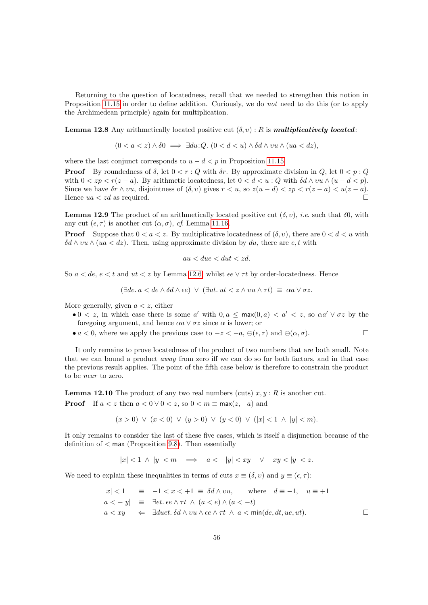Returning to the question of locatedness, recall that we needed to strengthen this notion in Proposition [11.15](#page-51-0) in order to define addition. Curiously, we do not need to do this (or to apply the Archimedean principle) again for multiplication.

**Lemma 12.8** Any arithmetically located positive cut  $(\delta, v)$  : R is **multiplicatively located**:

$$
(0 < a < z) \land \delta 0 \implies \exists du \colon Q. \ (0 < d < u) \land \delta d \land vu \land (ua < dz),
$$

where the last conjunct corresponds to  $u - d < p$  in Proposition [11.15.](#page-51-0)

**Proof** By roundedness of  $\delta$ , let  $0 < r : Q$  with  $\delta r$ . By approximate division in Q, let  $0 < p : Q$ with  $0 < zp < r(z-a)$ . By arithmetic locatedness, let  $0 < d < u : Q$  with  $\delta d \wedge vu \wedge (u - d < p)$ . Since we have  $\delta r \wedge vu$ , disjointness of  $(\delta, v)$  gives  $r < u$ , so  $z(u - d) < zp < r(z - a) < u(z - a)$ . Hence  $ua < zd$  as required.

**Lemma 12.9** The product of an arithmetically located positive cut  $(\delta, v)$ , *i.e.* such that  $\delta 0$ , with any cut  $(\epsilon, \tau)$  is another cut  $(\alpha, \sigma)$ , cf. Lemma [11.16.](#page-52-0)

**Proof** Suppose that  $0 < a < z$ . By multiplicative locatedness of  $(\delta, v)$ , there are  $0 < d < u$  with  $\delta d \wedge vu \wedge (ua < dz)$ . Then, using approximate division by du, there are e, t with

$$
au < due < dut < zd.
$$

So  $a < de, e < t$  and  $ut < z$  by Lemma [12.6,](#page-54-1) whilst  $\epsilon e \vee \tau t$  by order-locatedness. Hence

$$
(\exists de. \ a < de \land \delta d \land \epsilon e) \ \lor \ (\exists ut. \ ut < z \land vu \land \tau t) \equiv \alpha a \lor \sigma z.
$$

More generally, given  $a < z$ , either

- 0 < z, in which case there is some a' with  $0, a \leq max(0, a) < a' < z$ , so  $\alpha a' \vee \sigma z$  by the foregoing argument, and hence  $\alpha a \vee \sigma z$  since  $\alpha$  is lower; or
- $a < 0$ , where we apply the previous case to  $-z < -a$ ,  $\ominus(\epsilon, \tau)$  and  $\ominus(\alpha, \sigma)$ .

It only remains to prove locatedness of the product of two numbers that are both small. Note that we can bound a product away from zero iff we can do so for both factors, and in that case the previous result applies. The point of the fifth case below is therefore to constrain the product to be near to zero.

**Lemma 12.10** The product of any two real numbers (cuts)  $x, y : R$  is another cut. **Proof** If  $a < z$  then  $a < 0 \vee 0 < z$ , so  $0 < m \equiv \max(z, -a)$  and

$$
(x > 0) \lor (x < 0) \lor (y > 0) \lor (y < 0) \lor (|x| < 1 \land |y| < m).
$$

It only remains to consider the last of these five cases, which is itself a disjunction because of the definition of  $<$  max (Proposition [9.8\)](#page-43-0). Then essentially

$$
|x| < 1 \, \land \, |y| < m \quad \Longrightarrow \quad a < -|y| < xy \quad \lor \quad xy < |y| < z.
$$

We need to explain these inequalities in terms of cuts  $x \equiv (\delta, v)$  and  $y \equiv (\epsilon, \tau)$ :

$$
|x| < 1 \equiv -1 < x < +1 \equiv \delta d \land vu, \quad \text{where} \quad d \equiv -1, \quad u \equiv +1
$$
\n
$$
a < -|y| \equiv \exists \text{et. } \epsilon e \land \tau t \land (a < e) \land (a < -t)
$$
\n
$$
a < xy \Leftarrow \exists \text{duct. } \delta d \land vu \land \epsilon e \land \tau t \land a < \min(\text{de. } dt, \text{ue. } ut).
$$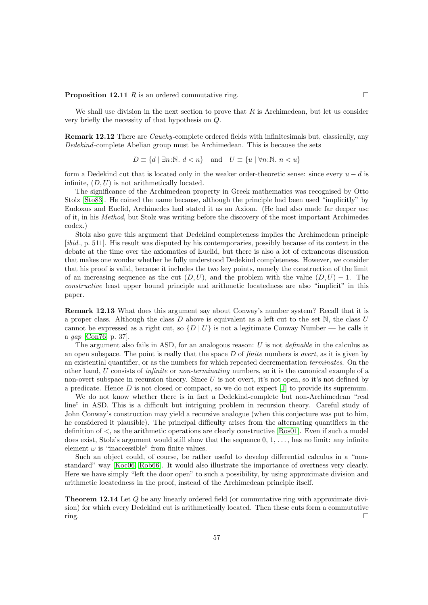**Proposition 12.11** R is an ordered commutative ring.  $\square$ 

We shall use division in the next section to prove that  $R$  is Archimedean, but let us consider very briefly the necessity of that hypothesis on Q.

<span id="page-56-1"></span>Remark 12.12 There are *Cauchy*-complete ordered fields with infinitesimals but, classically, any Dedekind-complete Abelian group must be Archimedean. This is because the sets

$$
D \equiv \{d \mid \exists n: \mathbb{N}. \ d < n\} \quad \text{and} \quad U \equiv \{u \mid \forall n: \mathbb{N}. \ n < u\}
$$

form a Dedekind cut that is located only in the weaker order-theoretic sense: since every  $u - d$  is infinite,  $(D, U)$  is not arithmetically located.

The significance of the Archimedean property in Greek mathematics was recognised by Otto Stolz [\[Sto83\]](#page-71-2). He coined the name because, although the principle had been used "implicitly" by Eudoxus and Euclid, Archimedes had stated it as an Axiom. (He had also made far deeper use of it, in his Method, but Stolz was writing before the discovery of the most important Archimedes codex.)

Stolz also gave this argument that Dedekind completeness implies the Archimedean principle [*ibid.*, p. 511]. His result was disputed by his contemporaries, possibly because of its context in the debate at the time over the axiomatics of Euclid, but there is also a lot of extraneous discussion that makes one wonder whether he fully understood Dedekind completeness. However, we consider that his proof is valid, because it includes the two key points, namely the construction of the limit of an increasing sequence as the cut  $(D, U)$ , and the problem with the value  $(D, U) - 1$ . The constructive least upper bound principle and arithmetic locatedness are also "implicit" in this paper.

<span id="page-56-0"></span>Remark 12.13 What does this argument say about Conway's number system? Recall that it is a proper class. Although the class  $D$  above is equivalent as a left cut to the set  $N$ , the class  $U$ cannot be expressed as a right cut, so  $\{D \mid U\}$  is not a legitimate Conway Number — he calls it a gap [\[Con76,](#page-69-1) p. 37].

The argument also fails in ASD, for an analogous reason:  $U$  is not *definable* in the calculus as an open subspace. The point is really that the space  $D$  of finite numbers is *overt*, as it is given by an existential quantifier, or as the numbers for which repeated decrementation terminates. On the other hand, U consists of infinite or non-terminating numbers, so it is the canonical example of a non-overt subspace in recursion theory. Since  $U$  is not overt, it's not open, so it's not defined by a predicate. Hence D is not closed or compact, so we do not expect [\[J\]](#page-72-0) to provide its supremum.

We do not know whether there is in fact a Dedekind-complete but non-Archimedean "real line" in ASD. This is a difficult but intriguing problem in recursion theory. Careful study of John Conway's construction may yield a recursive analogue (when this conjecture was put to him, he considered it plausible). The principal difficulty arises from the alternating quantifiers in the definition of  $\lt$ , as the arithmetic operations are clearly constructive [\[Ros01\]](#page-71-3). Even if such a model does exist, Stolz's argument would still show that the sequence  $0, 1, \ldots$ , has no limit: any infinite element  $\omega$  is "inaccessible" from finite values.

Such an object could, of course, be rather useful to develop differential calculus in a "nonstandard" way [\[Koc06,](#page-70-2) [Rob66\]](#page-71-4). It would also illustrate the importance of overtness very clearly. Here we have simply "left the door open" to such a possibility, by using approximate division and arithmetic locatedness in the proof, instead of the Archimedean principle itself.

Theorem 12.14 Let Q be any linearly ordered field (or commutative ring with approximate division) for which every Dedekind cut is arithmetically located. Then these cuts form a commutative ring.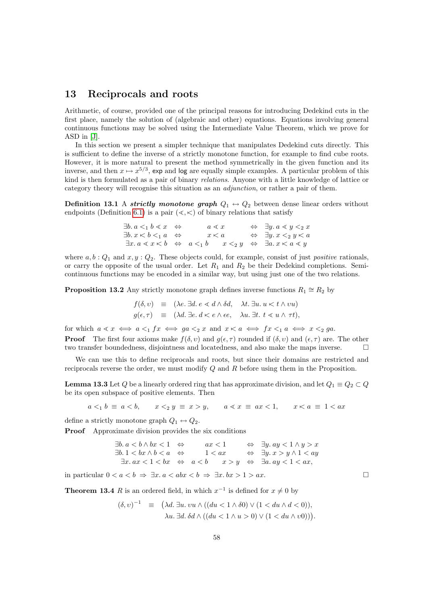# <span id="page-57-0"></span>13 Reciprocals and roots

Arithmetic, of course, provided one of the principal reasons for introducing Dedekind cuts in the first place, namely the solution of (algebraic and other) equations. Equations involving general continuous functions may be solved using the Intermediate Value Theorem, which we prove for ASD in [\[J\]](#page-72-0).

In this section we present a simpler technique that manipulates Dedekind cuts directly. This is sufficient to define the inverse of a strictly monotone function, for example to find cube roots. However, it is more natural to present the method symmetrically in the given function and its inverse, and then  $x \mapsto x^{5/3}$ , exp and log are equally simple examples. A particular problem of this kind is then formulated as a pair of binary *relations*. Anyone with a little knowledge of lattice or category theory will recognise this situation as an adjunction, or rather a pair of them.

Definition 13.1 A strictly monotone graph  $Q_1 \leftrightarrow Q_2$  between dense linear orders without endpoints (Definition [6.1\)](#page-28-0) is a pair  $(\leq,\leq)$  of binary relations that satisfy

| $\exists b. a <_1 b \leq x \Leftrightarrow$                         |           | $a \leq x$ | $\Leftrightarrow$ $\exists y. a \lessdot y \lessdot_2 x$ |
|---------------------------------------------------------------------|-----------|------------|----------------------------------------------------------|
| $\exists b. x \lt b \lt_1 a \Leftrightarrow$                        | $x \lt a$ |            | $\Leftrightarrow$ $\exists y \ldotp x \leq_2 y \leq a$   |
| $\exists x. a \lessdot x \lessdot b \Leftrightarrow a \lessdot_1 b$ |           |            | $x <_2 y \Leftrightarrow \exists a. x \lt a \lt y$       |

where  $a, b : Q_1$  and  $x, y : Q_2$ . These objects could, for example, consist of just *positive* rationals, or carry the opposite of the usual order. Let  $R_1$  and  $R_2$  be their Dedekind completions. Semicontinuous functions may be encoded in a similar way, but using just one of the two relations.

**Proposition 13.2** Any strictly monotone graph defines inverse functions  $R_1 \cong R_2$  by

$$
f(\delta, v) \equiv (\lambda e. \exists d. e \prec d \wedge \delta d, \quad \lambda t. \exists u. u \prec t \wedge vu)
$$
  

$$
g(\epsilon, \tau) \equiv (\lambda d. \exists e. d \prec e \wedge \epsilon e, \quad \lambda u. \exists t. t \prec u \wedge \tau t),
$$

for which  $a \leq x \iff a \leq_1 fx \iff qa \leq_2 x$  and  $x \iff fx \leq_1 a \iff x \leq_2 qa$ .

**Proof** The first four axioms make  $f(\delta, v)$  and  $g(\epsilon, \tau)$  rounded if  $(\delta, v)$  and  $(\epsilon, \tau)$  are. The other two transfer boundedness, disjointness and locatedness, and also make the maps inverse.

We can use this to define reciprocals and roots, but since their domains are restricted and reciprocals reverse the order, we must modify Q and R before using them in the Proposition.

**Lemma 13.3** Let Q be a linearly ordered ring that has approximate division, and let  $Q_1 \equiv Q_2 \subset Q$ be its open subspace of positive elements. Then

$$
a <_1 b \equiv a < b, \qquad x <_2 y \equiv x > y, \qquad a \lessdot x \equiv ax < 1, \qquad x \lessdot a \equiv 1 < ax
$$

define a strictly monotone graph  $Q_1 \leftrightarrow Q_2$ .

Proof Approximate division provides the six conditions

$$
\exists b. \ a < b \land bx < 1 \Leftrightarrow ax < 1 \Leftrightarrow \exists y. \ ay < 1 \land y > x
$$
  

$$
\exists b. 1 < bx \land b < a \Leftrightarrow 1 < ax \Leftrightarrow \exists y. \ x > y \land 1 < ay
$$
  

$$
\exists x. \ ax < 1 < bx \Leftrightarrow a < b \Leftrightarrow x > y \Leftrightarrow \exists a. \ ay < 1 < ax,
$$

in particular  $0 < a < b \Rightarrow \exists x. a < abx < b \Rightarrow \exists x. bx > 1 > ax.$ 

**Theorem 13.4** R is an ordered field, in which  $x^{-1}$  is defined for  $x \neq 0$  by

$$
(\delta, v)^{-1} \equiv (\lambda d. \exists u. vu \land ((du < 1 \land \delta 0) \lor (1 < du \land d < 0)),
$$
  

$$
\lambda u. \exists d. \delta d \land ((du < 1 \land u > 0) \lor (1 < du \land v 0))).
$$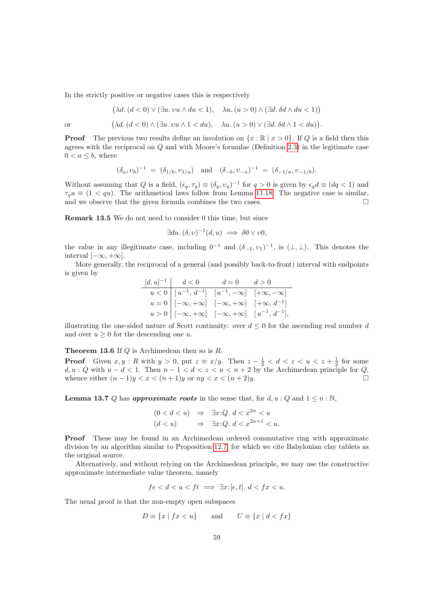In the strictly positive or negative cases this is respectively

$$
(\lambda d. (d < 0) \lor (\exists u. vu \land du < 1), \quad \lambda u. (u > 0) \land (\exists d. \delta d \land du < 1))
$$

 $\lambda d. (d < 0) \wedge (\exists u. vu \wedge 1 < du), \quad \lambda u. (u > 0) \vee (\exists d. \delta d \wedge 1 < du)).$ 

or

**Proof** The previous two results define an involution on  $\{x : \mathbb{R} \mid x > 0\}$ . If Q is a field then this agrees with the reciprocal on Q and with Moore's formulae (Definition [2.3\)](#page-5-2) in the legitimate case  $0 < a < b$ , where

$$
(\delta_a, v_b)^{-1} = (\delta_{1/b}, v_{1/a})
$$
 and  $(\delta_{-b}, v_{-a})^{-1} = (\delta_{-1/a}, v_{-1/b}).$ 

Without assuming that Q is a field,  $(\epsilon_q, \tau_q) \equiv (\delta_q, \nu_q)^{-1}$  for  $q > 0$  is given by  $\epsilon_q d \equiv (dq < 1)$  and  $\tau_q u \equiv (1 \lt q u)$ . The arithmetical laws follow from Lemma [11.18.](#page-52-2) The negative case is similar, and we observe that the given formula combines the two cases.

Remark 13.5 We do not need to consider 0 this time, but since

 $\exists du. (\delta, v)^{-1}(d, u) \implies \delta 0 \vee v 0,$ 

the value in any illegitimate case, including  $0^{-1}$  and  $(\delta_{-1}, v_1)^{-1}$ , is  $(\perp, \perp)$ . This denotes the interval  $[-\infty, +\infty]$ .

More generally, the reciprocal of a general (and possibly back-to-front) interval with endpoints is given by

| $[d, u]^{-1}$ $d < 0$ $d = 0$ $d > 0$                                          |  |
|--------------------------------------------------------------------------------|--|
| $u<0\ \big \ [u^{-1},\,d^{-1}]\quad[u^{-1},\,-\infty]\quad[+\infty,-\infty]$   |  |
| $u = 0$ $[-\infty, +\infty]$ $[-\infty, +\infty]$ $[+\infty, d^{-1}]$          |  |
| $u>0\ \big \ [-\infty,+\infty]\quad [-\infty,+\infty]\quad [u^{-1},\,d^{-1}],$ |  |

illustrating the one-sided nature of Scott continuity: over  $d \leq 0$  for the ascending real number d and over  $u \geq 0$  for the descending one u.

Theorem 13.6 If Q is Archimedean then so is R.

**Proof** Given  $x, y : R$  with  $y > 0$ , put  $z \equiv x/y$ . Then  $z - \frac{1}{2} < d < z < u < z + \frac{1}{2}$  for some  $d, u : Q$  with  $u - d < 1$ . Then  $n - 1 < d < z < u < n + 2$  by the Archimedean principle for  $Q$ , whence either  $(n-1)y < x < (n+1)y$  or  $ny < x < (n+2)y$ .

**Lemma 13.7** Q has *approximate roots* in the sense that, for  $d, u : Q$  and  $1 \leq n : \mathbb{N}$ ,

$$
(0 < d < u) \Rightarrow \exists x : Q. \ d < x^{2n} < u
$$
\n
$$
(d < u) \Rightarrow \exists x : Q. \ d < x^{2n+1} < u.
$$

**Proof** These may be found in an Archimedean ordered commutative ring with approximate division by an algorithm similar to Proposition [12.7,](#page-54-0) for which we cite Babylonian clay tablets as the original source.

Alternatively, and without relying on the Archimedean principle, we may use the constructive approximate intermediate value theorem, namely

$$
fe < d < u < ft \implies \exists x : [e, t]. \ d < fx < u.
$$

The usual proof is that the non-empty open subspaces

$$
D \equiv \{x \mid fx < u\} \qquad \text{and} \qquad U \equiv \{x \mid d < fx\}
$$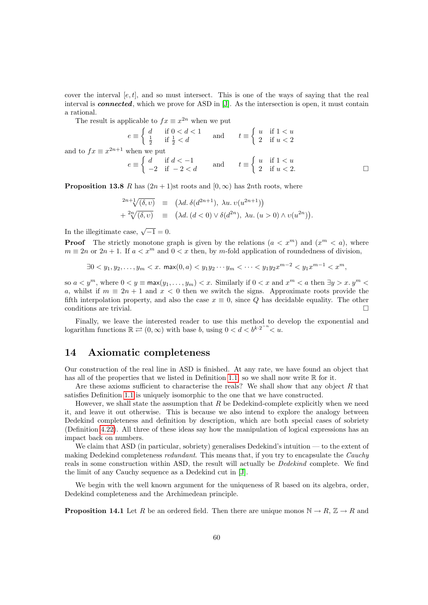cover the interval  $[e, t]$ , and so must intersect. This is one of the ways of saying that the real interval is *connected*, which we prove for ASD in  $[J]$ . As the intersection is open, it must contain a rational.

The result is applicable to  $fx \equiv x^{2n}$  when we put

$$
e \equiv \begin{cases} d & \text{if } 0 < d < 1 \\ \frac{1}{2} & \text{if } \frac{1}{2} < d \end{cases} \qquad \text{and} \qquad t \equiv \begin{cases} u & \text{if } 1 < u \\ 2 & \text{if } u < 2 \end{cases}
$$
\n
$$
e \equiv \begin{cases} d & \text{if } d < -1 \\ -2 & \text{if } -2 < d \end{cases} \qquad \text{and} \qquad t \equiv \begin{cases} u & \text{if } 1 < u \\ 2 & \text{if } u < 2 \end{cases}
$$

**Proposition 13.8** R has  $(2n + 1)$ st roots and  $[0, \infty)$  has 2nth roots, where

$$
^{2n+1}\sqrt{(b,v)} \equiv (\lambda d. \delta(d^{2n+1}), \lambda u. \nu(u^{2n+1}))
$$
  
+ 
$$
^{2n}\sqrt{(b,v)} \equiv (\lambda d. (d < 0) \vee \delta(d^{2n}), \lambda u. (u > 0) \wedge \nu(u^{2n})).
$$

In the illegitimate case,  $\sqrt{-1} = 0$ .

**Proof** The strictly monotone graph is given by the relations  $(a < x<sup>m</sup>)$  and  $(x<sup>m</sup> < a)$ , where  $m \equiv 2n$  or  $2n + 1$ . If  $a < x<sup>m</sup>$  and  $0 < x$  then, by m-fold application of roundedness of division,

$$
\exists 0 < y_1, y_2, \ldots, y_m < x. \ \max(0,a) < y_1y_2\cdots y_m < \cdots < y_1y_2x^{m-2} < y_1x^{m-1} < x^m,
$$

so  $a < y^m$ , where  $0 < y \equiv \max(y_1, \ldots, y_m) < x$ . Similarly if  $0 < x$  and  $x^m < a$  then  $\exists y > x$ .  $y^m <$ a, whilst if  $m \equiv 2n + 1$  and  $x < 0$  then we switch the signs. Approximate roots provide the fifth interpolation property, and also the case  $x \equiv 0$ , since Q has decidable equality. The other conditions are trivial.

Finally, we leave the interested reader to use this method to develop the exponential and logarithm functions  $\mathbb{R} \rightleftarrows (0, \infty)$  with base b, using  $0 < d < b^{k \cdot 2^{-n}} < u$ .

#### <span id="page-59-0"></span>14 Axiomatic completeness

Our construction of the real line in ASD is finished. At any rate, we have found an object that has all of the properties that we listed in Definition [1.1,](#page-1-0) so we shall now write R for it.

Are these axioms sufficient to characterise the reals? We shall show that any object  $R$  that satisfies Definition [1.1](#page-1-0) is uniquely isomorphic to the one that we have constructed.

However, we shall state the assumption that  $R$  be Dedekind-complete explicitly when we need it, and leave it out otherwise. This is because we also intend to explore the analogy between Dedekind completeness and definition by description, which are both special cases of sobriety (Definition [4.22\)](#page-20-1). All three of these ideas say how the manipulation of logical expressions has an impact back on numbers.

We claim that ASD (in particular, sobriety) generalises Dedekind's intuition — to the extent of making Dedekind completeness *redundant*. This means that, if you try to encapsulate the *Cauchy* reals in some construction within ASD, the result will actually be Dedekind complete. We find the limit of any Cauchy sequence as a Dedekind cut in [\[J\]](#page-72-0).

We begin with the well known argument for the uniqueness of  $\mathbb R$  based on its algebra, order, Dedekind completeness and the Archimedean principle.

**Proposition 14.1** Let R be an ordered field. Then there are unique monos  $\mathbb{N} \to R$ ,  $\mathbb{Z} \to R$  and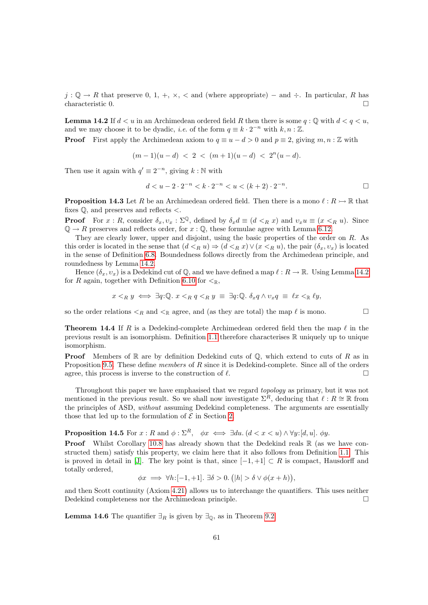$j : \mathbb{Q} \to R$  that preserve 0, 1, +,  $\times$ ,  $\times$  and (where appropriate) – and  $\div$ . In particular, R has characteristic 0.

<span id="page-60-0"></span>**Lemma 14.2** If  $d < u$  in an Archimedean ordered field R then there is some  $q : \mathbb{Q}$  with  $d < q < u$ , and we may choose it to be dyadic, *i.e.* of the form  $q \equiv k \cdot 2^{-n}$  with  $k, n : \mathbb{Z}$ .

**Proof** First apply the Archimedean axiom to  $q \equiv u - d > 0$  and  $p \equiv 2$ , giving  $m, n : \mathbb{Z}$  with

$$
(m-1)(u-d) < 2 < (m+1)(u-d) < 2n(u-d).
$$

Then use it again with  $q' \equiv 2^{-n}$ , giving  $k : \mathbb{N}$  with

$$
d < u - 2 \cdot 2^{-n} < k \cdot 2^{-n} < u < (k+2) \cdot 2^{-n}.
$$

**Proposition 14.3** Let R be an Archimedean ordered field. Then there is a mono  $\ell : R \rightarrow \mathbb{R}$  that fixes  $\mathbb{O}$ , and preserves and reflects  $\lt$ .

**Proof** For  $x : R$ , consider  $\delta_x, v_x : \Sigma^{\mathbb{Q}}$ , defined by  $\delta_x d \equiv (d \leq_R x)$  and  $v_x u \equiv (x \leq_R u)$ . Since  $\mathbb{Q} \to R$  preserves and reflects order, for  $x : \mathbb{Q}$ , these formulae agree with Lemma [6.12.](#page-30-1)

They are clearly lower, upper and disjoint, using the basic properties of the order on  $R$ . As this order is located in the sense that  $(d <_R u) \Rightarrow (d <_R x) \vee (x <_R u)$ , the pair  $(\delta_x, v_x)$  is located in the sense of Definition [6.8.](#page-29-0) Boundedness follows directly from the Archimedean principle, and roundedness by Lemma [14.2.](#page-60-0)

Hence  $(\delta_x, v_x)$  is a Dedekind cut of  $\mathbb{O}$ , and we have defined a map  $\ell : R \to \mathbb{R}$ . Using Lemma [14.2](#page-60-0) for R again, together with Definition [6.10](#page-30-0) for  $\leq_{\mathbb{R}}$ ,

$$
x <_R y \iff \exists q: \mathbb{Q}. \ x <_R q <_R y \ \equiv \ \exists q: \mathbb{Q}. \ \delta_x q \wedge v_x q \ \equiv \ \ell x <_\mathbb{R} \ell y,
$$

so the order relations  $\leq_R$  and  $\leq_R$  agree, and (as they are total) the map  $\ell$  is mono.

**Theorem 14.4** If R is a Dedekind-complete Archimedean ordered field then the map  $\ell$  in the previous result is an isomorphism. Definition [1.1](#page-1-0) therefore characterises R uniquely up to unique isomorphism.

**Proof** Members of R are by definition Dedekind cuts of  $\mathbb{Q}$ , which extend to cuts of R as in Proposition [9.5.](#page-42-0) These define members of  $R$  since it is Dedekind-complete. Since all of the orders agree, this process is inverse to the construction of  $\ell$ .

Throughout this paper we have emphasised that we regard topology as primary, but it was not mentioned in the previous result. So we shall now investigate  $\Sigma^R$ , deducing that  $\ell : R \cong \mathbb{R}$  from the principles of ASD, *without* assuming Dedekind completeness. The arguments are essentially those that led up to the formulation of  $\mathcal E$  in Section [2.](#page-4-0)

<span id="page-60-1"></span>**Proposition 14.5** For  $x : R$  and  $\phi : \Sigma^R$ ,  $\phi x \iff \exists du \, (d < x < u) \land \forall y : [d, u] \, \phi y$ .

**Proof** Whilst Corollary [10.8](#page-46-0) has already shown that the Dedekind reals  $\mathbb{R}$  (as we have constructed them) satisfy this property, we claim here that it also follows from Definition [1.1.](#page-1-0) This is proved in detail in [\[J\]](#page-72-0). The key point is that, since  $[-1, +1] \subset R$  is compact, Hausdorff and totally ordered,

 $\phi x \implies \forall h: [-1, +1]. \exists \delta > 0. \ (\vert h \vert > \delta \vee \phi(x+h)),$ 

and then Scott continuity (Axiom [4.21\)](#page-20-0) allows us to interchange the quantifiers. This uses neither Dedekind completeness nor the Archimedean principle.

<span id="page-60-2"></span>**Lemma 14.6** The quantifier  $\exists_R$  is given by  $\exists_0$ , as in Theorem [9.2.](#page-41-0)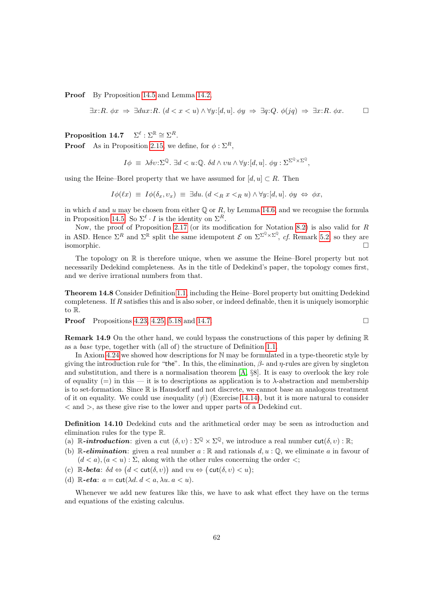Proof By Proposition [14.5](#page-60-1) and Lemma [14.2,](#page-60-0)

 $\exists x:R. \phi x \Rightarrow \exists du x:R. \ (d < x < u) \land \forall y: [d, u]. \ \phi y \Rightarrow \exists q:Q. \ \phi(iq) \Rightarrow \exists x:R. \ \phi x.$ 

<span id="page-61-0"></span>Proposition 14.7  $\Sigma^{\ell} : \Sigma^{\mathbb{R}} \cong \Sigma^{R}$ .

**Proof** As in Proposition [2.15,](#page-8-0) we define, for  $\phi : \Sigma^R$ ,

$$
I\phi \equiv \lambda \delta \nu : \Sigma^{\mathbb{Q}}. \exists d < u : \mathbb{Q}. \; \delta d \wedge \nu u \wedge \forall y : [d, u]. \; \phi y : \Sigma^{\Sigma^{\mathbb{Q}} \times \Sigma^{\mathbb{Q}}},
$$

using the Heine–Borel property that we have assumed for  $[d, u] \subset R$ . Then

$$
I\phi(\ell x) \equiv I\phi(\delta_x, \nu_x) \equiv \exists du. (d <_R x <_R u) \land \forall y: [d, u]. \phi y \Leftrightarrow \phi x,
$$

in which d and u may be chosen from either  $\mathbb{O}$  or R, by Lemma [14.6,](#page-60-2) and we recognise the formula in Proposition [14.5.](#page-60-1) So  $\Sigma^{\ell} \cdot I$  is the identity on  $\Sigma^{R}$ .

Now, the proof of Proposition [2.17](#page-9-0) (or its modification for Notation [8.2\)](#page-37-2) is also valid for  $R$ in ASD. Hence  $\Sigma^R$  and  $\Sigma^{\mathbb{R}}$  split the same idempotent  $\mathcal{E}$  on  $\Sigma^{\Sigma^{\mathbb{Q}}\times\Sigma^{\mathbb{Q}}},$  cf. Remark [5.2,](#page-22-2) so they are isomorphic.

The topology on R is therefore unique, when we assume the Heine–Borel property but not necessarily Dedekind completeness. As in the title of Dedekind's paper, the topology comes first, and we derive irrational numbers from that.

Theorem 14.8 Consider Definition [1.1,](#page-1-0) including the Heine–Borel property but omitting Dedekind completeness. If  $R$  satisfies this and is also sober, or indeed definable, then it is uniquely isomorphic to R.

**Proof** Propositions [4.23,](#page-20-2) [4.25,](#page-21-1) [5.18](#page-25-0) and [14.7.](#page-61-0) □

Remark 14.9 On the other hand, we could bypass the constructions of this paper by defining  $\mathbb R$ as a base type, together with (all of) the structure of Definition [1.1.](#page-1-0)

In Axiom [4.24](#page-20-3) we showed how descriptions for N may be formulated in a type-theoretic style by giving the introduction rule for "the". In this, the elimination,  $β$ - and  $η$ -rules are given by singleton and substitution, and there is a normalisation theorem [\[A,](#page-72-4) §8]. It is easy to overlook the key role of equality (=) in this — it is to descriptions as application is to  $\lambda$ -abstraction and membership is to set-formation. Since  $\mathbb R$  is Hausdorff and not discrete, we cannot base an analogous treatment of it on equality. We could use *inequality*  $(\neq)$  (Exercise [14.14\)](#page-63-0), but it is more natural to consider  $\langle \rangle$  and  $\rangle$ , as these give rise to the lower and upper parts of a Dedekind cut.

<span id="page-61-1"></span>Definition 14.10 Dedekind cuts and the arithmetical order may be seen as introduction and elimination rules for the type R.

- (a)  $\mathbb{R}\text{-}introduction:$  given a cut  $(\delta, v): \Sigma^{\mathbb{Q}} \times \Sigma^{\mathbb{Q}}$ , we introduce a real number  $\text{cut}(\delta, v): \mathbb{R};$
- (b)  $\mathbb{R}\text{-}\textbf{elimination}:$  given a real number  $a : \mathbb{R}$  and rationals  $d, u : \mathbb{Q}$ , we eliminate a in favour of  $(d < a), (a < u): \Sigma$ , along with the other rules concerning the order  $\lt;$ ;
- (c)  $\mathbb{R}\text{-}beta: \delta d \Leftrightarrow (d < \text{cut}(\delta, v))$  and  $vu \Leftrightarrow (\text{cut}(\delta, v) < u);$
- (d)  $\mathbb{R}\text{-}eta: a = \text{cut}(\lambda d. d < a, \lambda u. a < u).$

Whenever we add new features like this, we have to ask what effect they have on the terms and equations of the existing calculus.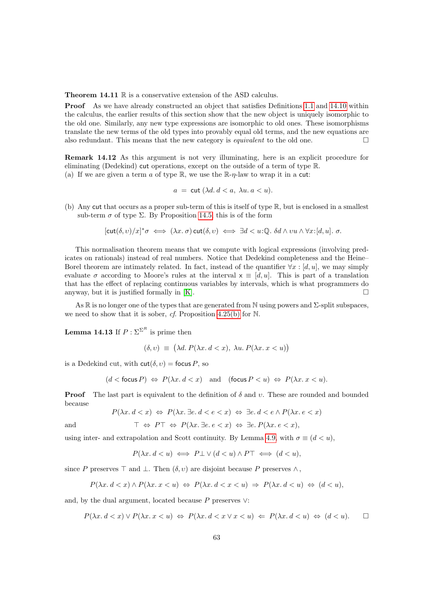Theorem 14.11  $\mathbb R$  is a conservative extension of the ASD calculus.

Proof As we have already constructed an object that satisfies Definitions [1.1](#page-1-0) and [14.10](#page-61-1) within the calculus, the earlier results of this section show that the new object is uniquely isomorphic to the old one. Similarly, any new type expressions are isomorphic to old ones. These isomorphisms translate the new terms of the old types into provably equal old terms, and the new equations are also redundant. This means that the new category is *equivalent* to the old one.

Remark 14.12 As this argument is not very illuminating, here is an explicit procedure for eliminating (Dedekind) cut operations, except on the outside of a term of type R. (a) If we are given a term a of type  $\mathbb{R}$ , we use the  $\mathbb{R}\text{-}\eta$ -law to wrap it in a cut:

$$
a = \text{cut } (\lambda d. d < a, \ \lambda u. a < u).
$$

(b) Any cut that occurs as a proper sub-term of this is itself of type R, but is enclosed in a smallest sub-term  $\sigma$  of type  $\Sigma$ . By Proposition [14.5,](#page-60-1) this is of the form

$$
[\text{cut}(\delta, v)/x]^* \sigma \iff (\lambda x. \sigma) \text{cut}(\delta, v) \iff \exists d < u : \mathbb{Q}. \ \delta d \land vu \land \forall x : [d, u]. \ \sigma.
$$

This normalisation theorem means that we compute with logical expressions (involving predicates on rationals) instead of real numbers. Notice that Dedekind completeness and the Heine– Borel theorem are intimately related. In fact, instead of the quantifier  $\forall x : [d, u]$ , we may simply evaluate  $\sigma$  according to Moore's rules at the interval  $x \equiv [d, u]$ . This is part of a translation that has the effect of replacing continuous variables by intervals, which is what programmers do anyway, but it is justified formally in [\[K\]](#page-72-2).  $\Box$ 

As R is no longer one of the types that are generated from N using powers and Σ-split subspaces, we need to show that it is sober, cf. Proposition [4.25\(b\)](#page-21-2) for N.

**Lemma 14.13** If  $P : \Sigma^{\Sigma^R}$  is prime then

$$
(\delta, v) \equiv (\lambda d. P(\lambda x. d < x), \lambda u. P(\lambda x. x < u))
$$

is a Dedekind cut, with  $\text{cut}(\delta, v) = \text{focus } P$ , so

$$
(d < \text{focus } P) \Leftrightarrow P(\lambda x. d < x) \quad \text{and} \quad (\text{focus } P < u) \Leftrightarrow P(\lambda x. x < u).
$$

**Proof** The last part is equivalent to the definition of  $\delta$  and v. These are rounded and bounded because

$$
P(\lambda x. d < x) \Leftrightarrow P(\lambda x. \exists e. d < e < x) \Leftrightarrow \exists e. d < e \land P(\lambda x. e < x)
$$

and 
$$
\top \Leftrightarrow P\top \Leftrightarrow P(\lambda x. \exists e. e < x) \Leftrightarrow \exists e. P(\lambda x. e < x),
$$

using inter- and extrapolation and Scott continuity. By Lemma [4.9,](#page-17-1) with  $\sigma \equiv (d \le u)$ ,

$$
P(\lambda x. d < u) \iff P \bot \lor (d < u) \land P \top \iff (d < u),
$$

since P preserves  $\top$  and  $\bot$ . Then  $(\delta, v)$  are disjoint because P preserves  $\land$ ,

$$
P(\lambda x. d < x) \land P(\lambda x. x < u) \Leftrightarrow P(\lambda x. d < x < u) \Rightarrow P(\lambda x. d < u) \Leftrightarrow (d < u),
$$

and, by the dual argument, located because P preserves  $\vee$ :

$$
P(\lambda x. d < x) \lor P(\lambda x. x < u) \Leftrightarrow P(\lambda x. d < x \lor x < u) \Leftrightarrow P(\lambda x. d < u) \Leftrightarrow (d < u). \qquad \Box
$$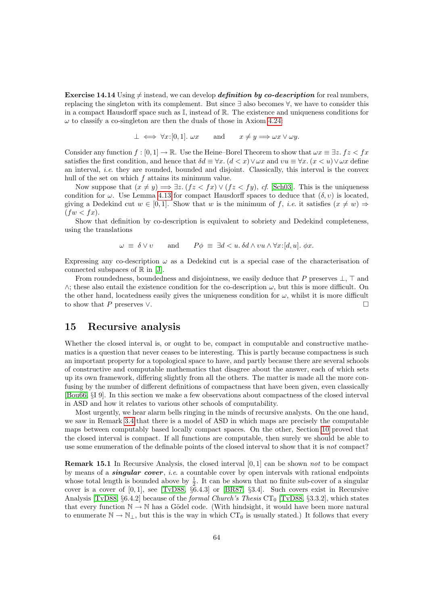<span id="page-63-0"></span>**Exercise 14.14** Using  $\neq$  instead, we can develop *definition by co-description* for real numbers, replacing the singleton with its complement. But since ∃ also becomes ∀, we have to consider this in a compact Hausdorff space such as I, instead of R. The existence and uniqueness conditions for  $\omega$  to classify a co-singleton are then the duals of those in Axiom [4.24:](#page-20-3)

$$
\bot \iff \forall x:[0,1]. \ \omega x \qquad \text{and} \qquad x \neq y \Longrightarrow \omega x \lor \omega y.
$$

Consider any function  $f : [0, 1] \to \mathbb{R}$ . Use the Heine–Borel Theorem to show that  $\omega x \equiv \exists z.$   $fz < fx$ satisfies the first condition, and hence that  $\delta d \equiv \forall x. (d < x) \lor \omega x$  and  $vu \equiv \forall x. (x < u) \lor \omega x$  define an interval, i.e. they are rounded, bounded and disjoint. Classically, this interval is the convex hull of the set on which  $f$  attains its minimum value.

Now suppose that  $(x \neq y) \Longrightarrow \exists z.$   $(fz < fx) \vee (fz < fy)$ , cf. [\[Sch03\]](#page-71-5). This is the uniqueness condition for  $\omega$ . Use Lemma [4.13](#page-18-2) for compact Hausdorff spaces to deduce that  $(\delta, v)$  is located, giving a Dedekind cut  $w \in [0, 1]$ . Show that w is the minimum of f, *i.e.* it satisfies  $(x \neq w) \Rightarrow$  $(fw < fx)$ .

Show that definition by co-description is equivalent to sobriety and Dedekind completeness, using the translations

 $\omega \equiv \delta \vee v$  and  $P\phi \equiv \exists d \lt u \ldotp \delta d \wedge vu \wedge \forall x : [d, u] \ldotp \phi x.$ 

Expressing any co-description  $\omega$  as a Dedekind cut is a special case of the characterisation of connected subspaces of  $\mathbb R$  in [\[J\]](#page-72-0).

From roundedness, boundedness and disjointness, we easily deduce that P preserves  $\perp$ ,  $\top$  and  $\wedge$ ; these also entail the existence condition for the co-description  $\omega$ , but this is more difficult. On the other hand, locatedness easily gives the uniqueness condition for  $\omega$ , whilst it is more difficult to show that P preserves ∨.

# 15 Recursive analysis

Whether the closed interval is, or ought to be, compact in computable and constructive mathematics is a question that never ceases to be interesting. This is partly because compactness is such an important property for a topological space to have, and partly because there are several schools of constructive and computable mathematics that disagree about the answer, each of which sets up its own framework, differing slightly from all the others. The matter is made all the more confusing by the number of different definitions of compactness that have been given, even classically [\[Bou66,](#page-69-3) §I 9]. In this section we make a few observations about compactness of the closed interval in ASD and how it relates to various other schools of computability.

Most urgently, we hear alarm bells ringing in the minds of recursive analysts. On the one hand, we saw in Remark [3.4](#page-14-1) that there is a model of ASD in which maps are precisely the computable maps between computably based locally compact spaces. On the other, Section [10](#page-44-1) proved that the closed interval is compact. If all functions are computable, then surely we should be able to use some enumeration of the definable points of the closed interval to show that it is not compact?

**Remark 15.1** In Recursive Analysis, the closed interval  $[0, 1]$  can be shown not to be compact by means of a **singular cover**, *i.e.* a countable cover by open intervals with rational endpoints whose total length is bounded above by  $\frac{1}{2}$ . It can be shown that no finite sub-cover of a singular cover is a cover of  $[0, 1]$ , see [\[TvD88,](#page-71-0)  $\S$ 6.4.3] or [\[BR87,](#page-69-4)  $\S$ 3.4]. Such covers exist in Recursive Analysis [\[TvD88,](#page-71-0)  $\S 6.4.2$ ] because of the *formal Church's Thesis*  $CT_0$  [\[TvD88,](#page-71-0)  $\S 3.3.2$ ], which states that every function  $\mathbb{N} \to \mathbb{N}$  has a Gödel code. (With hindsight, it would have been more natural to enumerate  $\mathbb{N} \to \mathbb{N}_+$ , but this is the way in which  $CT_0$  is usually stated.) It follows that every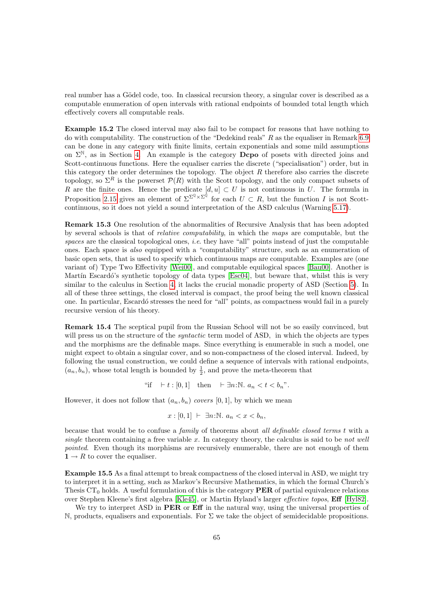real number has a Gödel code, too. In classical recursion theory, a singular cover is described as a computable enumeration of open intervals with rational endpoints of bounded total length which effectively covers all computable reals.

Example 15.2 The closed interval may also fail to be compact for reasons that have nothing to do with computability. The construction of the "Dedekind reals" R as the equaliser in Remark [6.9](#page-29-1) can be done in any category with finite limits, certain exponentials and some mild assumptions on  $\Sigma^{\mathbb{N}}$ , as in Section [4.](#page-15-2) An example is the category **Dcpo** of posets with directed joins and Scott-continuous functions. Here the equaliser carries the discrete ("specialisation") order, but in this category the order determines the topology. The object  $R$  therefore also carries the discrete topology, so  $\Sigma^R$  is the powerset  $\mathcal{P}(R)$  with the Scott topology, and the only compact subsets of R are the finite ones. Hence the predicate  $[d, u] \subset U$  is not continuous in U. The formula in Proposition [2.15](#page-8-0) gives an element of  $\Sigma^{\Sigma^{\mathbb{Q}}\times\Sigma^{\mathbb{Q}}}$  for each  $U\subset R$ , but the function I is not Scottcontinuous, so it does not yield a sound interpretation of the ASD calculus (Warning [5.17\)](#page-25-1).

<span id="page-64-0"></span>Remark 15.3 One resolution of the abnormalities of Recursive Analysis that has been adopted by several schools is that of relative computability, in which the maps are computable, but the spaces are the classical topological ones, i.e. they have "all" points instead of just the computable ones. Each space is also equipped with a "computability" structure, such as an enumeration of basic open sets, that is used to specify which continuous maps are computable. Examples are (one variant of) Type Two Effectivity [\[Wei00\]](#page-71-6), and computable equilogical spaces [\[Bau00\]](#page-68-0). Another is Martín Escardó's synthetic topology of data types [\[Esc04\]](#page-69-5), but beware that, whilst this is very similar to the calculus in Section [4,](#page-15-2) it lacks the crucial monadic property of ASD (Section [5\)](#page-21-0). In all of these three settings, the closed interval is compact, the proof being the well known classical one. In particular, Escard´o stresses the need for "all" points, as compactness would fail in a purely recursive version of his theory.

Remark 15.4 The sceptical pupil from the Russian School will not be so easily convinced, but will press us on the structure of the *syntactic* term model of ASD, in which the objects are types and the morphisms are the definable maps. Since everything is enumerable in such a model, one might expect to obtain a singular cover, and so non-compactness of the closed interval. Indeed, by following the usual construction, we could define a sequence of intervals with rational endpoints,  $(a_n, b_n)$ , whose total length is bounded by  $\frac{1}{2}$ , and prove the meta-theorem that

"if 
$$
\vdash t : [0,1]
$$
 then  $\vdash \exists n : \mathbb{N} \ldotp a_n < t < b_n$ ".

However, it does not follow that  $(a_n, b_n)$  covers [0, 1], by which we mean

$$
x: [0,1] \ \vdash \ \exists n: \mathbb{N}. \ a_n < x < b_n,
$$

because that would be to confuse a family of theorems about all definable closed terms t with a single theorem containing a free variable x. In category theory, the calculus is said to be not well pointed. Even though its morphisms are recursively enumerable, there are not enough of them  $1 \rightarrow R$  to cover the equaliser.

<span id="page-64-1"></span>Example 15.5 As a final attempt to break compactness of the closed interval in ASD, we might try to interpret it in a setting, such as Markov's Recursive Mathematics, in which the formal Church's Thesis  $CT_0$  holds. A useful formulation of this is the category **PER** of partial equivalence relations over Stephen Kleene's first algebra [\[Kle45\]](#page-70-3), or Martin Hyland's larger effective topos, Eff [\[Hyl82\]](#page-69-6).

We try to interpret ASD in **PER** or **Eff** in the natural way, using the universal properties of N, products, equalisers and exponentials. For  $\Sigma$  we take the object of semidecidable propositions.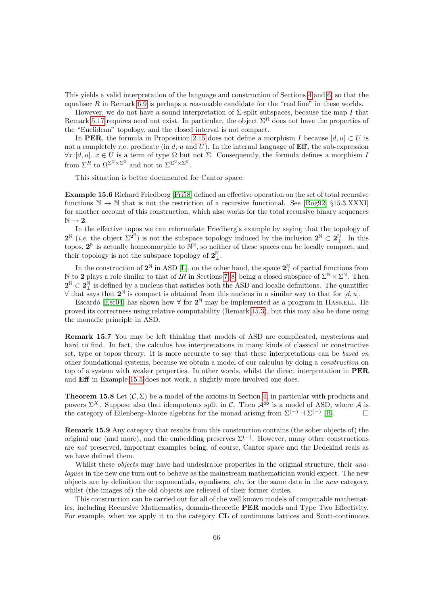This yields a valid interpretation of the language and construction of Sections [4](#page-15-2) and [6,](#page-27-0) so that the equaliser  $R$  in Remark [6.9](#page-29-1) is perhaps a reasonable candidate for the "real line" in these worlds.

However, we do not have a sound interpretation of  $\Sigma$ -split subspaces, because the map I that Remark [5.17](#page-25-1) requires need not exist. In particular, the object  $\Sigma^R$  does not have the properties of the "Euclidean" topology, and the closed interval is not compact.

In PER, the formula in Proposition [2.15](#page-8-0) does not define a morphism I because  $[d, u] \subset U$  is not a completely r.e. predicate (in d, u and U). In the internal language of  $\text{Eff}$ , the sub-expression  $\forall x: [d, u] \ldotp x \in U$  is a term of type  $\Omega$  but not  $\Sigma$ . Consequently, the formula defines a morphism I from  $\Sigma^R$  to  $\Omega^{\Sigma^{\mathbb{Q}}\times\Sigma^{\mathbb{Q}}}$  and not to  $\Sigma^{\Sigma^{\mathbb{Q}}\times\Sigma^{\mathbb{Q}}}$ .

This situation is better documented for Cantor space:

Example 15.6 Richard Friedberg [\[Fri58\]](#page-69-7) defined an effective operation on the set of total recursive functions  $\mathbb{N} \to \mathbb{N}$  that is not the restriction of a recursive functional. See [\[Rog92,](#page-71-7) §15.3.XXXI] for another account of this construction, which also works for the total recursive binary sequences  $\mathbb{N} \rightarrow 2$ .

In the effective topos we can reformulate Friedberg's example by saying that the topology of  $2^{\mathbb{N}}$  (*i.e.* the object  $\Sigma^{2^{\mathbb{N}}}$ ) is not the subspace topology induced by the inclusion  $2^{\mathbb{N}} \subset 2^{\mathbb{N}}_{\perp}$ . In this topos,  $2^{\mathbb{N}}$  is actually homeomorphic to  $\mathbb{N}^{\mathbb{N}}$ , so neither of these spaces can be locally compact, and their topology is not the subspace topology of  $\mathbf{2}_{\perp}^{\mathbb{N}}.$ 

In the construction of  $2^{\mathbb{N}}$  in ASD [\[L\]](#page-72-5), on the other hand, the space  $2^{\mathbb{N}}_{\perp}$  of partial functions from N to 2 plays a role similar to that of  $\overline{IR}$  in Sections [7–](#page-32-2)[8,](#page-36-2) being a closed subspace of  $\Sigma^{\mathbb{N}} \times \Sigma^{\mathbb{N}}$ . Then  $2^{\mathbb{N}} \subset 2^{\mathbb{N}}_{\perp}$  is defined by a nucleus that satisfies both the ASD and localic definitions. The quantifier  $\forall$  that says that  $2^{\mathbb{N}}$  is compact is obtained from this nucleus in a similar way to that for  $[d, u]$ .

Escardó [\[Esc04\]](#page-69-5) has shown how  $\forall$  for  $2^{\mathbb{N}}$  may be implemented as a program in HASKELL. He proved its correctness using relative computability (Remark [15.3\)](#page-64-0), but this may also be done using the monadic principle in ASD.

Remark 15.7 You may be left thinking that models of ASD are complicated, mysterious and hard to find. In fact, the calculus has interpretations in many kinds of classical or constructive set, type or topos theory. It is more accurate to say that these interpretations can be based on other foundational systems, because we obtain a model of our calculus by doing a construction on top of a system with weaker properties. In other words, whilst the direct interpretation in PER and Eff in Example [15.5](#page-64-1) does not work, a slightly more involved one does.

<span id="page-65-0"></span>**Theorem 15.8** Let  $(C, \Sigma)$  be a model of the axioms in Section [4,](#page-15-2) in particular with products and powers  $\Sigma^X$ . Suppose also that idempotents split in C. Then  $\mathcal{A}^{op}$  is a model of ASD, where A is the category of Eilenberg–Moore algebras for the monad arising from  $\Sigma^{(-)} \to \Sigma^{(-)}$  [\[B\]](#page-72-1).

Remark 15.9 Any category that results from this construction contains (the sober objects of) the original one (and more), and the embedding preserves  $\Sigma^{(-)}$ . However, many other constructions are not preserved, important examples being, of course, Cantor space and the Dedekind reals as we have defined them.

Whilst these *objects* may have had undesirable properties in the original structure, their analogues in the new one turn out to behave as the mainstream mathematician would expect. The new objects are by definition the exponentials, equalisers, *etc.* for the same data in the *new* category, whilst (the images of) the old objects are relieved of their former duties.

This construction can be carried out for all of the well known models of computable mathematics, including Recursive Mathematics, domain-theoretic PER models and Type Two Effectivity. For example, when we apply it to the category **CL** of continuous lattices and Scott-continuous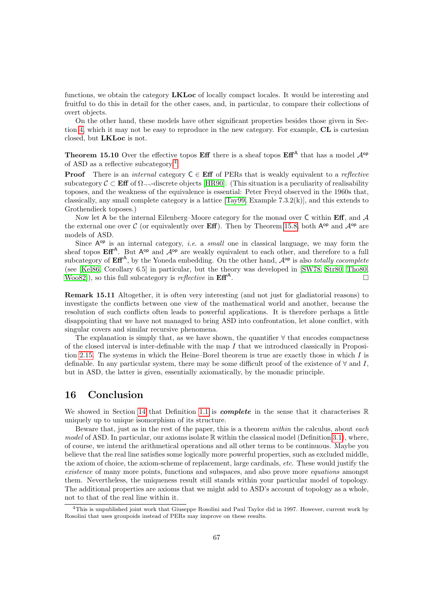functions, we obtain the category LKLoc of locally compact locales. It would be interesting and fruitful to do this in detail for the other cases, and, in particular, to compare their collections of overt objects.

On the other hand, these models have other significant properties besides those given in Section [4,](#page-15-2) which it may not be easy to reproduce in the new category. For example, CL is cartesian closed, but LKLoc is not.

**Theorem 15.10** Over the effective topos **Eff** there is a sheaf topos  $\text{Eff}^{\text{A}}$  that has a model  $\mathcal{A}^{\text{op}}$ of ASD as a reflective subcategory.[4](#page-66-0)

**Proof** There is an *internal* category  $C \in \textbf{Eff}$  of PERs that is weakly equivalent to a *reflective* subcategory  $\mathcal{C} \subset \mathbf{Eff}$  of  $\Omega_{\neg \neg}$ -discrete objects [\[HR90\]](#page-69-8). (This situation is a peculiarity of realisability toposes, and the weakness of the equivalence is essential: Peter Freyd observed in the 1960s that, classically, any small complete category is a lattice [\[Tay99,](#page-71-8) Example 7.3.2(k)], and this extends to Grothendieck toposes.)

Now let A be the internal Eilenberg–Moore category for the monad over C within **Eff**, and A the external one over C (or equivalently over **Eff**). Then by Theorem [15.8,](#page-65-0) both  $A^{op}$  and  $A^{op}$  are models of ASD.

Since  $A^{\circ p}$  is an internal category, *i.e.* a *small* one in classical language, we may form the sheaf topos  $\mathrm{Eff}^A$ . But  $A^{\mathrm{op}}$  and  $A^{\mathrm{op}}$  are weakly equivalent to each other, and therefore to a full subcategory of  $\mathrm{Eff}^{\mathsf{A}},$  by the Yoneda embedding. On the other hand,  $\mathcal{A}^{\mathrm{op}}$  is also *totally cocomplete* (see [\[Kel86,](#page-70-4) Corollary 6.5] in particular, but the theory was developed in [\[SW78,](#page-71-9) [Str80,](#page-71-10) [Tho80,](#page-71-11) [Woo82\]](#page-71-12)), so this full subcategory is *reflective* in  $\text{Eff}^A$ . .

Remark 15.11 Altogether, it is often very interesting (and not just for gladiatorial reasons) to investigate the conflicts between one view of the mathematical world and another, because the resolution of such conflicts often leads to powerful applications. It is therefore perhaps a little disappointing that we have not managed to bring ASD into confrontation, let alone conflict, with singular covers and similar recursive phenomena.

The explanation is simply that, as we have shown, the quantifier  $\forall$  that encodes compactness of the closed interval is inter-definable with the map I that we introduced classically in Proposi-tion [2.15.](#page-8-0) The systems in which the Heine–Borel theorem is true are exactly those in which  $I$  is definable. In any particular system, there may be some difficult proof of the existence of  $\forall$  and I, but in ASD, the latter is given, essentially axiomatically, by the monadic principle.

#### 16 Conclusion

We showed in Section [14](#page-59-0) that Definition [1.1](#page-1-0) is *complete* in the sense that it characterises  $\mathbb{R}$ uniquely up to unique isomorphism of its structure.

Beware that, just as in the rest of the paper, this is a theorem within the calculus, about each model of ASD. In particular, our axioms isolate  $\mathbb R$  within the classical model (Definition [3.1\)](#page-12-0), where, of course, we intend the arithmetical operations and all other terms to be continuous. Maybe you believe that the real line satisfies some logically more powerful properties, such as excluded middle, the axiom of choice, the axiom-scheme of replacement, large cardinals, etc. These would justify the existence of many more points, functions and subspaces, and also prove more *equations* amongst them. Nevertheless, the uniqueness result still stands within your particular model of topology. The additional properties are axioms that we might add to ASD's account of topology as a whole, not to that of the real line within it.

<span id="page-66-0"></span><sup>4</sup>This is unpublished joint work that Giuseppe Rosolini and Paul Taylor did in 1997. However, current work by Rosolini that uses groupoids instead of PERs may improve on these results.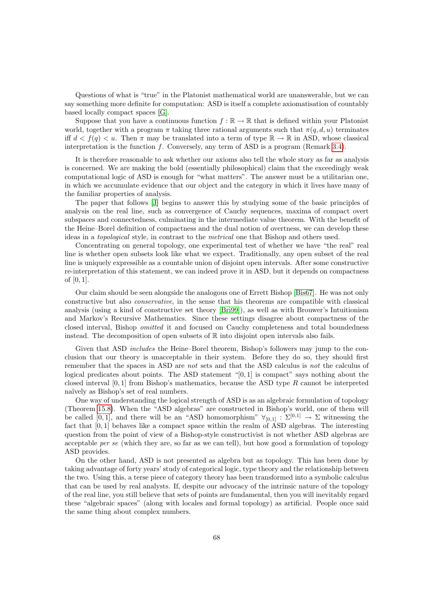Questions of what is "true" in the Platonist mathematical world are unanswerable, but we can say something more definite for computation: ASD is itself a complete axiomatisation of countably based locally compact spaces [\[G\]](#page-72-3).

Suppose that you have a continuous function  $f : \mathbb{R} \to \mathbb{R}$  that is defined within your Platonist world, together with a program  $\pi$  taking three rational arguments such that  $\pi(q, d, u)$  terminates iff  $d < f(q) < u$ . Then  $\pi$  may be translated into a term of type  $\mathbb{R} \to \mathbb{R}$  in ASD, whose classical interpretation is the function f. Conversely, any term of ASD is a program (Remark [3.4\)](#page-14-1).

It is therefore reasonable to ask whether our axioms also tell the whole story as far as analysis is concerned. We are making the bold (essentially philosophical) claim that the exceedingly weak computational logic of ASD is enough for "what matters". The answer must be a utilitarian one, in which we accumulate evidence that our object and the category in which it lives have many of the familiar properties of analysis.

The paper that follows [\[J\]](#page-72-0) begins to answer this by studying some of the basic principles of analysis on the real line, such as convergence of Cauchy sequences, maxima of compact overt subspaces and connectedness, culminating in the intermediate value theorem. With the benefit of the Heine–Borel definition of compactness and the dual notion of overtness, we can develop these ideas in a topological style, in contrast to the metrical one that Bishop and others used.

Concentrating on general topology, one experimental test of whether we have "the real" real line is whether open subsets look like what we expect. Traditionally, any open subset of the real line is uniquely expressible as a countable union of disjoint open intervals. After some constructive re-interpretation of this statement, we can indeed prove it in ASD, but it depends on compactness of [0, 1].

Our claim should be seen alongside the analogous one of Errett Bishop [\[Bis67\]](#page-68-1). He was not only constructive but also conservative, in the sense that his theorems are compatible with classical analysis (using a kind of constructive set theory [\[Bri99\]](#page-69-9)), as well as with Brouwer's Intuitionism and Markov's Recursive Mathematics. Since these settings disagree about compactness of the closed interval, Bishop omitted it and focused on Cauchy completeness and total boundedness instead. The decomposition of open subsets of  $\mathbb R$  into disjoint open intervals also fails.

Given that ASD *includes* the Heine–Borel theorem, Bishop's followers may jump to the conclusion that our theory is unacceptable in their system. Before they do so, they should first remember that the spaces in ASD are *not* sets and that the ASD calculus is *not* the calculus of logical predicates about points. The ASD statement  $\lbrack 0,1]$  is compact" says nothing about the closed interval [0, 1] from Bishop's mathematics, because the ASD type R cannot be interpreted naïvely as Bishop's set of real numbers.

One way of understanding the logical strength of ASD is as an algebraic formulation of topology (Theorem [15.8\)](#page-65-0). When the "ASD algebras" are constructed in Bishop's world, one of them will be called [0, 1], and there will be an "ASD homomorphism"  $\forall_{[0,1]} : \Sigma^{[0,1]} \to \Sigma$  witnessing the fact that  $[0, 1]$  behaves like a compact space within the realm of  $\hat{ASD}$  algebras. The interesting question from the point of view of a Bishop-style constructivist is not whether ASD algebras are acceptable per se (which they are, so far as we can tell), but how good a formulation of topology ASD provides.

On the other hand, ASD is not presented as algebra but as topology. This has been done by taking advantage of forty years' study of categorical logic, type theory and the relationship between the two. Using this, a terse piece of category theory has been transformed into a symbolic calculus that can be used by real analysts. If, despite our advocacy of the intrinsic nature of the topology of the real line, you still believe that sets of points are fundamental, then you will inevitably regard these "algebraic spaces" (along with locales and formal topology) as artificial. People once said the same thing about complex numbers.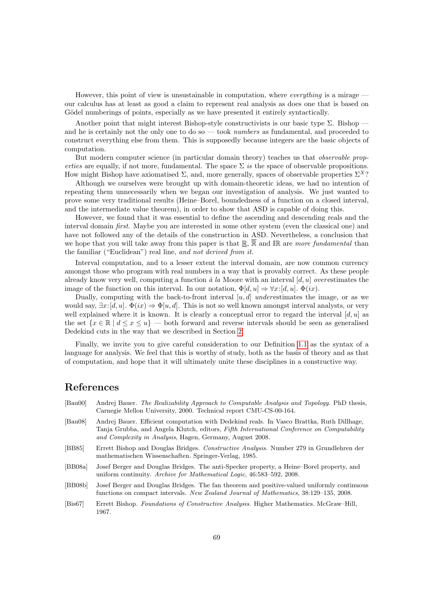However, this point of view is unsustainable in computation, where *everything* is a mirage  $\overline{\phantom{a}}$ our calculus has at least as good a claim to represent real analysis as does one that is based on Gödel numberings of points, especially as we have presented it entirely syntactically.

Another point that might interest Bishop-style constructivists is our basic type  $\Sigma$ . Bishop and he is certainly not the only one to do so  $-$  took numbers as fundamental, and proceeded to construct everything else from them. This is supposedly because integers are the basic objects of computation.

But modern computer science (in particular domain theory) teaches us that observable properties are equally, if not more, fundamental. The space  $\Sigma$  is the space of observable propositions. How might Bishop have axiomatised  $\Sigma$ , and, more generally, spaces of observable properties  $\Sigma^X$ ?

Although we ourselves were brought up with domain-theoretic ideas, we had no intention of repeating them unnecessarily when we began our investigation of analysis. We just wanted to prove some very traditional results (Heine–Borel, boundedness of a function on a closed interval, and the intermediate value theorem), in order to show that ASD is capable of doing this.

However, we found that it was essential to define the ascending and descending reals and the interval domain first. Maybe you are interested in some other system (even the classical one) and have not followed any of the details of the construction in ASD. Nevertheless, a conclusion that we hope that you will take away from this paper is that  $\mathbb{R}, \overline{\mathbb{R}}$  and IR are more fundamental than the familiar ("Euclidean") real line, and not derived from it.

Interval computation, and to a lesser extent the interval domain, are now common currency amongst those who program with real numbers in a way that is provably correct. As these people already know very well, computing a function  $\dot{a}$  la Moore with an interval  $[d, u]$  overestimates the image of the function on this interval. In our notation,  $\Phi[d, u] \Rightarrow \forall x : [d, u]$ .  $\Phi(ix)$ .

Dually, computing with the back-to-front interval  $[u, d]$  underestimates the image, or as we would say,  $\exists x:[d, u]$ .  $\Phi(ix) \Rightarrow \Phi[u, d]$ . This is not so well known amongst interval analysts, or very well explained where it is known. It is clearly a conceptual error to regard the interval  $[d, u]$  as the set  $\{x \in \mathbb{R} \mid d \leq x \leq u\}$  — both forward and reverse intervals should be seen as generalised Dedekind cuts in the way that we described in Section [2.](#page-4-0)

Finally, we invite you to give careful consideration to our Definition [1.1](#page-1-0) as the syntax of a language for analysis. We feel that this is worthy of study, both as the basis of theory and as that of computation, and hope that it will ultimately unite these disciplines in a constructive way.

# References

- <span id="page-68-0"></span>[Bau00] Andrej Bauer. The Realizability Approach to Computable Analysis and Topology. PhD thesis, Carnegie Mellon University, 2000. Technical report CMU-CS-00-164.
- [Bau08] Andrej Bauer. Efficient computation with Dedekind reals. In Vasco Brattka, Ruth Dillhage, Tanja Grubba, and Angela Klutch, editors, Fifth International Conference on Computability and Complexity in Analysis, Hagen, Germany, August 2008.
- [BB85] Errett Bishop and Douglas Bridges. Constructive Analysis. Number 279 in Grundlehren der mathematischen Wissenschaften. Springer-Verlag, 1985.
- [BB08a] Josef Berger and Douglas Bridges. The anti-Specker property, a Heine–Borel property, and uniform continuity. Archive for Mathematical Logic, 46:583–592, 2008.
- [BB08b] Josef Berger and Douglas Bridges. The fan theorem and positive-valued uniformly continuous functions on compact intervals. New Zealand Journal of Mathematics, 38:129–135, 2008.
- <span id="page-68-1"></span>[Bis67] Errett Bishop. Foundations of Constructive Analysis. Higher Mathematics. McGraw–Hill, 1967.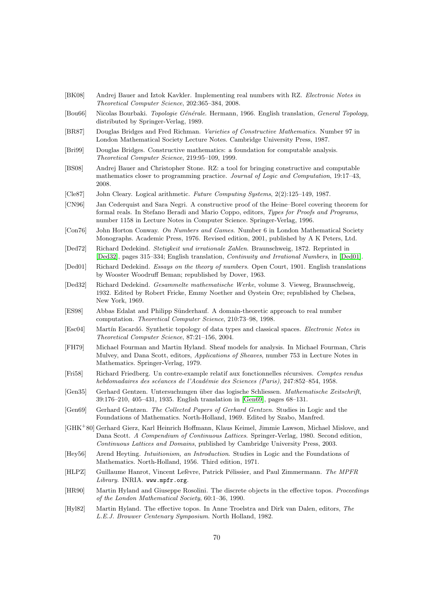- [BK08] Andrej Bauer and Iztok Kavkler. Implementing real numbers with RZ. Electronic Notes in Theoretical Computer Science, 202:365–384, 2008.
- <span id="page-69-3"></span>[Bou66] Nicolas Bourbaki. Topologie Générale. Hermann, 1966. English translation, General Topology, distributed by Springer-Verlag, 1989.
- <span id="page-69-4"></span>[BR87] Douglas Bridges and Fred Richman. Varieties of Constructive Mathematics. Number 97 in London Mathematical Society Lecture Notes. Cambridge University Press, 1987.
- <span id="page-69-9"></span>[Bri99] Douglas Bridges. Constructive mathematics: a foundation for computable analysis. Theoretical Computer Science, 219:95–109, 1999.
- [BS08] Andrej Bauer and Christopher Stone. RZ: a tool for bringing constructive and computable mathematics closer to programming practice. Journal of Logic and Computation, 19:17–43, 2008.
- [Cle87] John Cleary. Logical arithmetic. Future Computing Systems, 2(2):125–149, 1987.
- [CN96] Jan Cederquist and Sara Negri. A constructive proof of the Heine–Borel covering theorem for formal reals. In Stefano Beradi and Mario Coppo, editors, Types for Proofs and Programs, number 1158 in Lecture Notes in Computer Science. Springer-Verlag, 1996.
- <span id="page-69-1"></span>[Con76] John Horton Conway. On Numbers and Games. Number 6 in London Mathematical Society Monographs. Academic Press, 1976. Revised edition, 2001, published by A K Peters, Ltd.
- <span id="page-69-0"></span>[Ded72] Richard Dedekind. Stetigkeit und irrationale Zahlen. Braunschweig, 1872. Reprinted in [\[Ded32\]](#page-69-10), pages 315–334; English translation, Continuity and Irrational Numbers, in [\[Ded01\]](#page-69-11).
- <span id="page-69-11"></span>[Ded01] Richard Dedekind. Essays on the theory of numbers. Open Court, 1901. English translations by Wooster Woodruff Beman; republished by Dover, 1963.
- <span id="page-69-10"></span>[Ded32] Richard Dedekind. Gesammelte mathematische Werke, volume 3. Vieweg, Braunschweig, 1932. Edited by Robert Fricke, Emmy Noether and Øystein Ore; republished by Chelsea, New York, 1969.
- [ES98] Abbas Edalat and Philipp Sünderhauf. A domain-theoretic approach to real number computation. Theoretical Computer Science, 210:73–98, 1998.
- <span id="page-69-5"></span>[Esc04] Martín Escardó. Synthetic topology of data types and classical spaces. Electronic Notes in Theoretical Computer Science, 87:21–156, 2004.
- <span id="page-69-2"></span>[FH79] Michael Fourman and Martin Hyland. Sheaf models for analysis. In Michael Fourman, Chris Mulvey, and Dana Scott, editors, Applications of Sheaves, number 753 in Lecture Notes in Mathematics. Springer-Verlag, 1979.
- <span id="page-69-7"></span>[Fri58] Richard Friedberg. Un contre-example relatif aux fonctionnelles récursives. Comptes rendus hebdomadaires des scéances de l'Académie des Sciences (Paris), 247:852-854, 1958.
- [Gen35] Gerhard Gentzen. Untersuchungen über das logische Schliessen. Mathematische Zeitschrift, 39:176–210, 405–431, 1935. English translation in [\[Gen69\]](#page-69-12), pages 68–131.
- <span id="page-69-12"></span>[Gen69] Gerhard Gentzen. The Collected Papers of Gerhard Gentzen. Studies in Logic and the Foundations of Mathematics. North-Holland, 1969. Edited by Szabo, Manfred.
- [GHK<sup>+</sup>80] Gerhard Gierz, Karl Heinrich Hoffmann, Klaus Keimel, Jimmie Lawson, Michael Mislove, and Dana Scott. A Compendium of Continuous Lattices. Springer-Verlag, 1980. Second edition, Continuous Lattices and Domains, published by Cambridge University Press, 2003.
- [Hey56] Arend Heyting. Intuitionism, an Introduction. Studies in Logic and the Foundations of Mathematics. North-Holland, 1956. Third edition, 1971.
- [HLPZ] Guillaume Hanrot, Vincent Lefèvre, Patrick Pélissier, and Paul Zimmermann. The MPFR Library. INRIA. www.mpfr.org.
- <span id="page-69-8"></span>[HR90] Martin Hyland and Giuseppe Rosolini. The discrete objects in the effective topos. Proceedings of the London Mathematical Society, 60:1–36, 1990.
- <span id="page-69-6"></span>[Hyl82] Martin Hyland. The effective topos. In Anne Troelstra and Dirk van Dalen, editors, The L.E.J. Brouwer Centenary Symposium. North Holland, 1982.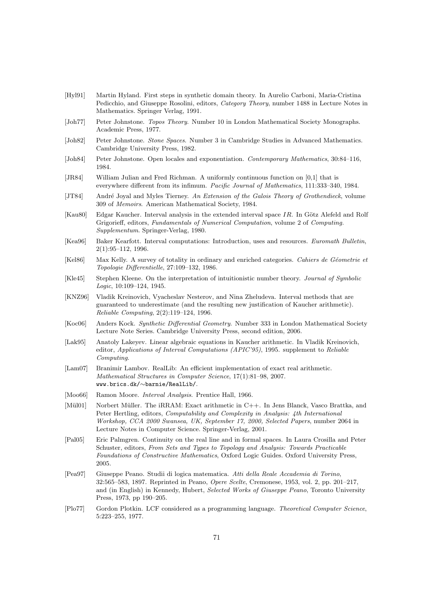- [Hyl91] Martin Hyland. First steps in synthetic domain theory. In Aurelio Carboni, Maria-Cristina Pedicchio, and Giuseppe Rosolini, editors, Category Theory, number 1488 in Lecture Notes in Mathematics. Springer Verlag, 1991.
- <span id="page-70-0"></span>[Joh77] Peter Johnstone. Topos Theory. Number 10 in London Mathematical Society Monographs. Academic Press, 1977.
- [Joh82] Peter Johnstone. Stone Spaces. Number 3 in Cambridge Studies in Advanced Mathematics. Cambridge University Press, 1982.
- [Joh84] Peter Johnstone. Open locales and exponentiation. Contemporary Mathematics, 30:84–116, 1984.
- [JR84] William Julian and Fred Richman. A uniformly continuous function on [0,1] that is everywhere different from its infimum. Pacific Journal of Mathematics, 111:333–340, 1984.
- [JT84] André Joyal and Myles Tierney. An Extension of the Galois Theory of Grothendieck, volume 309 of Memoirs. American Mathematical Society, 1984.
- <span id="page-70-1"></span>[Kau80] Edgar Kaucher. Interval analysis in the extended interval space IR. In Götz Alefeld and Rolf Grigorieff, editors, Fundamentals of Numerical Computation, volume 2 of Computing. Supplementum. Springer-Verlag, 1980.
- [Kea96] Baker Kearfott. Interval computations: Introduction, uses and resources. Euromath Bulletin, 2(1):95–112, 1996.
- <span id="page-70-4"></span>[Kel86] Max Kelly. A survey of totality in ordinary and enriched categories. Cahiers de Géometrie et Topologie Differentielle, 27:109–132, 1986.
- <span id="page-70-3"></span>[Kle45] Stephen Kleene. On the interpretation of intuitionistic number theory. Journal of Symbolic Logic, 10:109–124, 1945.
- [KNZ96] Vladik Kreinovich, Vyacheslav Nesterov, and Nina Zheludeva. Interval methods that are guaranteed to underestimate (and the resulting new justification of Kaucher arithmetic). Reliable Computing, 2(2):119–124, 1996.
- <span id="page-70-2"></span>[Koc06] Anders Kock. Synthetic Differential Geometry. Number 333 in London Mathematical Society Lecture Note Series. Cambridge University Press, second edition, 2006.
- [Lak95] Anatoly Lakeyev. Linear algebraic equations in Kaucher arithmetic. In Vladik Kreinovich, editor, Applications of Interval Computations (APIC'95), 1995. supplement to Reliable Computing.
- [Lam07] Branimir Lambov. RealLib: An efficient implementation of exact real arithmetic. Mathematical Structures in Computer Science, 17(1):81–98, 2007. www.brics.dk/∼barnie/RealLib/.
- [Moo66] Ramon Moore. *Interval Analysis*. Prentice Hall, 1966.
- [Mül01] Norbert Müller. The iRRAM: Exact arithmetic in C++. In Jens Blanck, Vasco Brattka, and Peter Hertling, editors, Computability and Complexity in Analysis: 4th International Workshop, CCA 2000 Swansea, UK, September 17, 2000, Selected Papers, number 2064 in Lecture Notes in Computer Science. Springer-Verlag, 2001.
- [Pal05] Eric Palmgren. Continuity on the real line and in formal spaces. In Laura Crosilla and Peter Schuster, editors, From Sets and Types to Topology and Analysis: Towards Practicable Foundations of Constructive Mathematics, Oxford Logic Guides. Oxford University Press, 2005.
- [Pea97] Giuseppe Peano. Studii di logica matematica. Atti della Reale Accademia di Torino, 32:565–583, 1897. Reprinted in Peano, Opere Scelte, Cremonese, 1953, vol. 2, pp. 201–217, and (in English) in Kennedy, Hubert, Selected Works of Giuseppe Peano, Toronto University Press, 1973, pp 190–205.
- [Plo77] Gordon Plotkin. LCF considered as a programming language. Theoretical Computer Science, 5:223–255, 1977.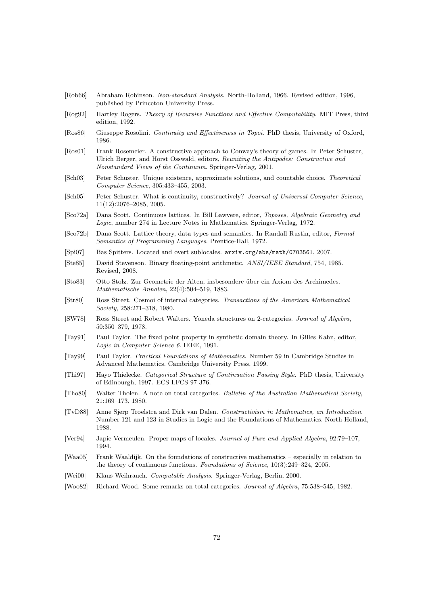- <span id="page-71-4"></span>[Rob66] Abraham Robinson. Non-standard Analysis. North-Holland, 1966. Revised edition, 1996, published by Princeton University Press.
- <span id="page-71-7"></span>[Rog92] Hartley Rogers. Theory of Recursive Functions and Effective Computability. MIT Press, third edition, 1992.
- [Ros86] Giuseppe Rosolini. Continuity and Effectiveness in Topoi. PhD thesis, University of Oxford, 1986.
- <span id="page-71-3"></span>[Ros01] Frank Rosemeier. A constructive approach to Conway's theory of games. In Peter Schuster, Ulrich Berger, and Horst Osswald, editors, Reuniting the Antipodes: Constructive and Nonstandard Views of the Continuum. Springer-Verlag, 2001.
- <span id="page-71-5"></span>[Sch03] Peter Schuster. Unique existence, approximate solutions, and countable choice. Theoretical Computer Science, 305:433–455, 2003.
- [Sch05] Peter Schuster. What is continuity, constructively? Journal of Universal Computer Science, 11(12):2076–2085, 2005.
- [Sco72a] Dana Scott. Continuous lattices. In Bill Lawvere, editor, Toposes, Algebraic Geometry and Logic, number 274 in Lecture Notes in Mathematics. Springer-Verlag, 1972.
- [Sco72b] Dana Scott. Lattice theory, data types and semantics. In Randall Rustin, editor, Formal Semantics of Programming Languages. Prentice-Hall, 1972.
- [Spi07] Bas Spitters. Located and overt sublocales. arxiv.org/abs/math/0703561, 2007.
- <span id="page-71-1"></span>[Ste85] David Stevenson. Binary floating-point arithmetic. ANSI/IEEE Standard, 754, 1985. Revised, 2008.
- <span id="page-71-2"></span>[Sto83] Otto Stolz. Zur Geometrie der Alten, insbesondere über ein Axiom des Archimedes. Mathematische Annalen, 22(4):504–519, 1883.
- <span id="page-71-10"></span>[Str80] Ross Street. Cosmoi of internal categories. Transactions of the American Mathematical Society, 258:271–318, 1980.
- <span id="page-71-9"></span>[SW78] Ross Street and Robert Walters. Yoneda structures on 2-categories. Journal of Algebra, 50:350–379, 1978.
- [Tay91] Paul Taylor. The fixed point property in synthetic domain theory. In Gilles Kahn, editor, Logic in Computer Science 6. IEEE, 1991.
- <span id="page-71-8"></span>[Tay99] Paul Taylor. Practical Foundations of Mathematics. Number 59 in Cambridge Studies in Advanced Mathematics. Cambridge University Press, 1999.
- [Thi97] Hayo Thielecke. Categorical Structure of Continuation Passing Style. PhD thesis, University of Edinburgh, 1997. ECS-LFCS-97-376.
- <span id="page-71-11"></span>[Tho80] Walter Tholen. A note on total categories. Bulletin of the Australian Mathematical Society, 21:169–173, 1980.
- <span id="page-71-0"></span>[TvD88] Anne Sjerp Troelstra and Dirk van Dalen. Constructivism in Mathematics, an Introduction. Number 121 and 123 in Studies in Logic and the Foundations of Mathematics. North-Holland, 1988.
- [Ver94] Japie Vermeulen. Proper maps of locales. Journal of Pure and Applied Algebra, 92:79–107, 1994.
- [Waa05] Frank Waaldijk. On the foundations of constructive mathematics especially in relation to the theory of continuous functions. Foundations of Science, 10(3):249–324, 2005.
- <span id="page-71-6"></span>[Wei00] Klaus Weihrauch. Computable Analysis. Springer-Verlag, Berlin, 2000.
- <span id="page-71-12"></span>[Woo82] Richard Wood. Some remarks on total categories. Journal of Algebra, 75:538–545, 1982.